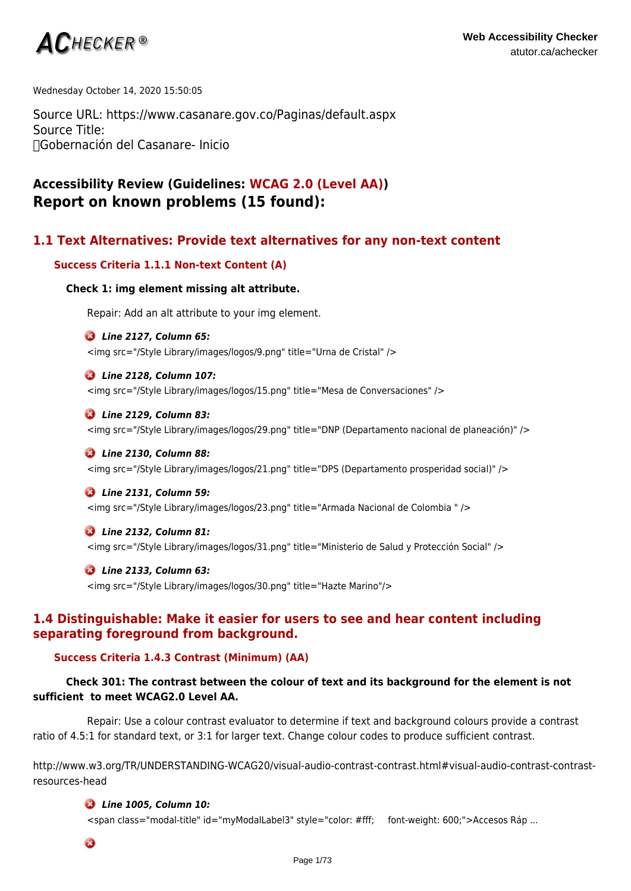

Wednesday October 14, 2020 15:50:05

Source URL: https://www.casanare.gov.co/Paginas/default.aspx Source Title: Gobernación del Casanare- Inicio

# **Accessibility Review (Guidelines: WCAG 2.0 (Level AA)) Report on known problems (15 found):**

# **1.1 Text Alternatives: Provide text alternatives for any non-text content**

### **Success Criteria 1.1.1 Non-text Content (A)**

### **Check 1: img element missing alt attribute.**

Repair: Add an alt attribute to your img element.

### *Line 2127, Column 65:*

<img src="/Style Library/images/logos/9.png" title="Urna de Cristal" />

### *Line 2128, Column 107:*

<img src="/Style Library/images/logos/15.png" title="Mesa de Conversaciones" />

### *Line 2129, Column 83:*

<img src="/Style Library/images/logos/29.png" title="DNP (Departamento nacional de planeación)" />

### *Line 2130, Column 88:*

<img src="/Style Library/images/logos/21.png" title="DPS (Departamento prosperidad social)" />

#### *Line 2131, Column 59:*

<img src="/Style Library/images/logos/23.png" title="Armada Nacional de Colombia " />

### *Line 2132, Column 81:*

<img src="/Style Library/images/logos/31.png" title="Ministerio de Salud y Protección Social" />

### *Line 2133, Column 63:*

<img src="/Style Library/images/logos/30.png" title="Hazte Marino"/>

# **1.4 Distinguishable: Make it easier for users to see and hear content including separating foreground from background.**

### **Success Criteria 1.4.3 Contrast (Minimum) (AA)**

# **Check 301: The contrast between the colour of text and its background for the element is not sufficient to meet WCAG2.0 Level AA.**

Repair: Use a colour contrast evaluator to determine if text and background colours provide a contrast ratio of 4.5:1 for standard text, or 3:1 for larger text. Change colour codes to produce sufficient contrast.

http://www.w3.org/TR/UNDERSTANDING-WCAG20/visual-audio-contrast-contrast.html#visual-audio-contrast-contrastresources-head

### *Line 1005, Column 10:*

<span class="modal-title" id="myModalLabel3" style="color: #fff; font-weight: 600;">Accesos Ráp ...

 $\boldsymbol{a}$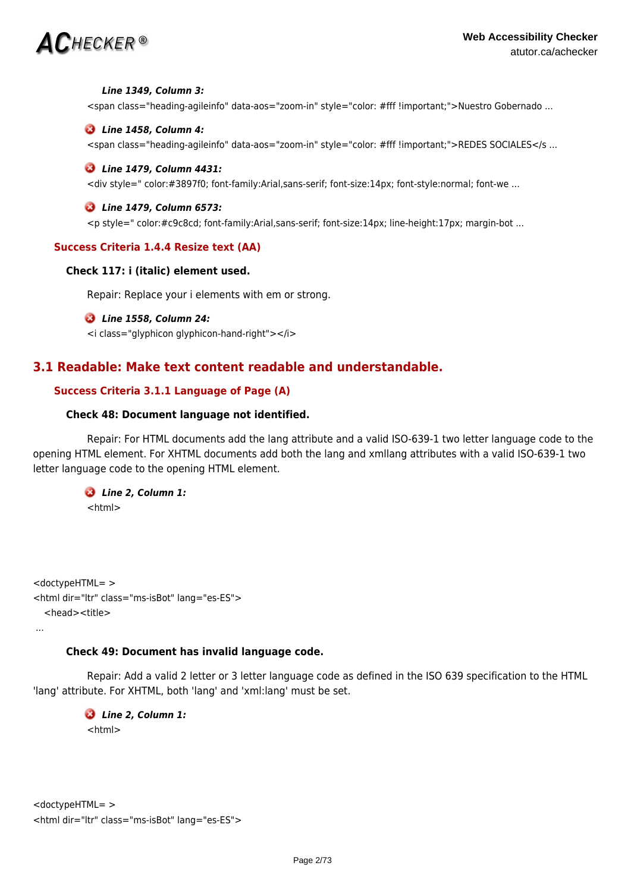# $AC$ HECKER®

### *Line 1349, Column 3:*

<span class="heading-agileinfo" data-aos="zoom-in" style="color: #fff !important;">Nuestro Gobernado ...

### *Line 1458, Column 4:*

<span class="heading-agileinfo" data-aos="zoom-in" style="color: #fff !important;">REDES SOCIALES</s ...

### *Line 1479, Column 4431:*

<div style=" color:#3897f0; font-family:Arial,sans-serif; font-size:14px; font-style:normal; font-we ...

### *Line 1479, Column 6573:*

<p style=" color:#c9c8cd; font-family:Arial,sans-serif; font-size:14px; line-height:17px; margin-bot ...

### **Success Criteria 1.4.4 Resize text (AA)**

### **Check 117: i (italic) element used.**

Repair: Replace your i elements with em or strong.

### *Line 1558, Column 24:*

<i class="glyphicon glyphicon-hand-right"></i>

# **3.1 Readable: Make text content readable and understandable.**

# **Success Criteria 3.1.1 Language of Page (A)**

### **Check 48: Document language not identified.**

Repair: For HTML documents add the lang attribute and a valid ISO-639-1 two letter language code to the opening HTML element. For XHTML documents add both the lang and xmllang attributes with a valid ISO-639-1 two letter language code to the opening HTML element.

### *Line 2, Column 1:*  $<$ html $>$

<doctypeHTML= > <html dir="ltr" class="ms-isBot" lang="es-ES"> <head><title>

...

### **Check 49: Document has invalid language code.**

Repair: Add a valid 2 letter or 3 letter language code as defined in the ISO 639 specification to the HTML 'lang' attribute. For XHTML, both 'lang' and 'xml:lang' must be set.

 *Line 2, Column 1:* <html>

```
<doctypeHTML= >
<html dir="ltr" class="ms-isBot" lang="es-ES">
```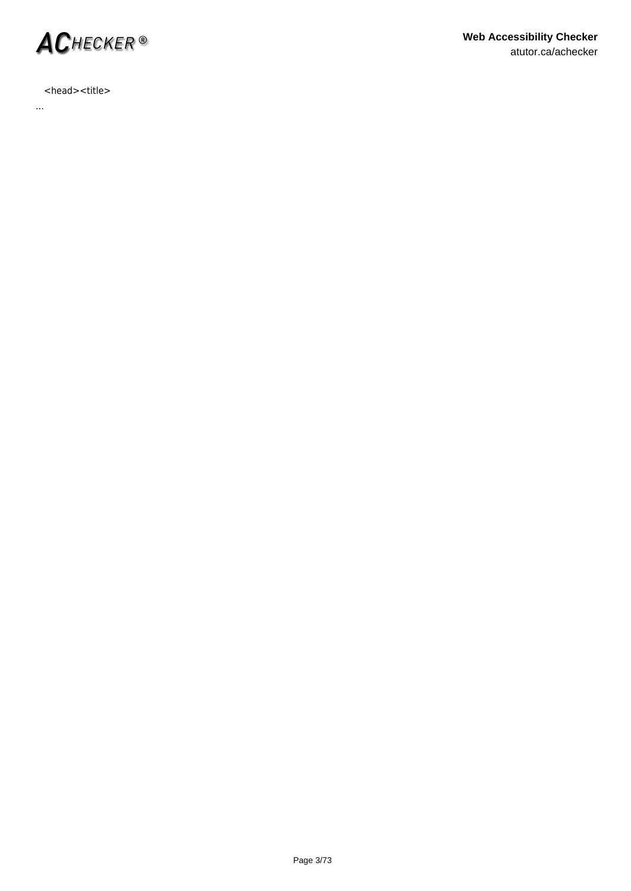

# <head><title>

...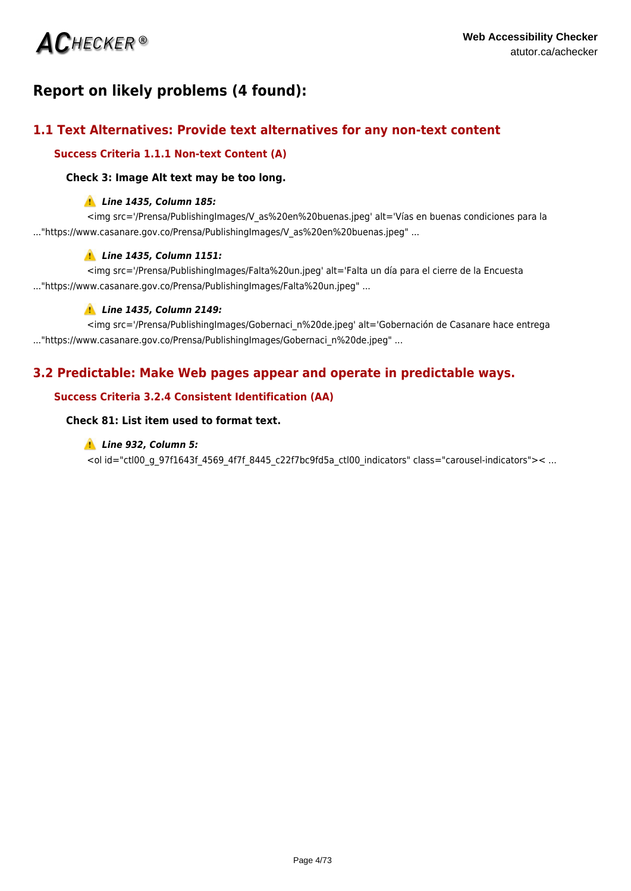

# **Report on likely problems (4 found):**

# **1.1 Text Alternatives: Provide text alternatives for any non-text content**

# **Success Criteria 1.1.1 Non-text Content (A)**

### **Check 3: Image Alt text may be too long.**

### *Line 1435, Column 185:*

<img src='/Prensa/PublishingImages/V\_as%20en%20buenas.jpeg' alt='Vías en buenas condiciones para la ..."https://www.casanare.gov.co/Prensa/PublishingImages/V\_as%20en%20buenas.jpeg" ...

# *Line 1435, Column 1151:*

<img src='/Prensa/PublishingImages/Falta%20un.jpeg' alt='Falta un día para el cierre de la Encuesta ..."https://www.casanare.gov.co/Prensa/PublishingImages/Falta%20un.jpeg" ...

# *Line 1435, Column 2149:*

<img src='/Prensa/PublishingImages/Gobernaci\_n%20de.jpeg' alt='Gobernación de Casanare hace entrega ..."https://www.casanare.gov.co/Prensa/PublishingImages/Gobernaci\_n%20de.jpeg" ...

# **3.2 Predictable: Make Web pages appear and operate in predictable ways.**

# **Success Criteria 3.2.4 Consistent Identification (AA)**

### **Check 81: List item used to format text.**

### *Line 932, Column 5:*

<ol id="ctl00\_g\_97f1643f\_4569\_4f7f\_8445\_c22f7bc9fd5a\_ctl00\_indicators" class="carousel-indicators">< ...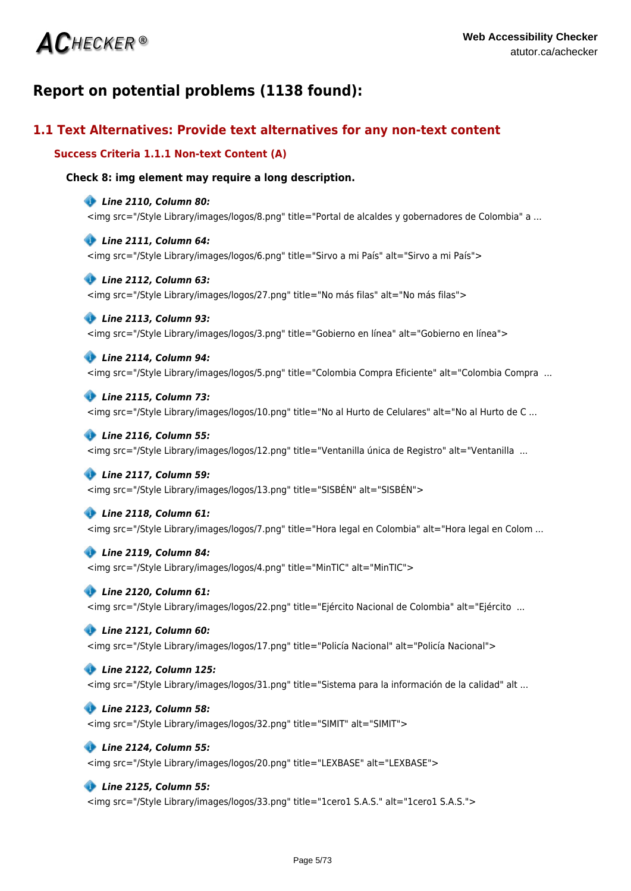# **ACHECKER®**

# **Report on potential problems (1138 found):**

# **1.1 Text Alternatives: Provide text alternatives for any non-text content**

# **Success Criteria 1.1.1 Non-text Content (A)**

# **Check 8: img element may require a long description.**

### *Line 2110, Column 80:*

<img src="/Style Library/images/logos/8.png" title="Portal de alcaldes y gobernadores de Colombia" a ...

### *Line 2111, Column 64:*

<img src="/Style Library/images/logos/6.png" title="Sirvo a mi País" alt="Sirvo a mi País">

### *Line 2112, Column 63:*

<img src="/Style Library/images/logos/27.png" title="No más filas" alt="No más filas">

## *Line 2113, Column 93:*

<img src="/Style Library/images/logos/3.png" title="Gobierno en línea" alt="Gobierno en línea">

### *Line 2114, Column 94:*

<img src="/Style Library/images/logos/5.png" title="Colombia Compra Eficiente" alt="Colombia Compra ...

### *Line 2115, Column 73:*

<img src="/Style Library/images/logos/10.png" title="No al Hurto de Celulares" alt="No al Hurto de C ...

### *Line 2116, Column 55:*

<img src="/Style Library/images/logos/12.png" title="Ventanilla única de Registro" alt="Ventanilla ...

### *Line 2117, Column 59:*

<img src="/Style Library/images/logos/13.png" title="SISBÉN" alt="SISBÉN">

### *Line 2118, Column 61:*

<img src="/Style Library/images/logos/7.png" title="Hora legal en Colombia" alt="Hora legal en Colom ...

### *Line 2119, Column 84:*

<img src="/Style Library/images/logos/4.png" title="MinTIC" alt="MinTIC">

### *Line 2120, Column 61:*

<img src="/Style Library/images/logos/22.png" title="Ejército Nacional de Colombia" alt="Ejército ...

### *Line 2121, Column 60:*

<img src="/Style Library/images/logos/17.png" title="Policía Nacional" alt="Policía Nacional">

### *Line 2122, Column 125:*

<img src="/Style Library/images/logos/31.png" title="Sistema para la información de la calidad" alt ...

### *Line 2123, Column 58:*

<img src="/Style Library/images/logos/32.png" title="SIMIT" alt="SIMIT">

### *Line 2124, Column 55:*

<img src="/Style Library/images/logos/20.png" title="LEXBASE" alt="LEXBASE">

### *Line 2125, Column 55:*

<img src="/Style Library/images/logos/33.png" title="1cero1 S.A.S." alt="1cero1 S.A.S.">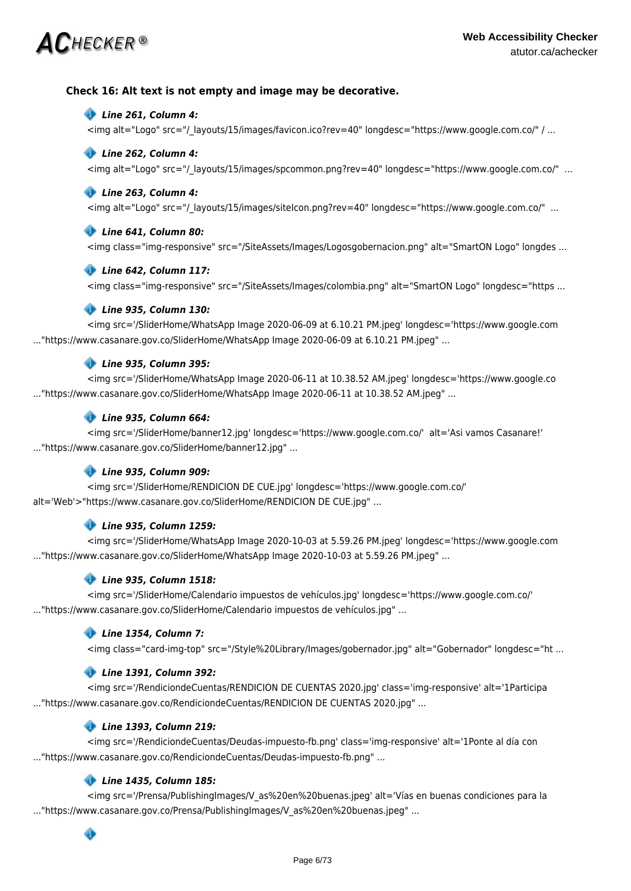# $\mathsf{AC}$ hecker ®

## **Check 16: Alt text is not empty and image may be decorative.**

### *Line 261, Column 4:*

<img alt="Logo" src="/\_layouts/15/images/favicon.ico?rev=40" longdesc="https://www.google.com.co/" / ...

### *Line 262, Column 4:*

<img alt="Logo" src="/\_layouts/15/images/spcommon.png?rev=40" longdesc="https://www.google.com.co/" ...

### *Line 263, Column 4:*

<img alt="Logo" src="/\_layouts/15/images/siteIcon.png?rev=40" longdesc="https://www.google.com.co/" ...

### *Line 641, Column 80:*

<img class="img-responsive" src="/SiteAssets/Images/Logosgobernacion.png" alt="SmartON Logo" longdes ...

### *Line 642, Column 117:*

<img class="img-responsive" src="/SiteAssets/Images/colombia.png" alt="SmartON Logo" longdesc="https ...

### *Line 935, Column 130:*

<img src='/SliderHome/WhatsApp Image 2020-06-09 at 6.10.21 PM.jpeg' longdesc='https://www.google.com ..."https://www.casanare.gov.co/SliderHome/WhatsApp Image 2020-06-09 at 6.10.21 PM.jpeg" ...

### *Line 935, Column 395:*

<img src='/SliderHome/WhatsApp Image 2020-06-11 at 10.38.52 AM.jpeg' longdesc='https://www.google.co ..."https://www.casanare.gov.co/SliderHome/WhatsApp Image 2020-06-11 at 10.38.52 AM.jpeg" ...

### *Line 935, Column 664:*

<img src='/SliderHome/banner12.jpg' longdesc='https://www.google.com.co/' alt='Asi vamos Casanare!' ..."https://www.casanare.gov.co/SliderHome/banner12.jpg" ...

### *Line 935, Column 909:*

<img src='/SliderHome/RENDICION DE CUE.jpg' longdesc='https://www.google.com.co/' alt='Web'>"https://www.casanare.gov.co/SliderHome/RENDICION DE CUE.jpg" ...

### *Line 935, Column 1259:*

<img src='/SliderHome/WhatsApp Image 2020-10-03 at 5.59.26 PM.jpeg' longdesc='https://www.google.com ..."https://www.casanare.gov.co/SliderHome/WhatsApp Image 2020-10-03 at 5.59.26 PM.jpeg" ...

### *Line 935, Column 1518:*

<img src='/SliderHome/Calendario impuestos de vehículos.jpg' longdesc='https://www.google.com.co/' ..."https://www.casanare.gov.co/SliderHome/Calendario impuestos de vehículos.jpg" ...

### *Line 1354, Column 7:*

<img class="card-img-top" src="/Style%20Library/Images/gobernador.jpg" alt="Gobernador" longdesc="ht ...

### *Line 1391, Column 392:*

<img src='/RendiciondeCuentas/RENDICION DE CUENTAS 2020.jpg' class='img-responsive' alt='1Participa ..."https://www.casanare.gov.co/RendiciondeCuentas/RENDICION DE CUENTAS 2020.jpg" ...

### *Line 1393, Column 219:*

<img src='/RendiciondeCuentas/Deudas-impuesto-fb.png' class='img-responsive' alt='1Ponte al día con ..."https://www.casanare.gov.co/RendiciondeCuentas/Deudas-impuesto-fb.png" ...

### *Line 1435, Column 185:*

<img src='/Prensa/PublishingImages/V\_as%20en%20buenas.jpeg' alt='Vías en buenas condiciones para la ..."https://www.casanare.gov.co/Prensa/PublishingImages/V\_as%20en%20buenas.jpeg" ...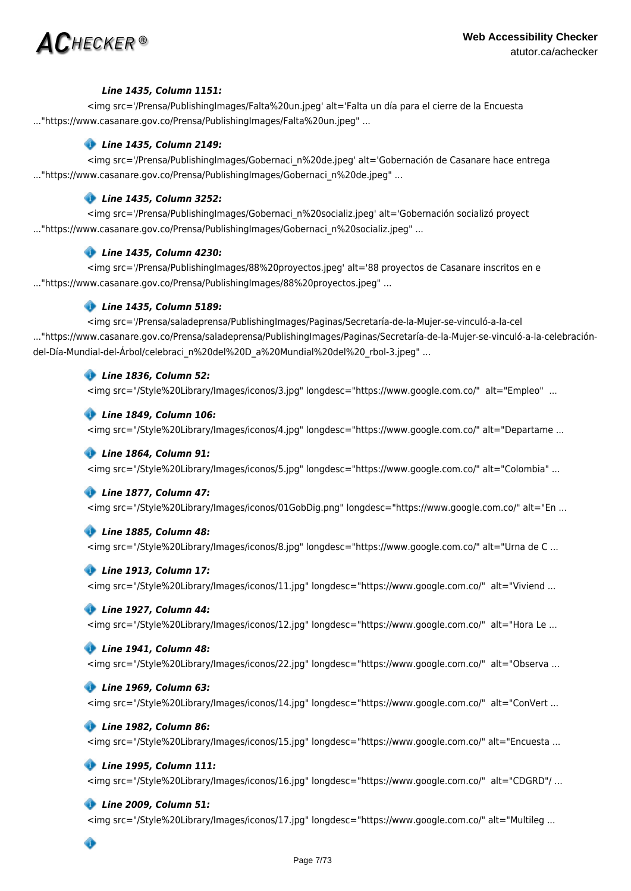

### *Line 1435, Column 1151:*

<img src='/Prensa/PublishingImages/Falta%20un.jpeg' alt='Falta un día para el cierre de la Encuesta ..."https://www.casanare.gov.co/Prensa/PublishingImages/Falta%20un.jpeg" ...

### *Line 1435, Column 2149:*

<img src='/Prensa/PublishingImages/Gobernaci\_n%20de.jpeg' alt='Gobernación de Casanare hace entrega ..."https://www.casanare.gov.co/Prensa/PublishingImages/Gobernaci\_n%20de.jpeg" ...

### *Line 1435, Column 3252:*

<img src='/Prensa/PublishingImages/Gobernaci\_n%20socializ.jpeg' alt='Gobernación socializó proyect ..."https://www.casanare.gov.co/Prensa/PublishingImages/Gobernaci\_n%20socializ.jpeg" ...

### *Line 1435, Column 4230:*

<img src='/Prensa/PublishingImages/88%20proyectos.jpeg' alt='88 proyectos de Casanare inscritos en e ..."https://www.casanare.gov.co/Prensa/PublishingImages/88%20proyectos.jpeg" ...

### *Line 1435, Column 5189:*

<img src='/Prensa/saladeprensa/PublishingImages/Paginas/Secretaría-de-la-Mujer-se-vinculó-a-la-cel ..."https://www.casanare.gov.co/Prensa/saladeprensa/PublishingImages/Paginas/Secretaría-de-la-Mujer-se-vinculó-a-la-celebracióndel-Día-Mundial-del-Árbol/celebraci\_n%20del%20D\_a%20Mundial%20del%20\_rbol-3.jpeg" ...

### *Line 1836, Column 52:*

<img src="/Style%20Library/Images/iconos/3.jpg" longdesc="https://www.google.com.co/" alt="Empleo" ...

### *Line 1849, Column 106:*

<img src="/Style%20Library/Images/iconos/4.jpg" longdesc="https://www.google.com.co/" alt="Departame ...

### *Line 1864, Column 91:*

<img src="/Style%20Library/Images/iconos/5.jpg" longdesc="https://www.google.com.co/" alt="Colombia" ...

### *Line 1877, Column 47:*

<img src="/Style%20Library/Images/iconos/01GobDig.png" longdesc="https://www.google.com.co/" alt="En ...

### *Line 1885, Column 48:*

<img src="/Style%20Library/Images/iconos/8.jpg" longdesc="https://www.google.com.co/" alt="Urna de C ...

### *Line 1913, Column 17:*

<img src="/Style%20Library/Images/iconos/11.jpg" longdesc="https://www.google.com.co/" alt="Viviend ...

### *Line 1927, Column 44:*

<img src="/Style%20Library/Images/iconos/12.jpg" longdesc="https://www.google.com.co/" alt="Hora Le ...

### *Line 1941, Column 48:*

<img src="/Style%20Library/Images/iconos/22.jpg" longdesc="https://www.google.com.co/" alt="Observa ...

### *Line 1969, Column 63:*

<img src="/Style%20Library/Images/iconos/14.jpg" longdesc="https://www.google.com.co/" alt="ConVert ...

### *Line 1982, Column 86:*

<img src="/Style%20Library/Images/iconos/15.jpg" longdesc="https://www.google.com.co/" alt="Encuesta ...

## *Line 1995, Column 111:*

<img src="/Style%20Library/Images/iconos/16.jpg" longdesc="https://www.google.com.co/" alt="CDGRD"/ ...

### *Line 2009, Column 51:*

<img src="/Style%20Library/Images/iconos/17.jpg" longdesc="https://www.google.com.co/" alt="Multileg ...

 $\bullet$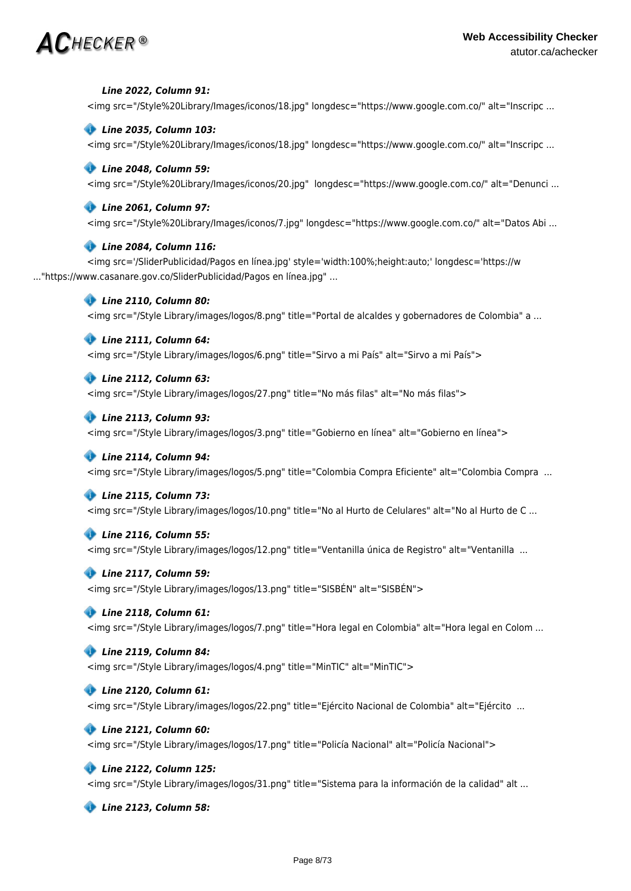# $\bm{AC}$ hecker ®

### *Line 2022, Column 91:*

<img src="/Style%20Library/Images/iconos/18.jpg" longdesc="https://www.google.com.co/" alt="Inscripc ...

### *Line 2035, Column 103:*

<img src="/Style%20Library/Images/iconos/18.jpg" longdesc="https://www.google.com.co/" alt="Inscripc ...

### *Line 2048, Column 59:*

<img src="/Style%20Library/Images/iconos/20.jpg" longdesc="https://www.google.com.co/" alt="Denunci ...

### *Line 2061, Column 97:*

<img src="/Style%20Library/Images/iconos/7.jpg" longdesc="https://www.google.com.co/" alt="Datos Abi ...

### *Line 2084, Column 116:*

<img src='/SliderPublicidad/Pagos en línea.jpg' style='width:100%;height:auto;' longdesc='https://w ..."https://www.casanare.gov.co/SliderPublicidad/Pagos en línea.jpg" ...

### *Line 2110, Column 80:*

<img src="/Style Library/images/logos/8.png" title="Portal de alcaldes y gobernadores de Colombia" a ...

### *Line 2111, Column 64:*

<img src="/Style Library/images/logos/6.png" title="Sirvo a mi País" alt="Sirvo a mi País">

### *Line 2112, Column 63:*

<img src="/Style Library/images/logos/27.png" title="No más filas" alt="No más filas">

### *Line 2113, Column 93:*

<img src="/Style Library/images/logos/3.png" title="Gobierno en línea" alt="Gobierno en línea">

### *Line 2114, Column 94:*

<img src="/Style Library/images/logos/5.png" title="Colombia Compra Eficiente" alt="Colombia Compra ...

### *Line 2115, Column 73:*

<img src="/Style Library/images/logos/10.png" title="No al Hurto de Celulares" alt="No al Hurto de C ...

### *Line 2116, Column 55:*

<img src="/Style Library/images/logos/12.png" title="Ventanilla única de Registro" alt="Ventanilla ...

### *Line 2117, Column 59:*

<img src="/Style Library/images/logos/13.png" title="SISBÉN" alt="SISBÉN">

### *Line 2118, Column 61:*

<img src="/Style Library/images/logos/7.png" title="Hora legal en Colombia" alt="Hora legal en Colom ...

### *Line 2119, Column 84:*

<img src="/Style Library/images/logos/4.png" title="MinTIC" alt="MinTIC">

### *Line 2120, Column 61:*

<img src="/Style Library/images/logos/22.png" title="Ejército Nacional de Colombia" alt="Ejército ...

### *Line 2121, Column 60:*

<img src="/Style Library/images/logos/17.png" title="Policía Nacional" alt="Policía Nacional">

### *Line 2122, Column 125:*

<img src="/Style Library/images/logos/31.png" title="Sistema para la información de la calidad" alt ...

 *Line 2123, Column 58:*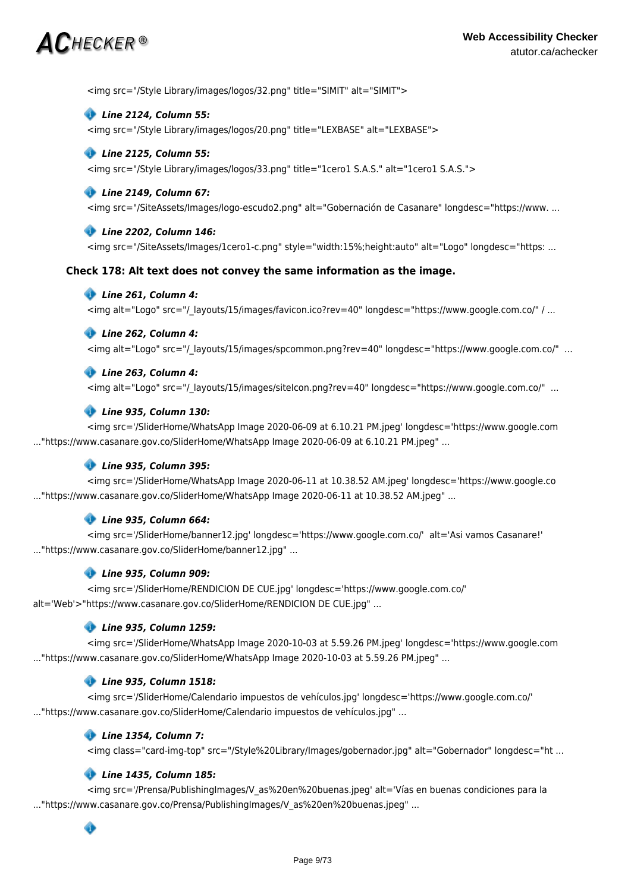# $\mathsf{AC}$ HECKER®

<img src="/Style Library/images/logos/32.png" title="SIMIT" alt="SIMIT">

### *Line 2124, Column 55:*

<img src="/Style Library/images/logos/20.png" title="LEXBASE" alt="LEXBASE">

### *Line 2125, Column 55:*

<img src="/Style Library/images/logos/33.png" title="1cero1 S.A.S." alt="1cero1 S.A.S.">

### *Line 2149, Column 67:*

<img src="/SiteAssets/Images/logo-escudo2.png" alt="Gobernación de Casanare" longdesc="https://www. ...

### *Line 2202, Column 146:*

<img src="/SiteAssets/Images/1cero1-c.png" style="width:15%;height:auto" alt="Logo" longdesc="https: ...

### **Check 178: Alt text does not convey the same information as the image.**

### *Line 261, Column 4:*

<img alt="Logo" src="/\_layouts/15/images/favicon.ico?rev=40" longdesc="https://www.google.com.co/" / ...

### *Line 262, Column 4:*

<img alt="Logo" src="/\_layouts/15/images/spcommon.png?rev=40" longdesc="https://www.google.com.co/" ...

### *Line 263, Column 4:*

<img alt="Logo" src="/\_layouts/15/images/siteIcon.png?rev=40" longdesc="https://www.google.com.co/" ...

### *Line 935, Column 130:*

<img src='/SliderHome/WhatsApp Image 2020-06-09 at 6.10.21 PM.jpeg' longdesc='https://www.google.com ..."https://www.casanare.gov.co/SliderHome/WhatsApp Image 2020-06-09 at 6.10.21 PM.jpeg" ...

### *Line 935, Column 395:*

<img src='/SliderHome/WhatsApp Image 2020-06-11 at 10.38.52 AM.jpeg' longdesc='https://www.google.co ..."https://www.casanare.gov.co/SliderHome/WhatsApp Image 2020-06-11 at 10.38.52 AM.jpeg" ...

### *Line 935, Column 664:*

<img src='/SliderHome/banner12.jpg' longdesc='https://www.google.com.co/' alt='Asi vamos Casanare!' ..."https://www.casanare.gov.co/SliderHome/banner12.jpg" ...

### *Line 935, Column 909:*

<img src='/SliderHome/RENDICION DE CUE.jpg' longdesc='https://www.google.com.co/' alt='Web'>"https://www.casanare.gov.co/SliderHome/RENDICION DE CUE.jpg" ...

### *Line 935, Column 1259:*

<img src='/SliderHome/WhatsApp Image 2020-10-03 at 5.59.26 PM.jpeg' longdesc='https://www.google.com ..."https://www.casanare.gov.co/SliderHome/WhatsApp Image 2020-10-03 at 5.59.26 PM.jpeg" ...

### *Line 935, Column 1518:*

<img src='/SliderHome/Calendario impuestos de vehículos.jpg' longdesc='https://www.google.com.co/' ..."https://www.casanare.gov.co/SliderHome/Calendario impuestos de vehículos.jpg" ...

### *Line 1354, Column 7:*

<img class="card-img-top" src="/Style%20Library/Images/gobernador.jpg" alt="Gobernador" longdesc="ht ...

### *Line 1435, Column 185:*

<img src='/Prensa/PublishingImages/V\_as%20en%20buenas.jpeg' alt='Vías en buenas condiciones para la ..."https://www.casanare.gov.co/Prensa/PublishingImages/V\_as%20en%20buenas.jpeg" ...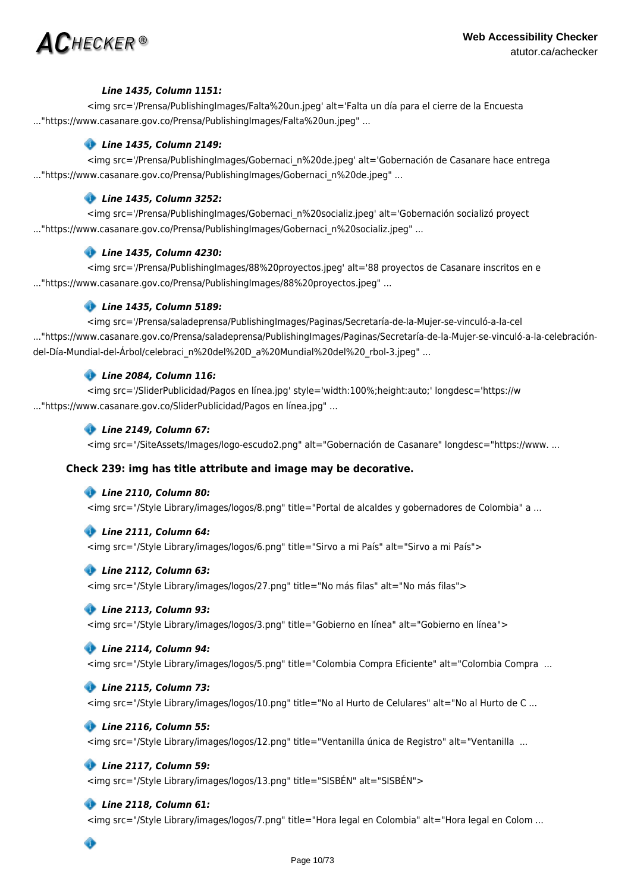

### *Line 1435, Column 1151:*

<img src='/Prensa/PublishingImages/Falta%20un.jpeg' alt='Falta un día para el cierre de la Encuesta ..."https://www.casanare.gov.co/Prensa/PublishingImages/Falta%20un.jpeg" ...

# *Line 1435, Column 2149:*

<img src='/Prensa/PublishingImages/Gobernaci\_n%20de.jpeg' alt='Gobernación de Casanare hace entrega ..."https://www.casanare.gov.co/Prensa/PublishingImages/Gobernaci\_n%20de.jpeg" ...

### *Line 1435, Column 3252:*

<img src='/Prensa/PublishingImages/Gobernaci\_n%20socializ.jpeg' alt='Gobernación socializó proyect ..."https://www.casanare.gov.co/Prensa/PublishingImages/Gobernaci\_n%20socializ.jpeg" ...

### *Line 1435, Column 4230:*

<img src='/Prensa/PublishingImages/88%20proyectos.jpeg' alt='88 proyectos de Casanare inscritos en e ..."https://www.casanare.gov.co/Prensa/PublishingImages/88%20proyectos.jpeg" ...

### *Line 1435, Column 5189:*

<img src='/Prensa/saladeprensa/PublishingImages/Paginas/Secretaría-de-la-Mujer-se-vinculó-a-la-cel ..."https://www.casanare.gov.co/Prensa/saladeprensa/PublishingImages/Paginas/Secretaría-de-la-Mujer-se-vinculó-a-la-celebracióndel-Día-Mundial-del-Árbol/celebraci\_n%20del%20D\_a%20Mundial%20del%20\_rbol-3.jpeg" ...

### *Line 2084, Column 116:*

<img src='/SliderPublicidad/Pagos en línea.jpg' style='width:100%;height:auto;' longdesc='https://w ..."https://www.casanare.gov.co/SliderPublicidad/Pagos en línea.jpg" ...

### *Line 2149, Column 67:*

<img src="/SiteAssets/Images/logo-escudo2.png" alt="Gobernación de Casanare" longdesc="https://www. ...

### **Check 239: img has title attribute and image may be decorative.**

### *Line 2110, Column 80:*

<img src="/Style Library/images/logos/8.png" title="Portal de alcaldes y gobernadores de Colombia" a ...

### *Line 2111, Column 64:*

<img src="/Style Library/images/logos/6.png" title="Sirvo a mi País" alt="Sirvo a mi País">

### *Line 2112, Column 63:*

<img src="/Style Library/images/logos/27.png" title="No más filas" alt="No más filas">

### *Line 2113, Column 93:*

<img src="/Style Library/images/logos/3.png" title="Gobierno en línea" alt="Gobierno en línea">

### *Line 2114, Column 94:*

<img src="/Style Library/images/logos/5.png" title="Colombia Compra Eficiente" alt="Colombia Compra ...

### *Line 2115, Column 73:*

<img src="/Style Library/images/logos/10.png" title="No al Hurto de Celulares" alt="No al Hurto de C ...

### *Line 2116, Column 55:*

<img src="/Style Library/images/logos/12.png" title="Ventanilla única de Registro" alt="Ventanilla ...

### *Line 2117, Column 59:*

<img src="/Style Library/images/logos/13.png" title="SISBÉN" alt="SISBÉN">

### *Line 2118, Column 61:*

<img src="/Style Library/images/logos/7.png" title="Hora legal en Colombia" alt="Hora legal en Colom ...

۰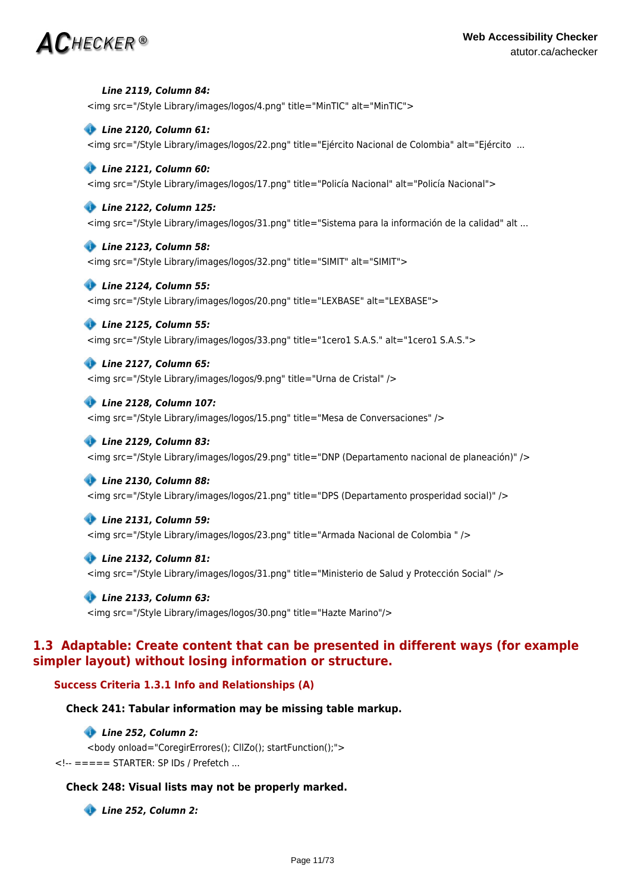# $\bm{AC}$ HECKER®

 *Line 2119, Column 84:* <img src="/Style Library/images/logos/4.png" title="MinTIC" alt="MinTIC">  *Line 2120, Column 61:* <img src="/Style Library/images/logos/22.png" title="Ejército Nacional de Colombia" alt="Ejército ...

### *Line 2121, Column 60:* <img src="/Style Library/images/logos/17.png" title="Policía Nacional" alt="Policía Nacional">

# *Line 2122, Column 125:*

<img src="/Style Library/images/logos/31.png" title="Sistema para la información de la calidad" alt ...

### *Line 2123, Column 58:*

<img src="/Style Library/images/logos/32.png" title="SIMIT" alt="SIMIT">

### *Line 2124, Column 55:*

<img src="/Style Library/images/logos/20.png" title="LEXBASE" alt="LEXBASE">

### *Line 2125, Column 55:*

<img src="/Style Library/images/logos/33.png" title="1cero1 S.A.S." alt="1cero1 S.A.S.">

# *Line 2127, Column 65:*

<img src="/Style Library/images/logos/9.png" title="Urna de Cristal" />

### *Line 2128, Column 107:*

<img src="/Style Library/images/logos/15.png" title="Mesa de Conversaciones" />

### *Line 2129, Column 83:*

<img src="/Style Library/images/logos/29.png" title="DNP (Departamento nacional de planeación)" />

### *Line 2130, Column 88:*

<img src="/Style Library/images/logos/21.png" title="DPS (Departamento prosperidad social)" />

### *Line 2131, Column 59:*

<img src="/Style Library/images/logos/23.png" title="Armada Nacional de Colombia " />

### *Line 2132, Column 81:*

<img src="/Style Library/images/logos/31.png" title="Ministerio de Salud y Protección Social" />

# *Line 2133, Column 63:*

<img src="/Style Library/images/logos/30.png" title="Hazte Marino"/>

# **1.3 Adaptable: Create content that can be presented in different ways (for example simpler layout) without losing information or structure.**

### **Success Criteria 1.3.1 Info and Relationships (A)**

### **Check 241: Tabular information may be missing table markup.**

### *Line 252, Column 2:*

<body onload="CoregirErrores(); CllZo(); startFunction();"> <!-- ===== STARTER: SP IDs / Prefetch ...

### **Check 248: Visual lists may not be properly marked.**

 *Line 252, Column 2:*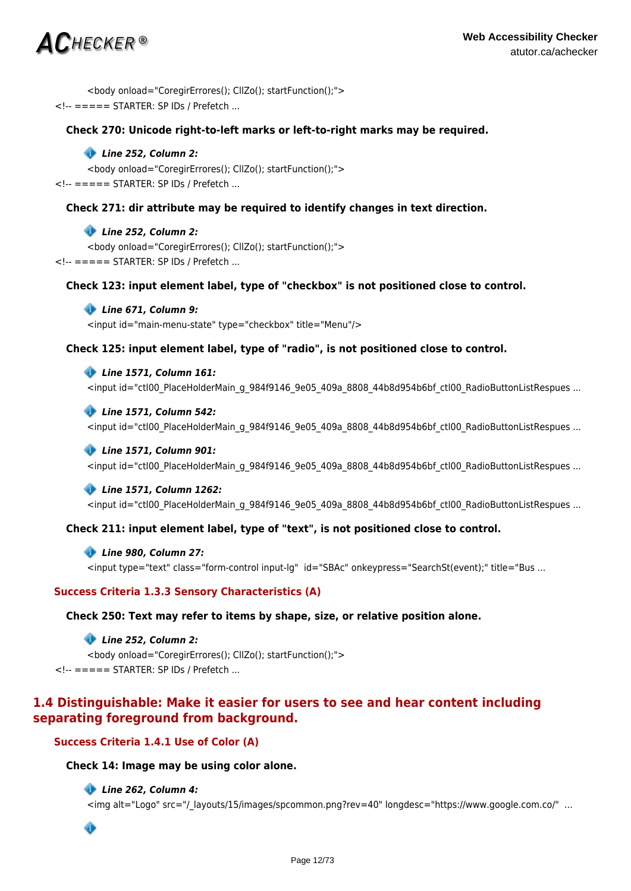# $\mathsf{AC}$ hecker®

<body onload="CoregirErrores(); CllZo(); startFunction();"> <!-- ===== STARTER: SP IDs / Prefetch ...

### **Check 270: Unicode right-to-left marks or left-to-right marks may be required.**

### *Line 252, Column 2:*

<body onload="CoregirErrores(); CllZo(); startFunction();"> <!-- ===== STARTER: SP IDs / Prefetch ...

### **Check 271: dir attribute may be required to identify changes in text direction.**

### *Line 252, Column 2:*

<body onload="CoregirErrores(); CllZo(); startFunction();"> <!-- ===== STARTER: SP IDs / Prefetch ...

### **Check 123: input element label, type of "checkbox" is not positioned close to control.**

### *Line 671, Column 9:*

<input id="main-menu-state" type="checkbox" title="Menu"/>

### **Check 125: input element label, type of "radio", is not positioned close to control.**

### *Line 1571, Column 161:*

<input id="ctl00\_PlaceHolderMain\_g\_984f9146\_9e05\_409a\_8808\_44b8d954b6bf\_ctl00\_RadioButtonListRespues ...

### *Line 1571, Column 542:*

<input id="ctl00\_PlaceHolderMain\_g\_984f9146\_9e05\_409a\_8808\_44b8d954b6bf\_ctl00\_RadioButtonListRespues ...

### *Line 1571, Column 901:*

<input id="ctl00\_PlaceHolderMain\_g\_984f9146\_9e05\_409a\_8808\_44b8d954b6bf\_ctl00\_RadioButtonListRespues ...

### *Line 1571, Column 1262:*

<input id="ctl00\_PlaceHolderMain\_g\_984f9146\_9e05\_409a\_8808\_44b8d954b6bf\_ctl00\_RadioButtonListRespues ...

### **Check 211: input element label, type of "text", is not positioned close to control.**

### *Line 980, Column 27:*

<input type="text" class="form-control input-lg" id="SBAc" onkeypress="SearchSt(event);" title="Bus ...

### **Success Criteria 1.3.3 Sensory Characteristics (A)**

### **Check 250: Text may refer to items by shape, size, or relative position alone.**

### *Line 252, Column 2:*

<body onload="CoregirErrores(); CllZo(); startFunction();"> <!-- ===== STARTER: SP IDs / Prefetch ...

# **1.4 Distinguishable: Make it easier for users to see and hear content including separating foreground from background.**

### **Success Criteria 1.4.1 Use of Color (A)**

### **Check 14: Image may be using color alone.**

### *Line 262, Column 4:*

<img alt="Logo" src="/\_layouts/15/images/spcommon.png?rev=40" longdesc="https://www.google.com.co/" ...

◈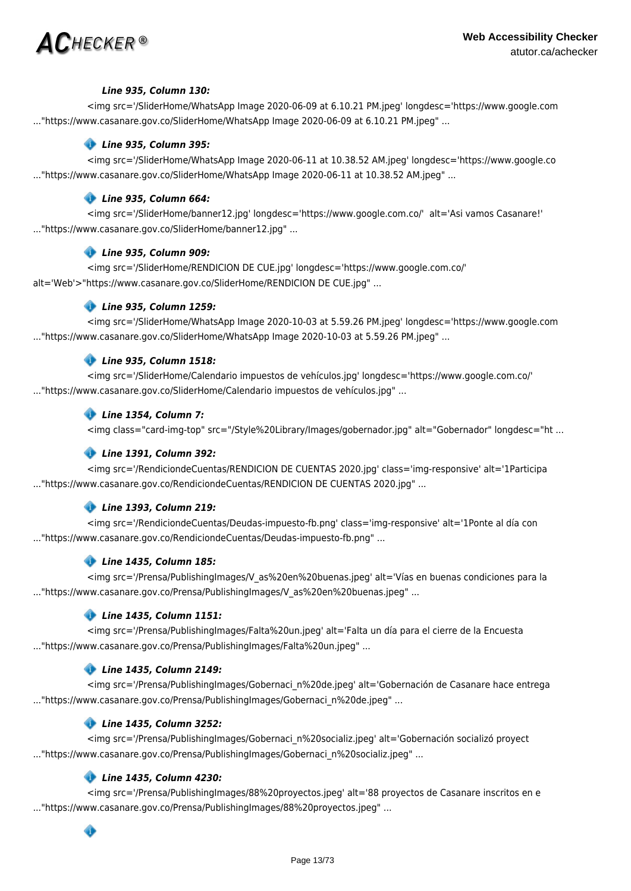

### *Line 935, Column 130:*

<img src='/SliderHome/WhatsApp Image 2020-06-09 at 6.10.21 PM.jpeg' longdesc='https://www.google.com ..."https://www.casanare.gov.co/SliderHome/WhatsApp Image 2020-06-09 at 6.10.21 PM.jpeg" ...

### *Line 935, Column 395:*

<img src='/SliderHome/WhatsApp Image 2020-06-11 at 10.38.52 AM.jpeg' longdesc='https://www.google.co ..."https://www.casanare.gov.co/SliderHome/WhatsApp Image 2020-06-11 at 10.38.52 AM.jpeg" ...

### *Line 935, Column 664:*

<img src='/SliderHome/banner12.jpg' longdesc='https://www.google.com.co/' alt='Asi vamos Casanare!' ..."https://www.casanare.gov.co/SliderHome/banner12.jpg" ...

### *Line 935, Column 909:*

<img src='/SliderHome/RENDICION DE CUE.jpg' longdesc='https://www.google.com.co/' alt='Web'>"https://www.casanare.gov.co/SliderHome/RENDICION DE CUE.jpg" ...

### *Line 935, Column 1259:*

<img src='/SliderHome/WhatsApp Image 2020-10-03 at 5.59.26 PM.jpeg' longdesc='https://www.google.com ..."https://www.casanare.gov.co/SliderHome/WhatsApp Image 2020-10-03 at 5.59.26 PM.jpeg" ...

### *Line 935, Column 1518:*

<img src='/SliderHome/Calendario impuestos de vehículos.jpg' longdesc='https://www.google.com.co/' ..."https://www.casanare.gov.co/SliderHome/Calendario impuestos de vehículos.jpg" ...

### *Line 1354, Column 7:*

<img class="card-img-top" src="/Style%20Library/Images/gobernador.jpg" alt="Gobernador" longdesc="ht ...

### *Line 1391, Column 392:*

<img src='/RendiciondeCuentas/RENDICION DE CUENTAS 2020.jpg' class='img-responsive' alt='1Participa ..."https://www.casanare.gov.co/RendiciondeCuentas/RENDICION DE CUENTAS 2020.jpg" ...

### *Line 1393, Column 219:*

<img src='/RendiciondeCuentas/Deudas-impuesto-fb.png' class='img-responsive' alt='1Ponte al día con ..."https://www.casanare.gov.co/RendiciondeCuentas/Deudas-impuesto-fb.png" ...

### *Line 1435, Column 185:*

<img src='/Prensa/PublishingImages/V\_as%20en%20buenas.jpeg' alt='Vías en buenas condiciones para la ..."https://www.casanare.gov.co/Prensa/PublishingImages/V as%20en%20buenas.jpeg" ...

### *Line 1435, Column 1151:*

<img src='/Prensa/PublishingImages/Falta%20un.jpeg' alt='Falta un día para el cierre de la Encuesta ..."https://www.casanare.gov.co/Prensa/PublishingImages/Falta%20un.jpeg" ...

### *Line 1435, Column 2149:*

<img src='/Prensa/PublishingImages/Gobernaci\_n%20de.jpeg' alt='Gobernación de Casanare hace entrega ..."https://www.casanare.gov.co/Prensa/PublishingImages/Gobernaci\_n%20de.jpeg" ...

### *Line 1435, Column 3252:*

<img src='/Prensa/PublishingImages/Gobernaci\_n%20socializ.jpeg' alt='Gobernación socializó proyect ..."https://www.casanare.gov.co/Prensa/PublishingImages/Gobernaci\_n%20socializ.jpeg" ...

### *Line 1435, Column 4230:*

<img src='/Prensa/PublishingImages/88%20proyectos.jpeg' alt='88 proyectos de Casanare inscritos en e ..."https://www.casanare.gov.co/Prensa/PublishingImages/88%20proyectos.jpeg" ...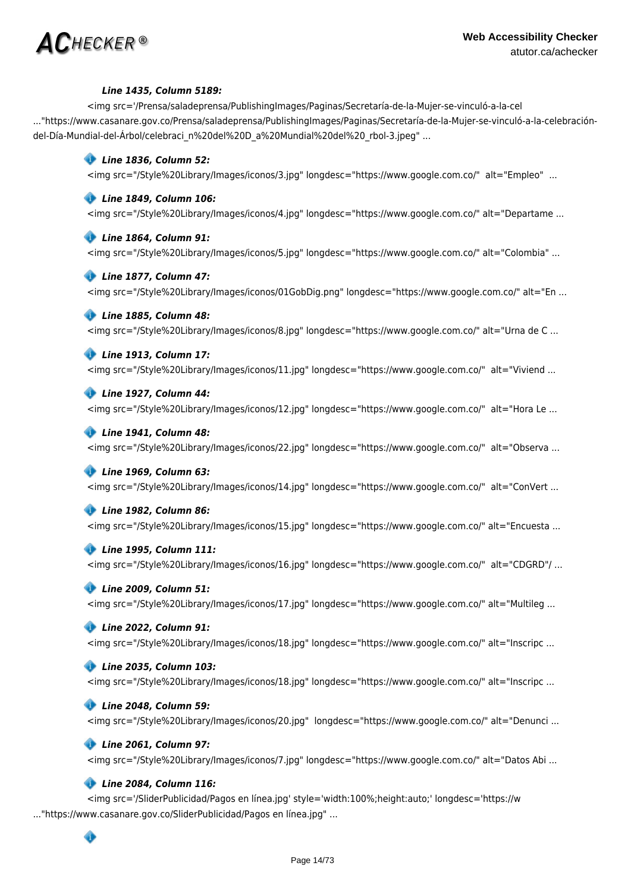

### *Line 1435, Column 5189:*

<img src='/Prensa/saladeprensa/PublishingImages/Paginas/Secretaría-de-la-Mujer-se-vinculó-a-la-cel ..."https://www.casanare.gov.co/Prensa/saladeprensa/PublishingImages/Paginas/Secretaría-de-la-Mujer-se-vinculó-a-la-celebracióndel-Día-Mundial-del-Árbol/celebraci\_n%20del%20D\_a%20Mundial%20del%20\_rbol-3.jpeg" ...

### *Line 1836, Column 52:*

<img src="/Style%20Library/Images/iconos/3.jpg" longdesc="https://www.google.com.co/" alt="Empleo" ...

### *Line 1849, Column 106:*

<img src="/Style%20Library/Images/iconos/4.jpg" longdesc="https://www.google.com.co/" alt="Departame ...

### *Line 1864, Column 91:*

<img src="/Style%20Library/Images/iconos/5.jpg" longdesc="https://www.google.com.co/" alt="Colombia" ...

### *Line 1877, Column 47:*

<img src="/Style%20Library/Images/iconos/01GobDig.png" longdesc="https://www.google.com.co/" alt="En ...

### *Line 1885, Column 48:*

<img src="/Style%20Library/Images/iconos/8.jpg" longdesc="https://www.google.com.co/" alt="Urna de C ...

### *Line 1913, Column 17:*

<img src="/Style%20Library/Images/iconos/11.jpg" longdesc="https://www.google.com.co/" alt="Viviend ...

### *Line 1927, Column 44:*

<img src="/Style%20Library/Images/iconos/12.jpg" longdesc="https://www.google.com.co/" alt="Hora Le ...

### *Line 1941, Column 48:*

<img src="/Style%20Library/Images/iconos/22.jpg" longdesc="https://www.google.com.co/" alt="Observa ...

### *Line 1969, Column 63:*

<img src="/Style%20Library/Images/iconos/14.jpg" longdesc="https://www.google.com.co/" alt="ConVert ...

### *Line 1982, Column 86:*

<img src="/Style%20Library/Images/iconos/15.jpg" longdesc="https://www.google.com.co/" alt="Encuesta ...

### *Line 1995, Column 111:*

<img src="/Style%20Library/Images/iconos/16.jpg" longdesc="https://www.google.com.co/" alt="CDGRD"/ ...

### *Line 2009, Column 51:*

<img src="/Style%20Library/Images/iconos/17.jpg" longdesc="https://www.google.com.co/" alt="Multileg ...

### *Line 2022, Column 91:*

<img src="/Style%20Library/Images/iconos/18.jpg" longdesc="https://www.google.com.co/" alt="Inscripc ...

### *Line 2035, Column 103:*

<img src="/Style%20Library/Images/iconos/18.jpg" longdesc="https://www.google.com.co/" alt="Inscripc ...

### *Line 2048, Column 59:*

<img src="/Style%20Library/Images/iconos/20.jpg" longdesc="https://www.google.com.co/" alt="Denunci ...

### *Line 2061, Column 97:*

<img src="/Style%20Library/Images/iconos/7.jpg" longdesc="https://www.google.com.co/" alt="Datos Abi ...

### *Line 2084, Column 116:*

<img src='/SliderPublicidad/Pagos en línea.jpg' style='width:100%;height:auto;' longdesc='https://w ..."https://www.casanare.gov.co/SliderPublicidad/Pagos en línea.jpg" ...

### ◈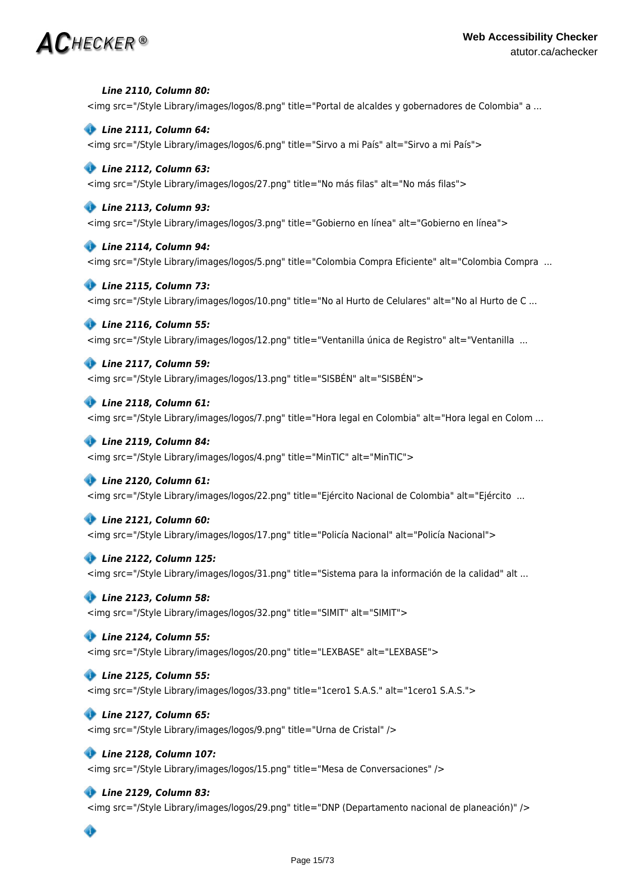# $\bm{AC}$ HECKER®

### *Line 2110, Column 80:*

<img src="/Style Library/images/logos/8.png" title="Portal de alcaldes y gobernadores de Colombia" a ...

### *Line 2111, Column 64:*

<img src="/Style Library/images/logos/6.png" title="Sirvo a mi País" alt="Sirvo a mi País">

### *Line 2112, Column 63:*

<img src="/Style Library/images/logos/27.png" title="No más filas" alt="No más filas">

### *Line 2113, Column 93:*

<img src="/Style Library/images/logos/3.png" title="Gobierno en línea" alt="Gobierno en línea">

### *Line 2114, Column 94:*

<img src="/Style Library/images/logos/5.png" title="Colombia Compra Eficiente" alt="Colombia Compra ...

### *Line 2115, Column 73:*

<img src="/Style Library/images/logos/10.png" title="No al Hurto de Celulares" alt="No al Hurto de C ...

### *Line 2116, Column 55:*

<img src="/Style Library/images/logos/12.png" title="Ventanilla única de Registro" alt="Ventanilla ...

### *Line 2117, Column 59:*

<img src="/Style Library/images/logos/13.png" title="SISBÉN" alt="SISBÉN">

### *Line 2118, Column 61:*

<img src="/Style Library/images/logos/7.png" title="Hora legal en Colombia" alt="Hora legal en Colom ...

### *Line 2119, Column 84:*

<img src="/Style Library/images/logos/4.png" title="MinTIC" alt="MinTIC">

### *Line 2120, Column 61:*

<img src="/Style Library/images/logos/22.png" title="Ejército Nacional de Colombia" alt="Ejército ...

### *Line 2121, Column 60:*

<img src="/Style Library/images/logos/17.png" title="Policía Nacional" alt="Policía Nacional">

### *Line 2122, Column 125:*

<img src="/Style Library/images/logos/31.png" title="Sistema para la información de la calidad" alt ...

### *Line 2123, Column 58:*

<img src="/Style Library/images/logos/32.png" title="SIMIT" alt="SIMIT">

### *Line 2124, Column 55:*

<img src="/Style Library/images/logos/20.png" title="LEXBASE" alt="LEXBASE">

### *Line 2125, Column 55:*

<img src="/Style Library/images/logos/33.png" title="1cero1 S.A.S." alt="1cero1 S.A.S.">

### *Line 2127, Column 65:*

<img src="/Style Library/images/logos/9.png" title="Urna de Cristal" />

### *Line 2128, Column 107:*

<img src="/Style Library/images/logos/15.png" title="Mesa de Conversaciones" />

### *Line 2129, Column 83:*

<img src="/Style Library/images/logos/29.png" title="DNP (Departamento nacional de planeación)" />

# ◈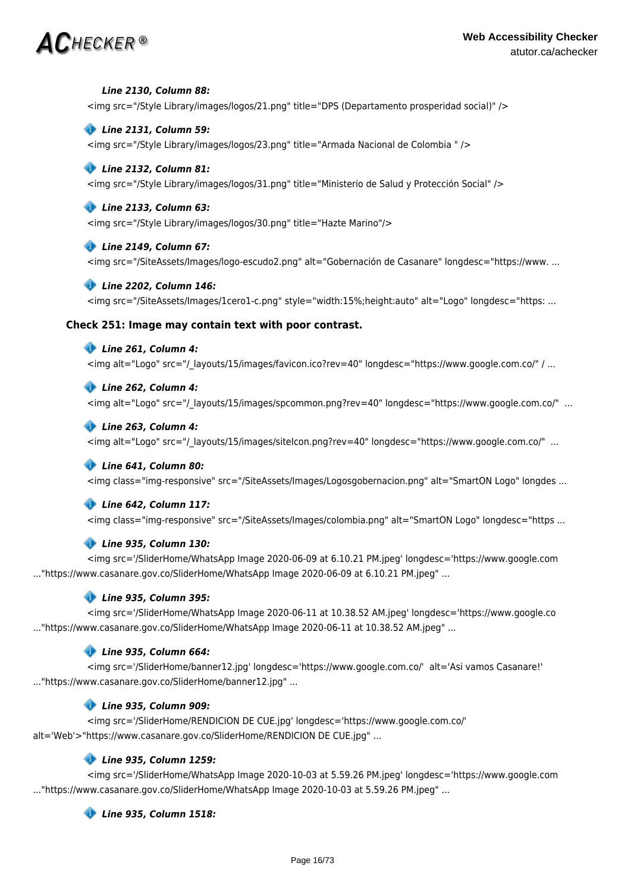# $\mathsf{AC}$ hecker®

### *Line 2130, Column 88:*

<img src="/Style Library/images/logos/21.png" title="DPS (Departamento prosperidad social)" />

### *Line 2131, Column 59:*

<img src="/Style Library/images/logos/23.png" title="Armada Nacional de Colombia " />

### *Line 2132, Column 81:*

<img src="/Style Library/images/logos/31.png" title="Ministerio de Salud y Protección Social" />

### *Line 2133, Column 63:*

<img src="/Style Library/images/logos/30.png" title="Hazte Marino"/>

### *Line 2149, Column 67:*

<img src="/SiteAssets/Images/logo-escudo2.png" alt="Gobernación de Casanare" longdesc="https://www. ...

### *Line 2202, Column 146:*

<img src="/SiteAssets/Images/1cero1-c.png" style="width:15%;height:auto" alt="Logo" longdesc="https: ...

### **Check 251: Image may contain text with poor contrast.**

### *Line 261, Column 4:*

<img alt="Logo" src="/\_layouts/15/images/favicon.ico?rev=40" longdesc="https://www.google.com.co/" / ...

### *Line 262, Column 4:*

<img alt="Logo" src="/\_layouts/15/images/spcommon.png?rev=40" longdesc="https://www.google.com.co/" ...

### *Line 263, Column 4:*

<img alt="Logo" src="/\_layouts/15/images/siteIcon.png?rev=40" longdesc="https://www.google.com.co/" ...

### *Line 641, Column 80:*

<img class="img-responsive" src="/SiteAssets/Images/Logosgobernacion.png" alt="SmartON Logo" longdes ...

### *Line 642, Column 117:*

<img class="img-responsive" src="/SiteAssets/Images/colombia.png" alt="SmartON Logo" longdesc="https ...

### *Line 935, Column 130:*

<img src='/SliderHome/WhatsApp Image 2020-06-09 at 6.10.21 PM.jpeg' longdesc='https://www.google.com ..."https://www.casanare.gov.co/SliderHome/WhatsApp Image 2020-06-09 at 6.10.21 PM.jpeg" ...

### *Line 935, Column 395:*

<img src='/SliderHome/WhatsApp Image 2020-06-11 at 10.38.52 AM.jpeg' longdesc='https://www.google.co ..."https://www.casanare.gov.co/SliderHome/WhatsApp Image 2020-06-11 at 10.38.52 AM.jpeg" ...

### *Line 935, Column 664:*

<img src='/SliderHome/banner12.jpg' longdesc='https://www.google.com.co/' alt='Asi vamos Casanare!' ..."https://www.casanare.gov.co/SliderHome/banner12.jpg" ...

### *Line 935, Column 909:*

<img src='/SliderHome/RENDICION DE CUE.jpg' longdesc='https://www.google.com.co/' alt='Web'>"https://www.casanare.gov.co/SliderHome/RENDICION DE CUE.jpg" ...

### *Line 935, Column 1259:*

<img src='/SliderHome/WhatsApp Image 2020-10-03 at 5.59.26 PM.jpeg' longdesc='https://www.google.com ..."https://www.casanare.gov.co/SliderHome/WhatsApp Image 2020-10-03 at 5.59.26 PM.jpeg" ...

### *Line 935, Column 1518:*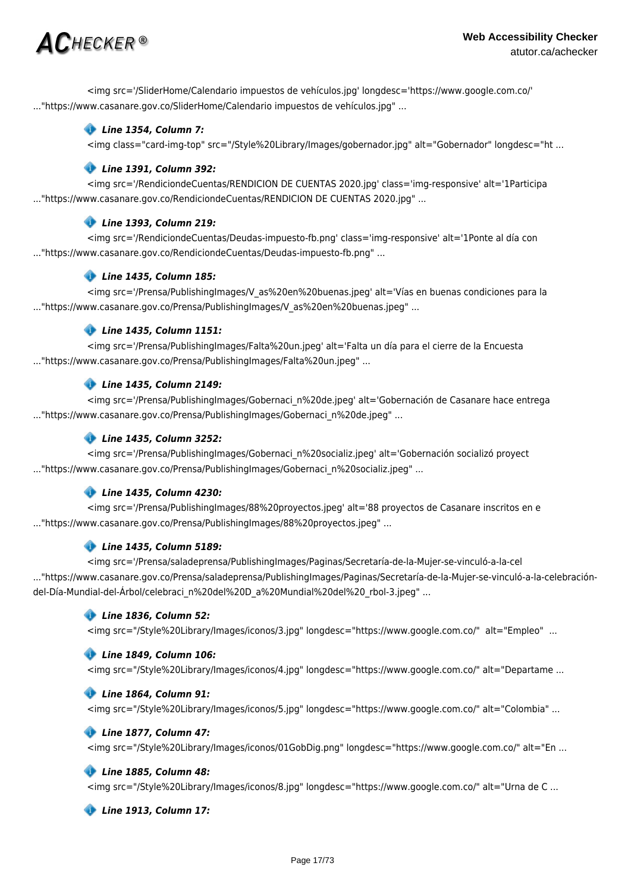# $\mathsf{AC}$ hecker ®

<img src='/SliderHome/Calendario impuestos de vehículos.jpg' longdesc='https://www.google.com.co/' ..."https://www.casanare.gov.co/SliderHome/Calendario impuestos de vehículos.jpg" ...

# *Line 1354, Column 7:*

<img class="card-img-top" src="/Style%20Library/Images/gobernador.jpg" alt="Gobernador" longdesc="ht ...

### *Line 1391, Column 392:*

<img src='/RendiciondeCuentas/RENDICION DE CUENTAS 2020.jpg' class='img-responsive' alt='1Participa ..."https://www.casanare.gov.co/RendiciondeCuentas/RENDICION DE CUENTAS 2020.jpg" ...

# *Line 1393, Column 219:*

<img src='/RendiciondeCuentas/Deudas-impuesto-fb.png' class='img-responsive' alt='1Ponte al día con ..."https://www.casanare.gov.co/RendiciondeCuentas/Deudas-impuesto-fb.png" ...

# *Line 1435, Column 185:*

<img src='/Prensa/PublishingImages/V\_as%20en%20buenas.jpeg' alt='Vías en buenas condiciones para la ..."https://www.casanare.gov.co/Prensa/PublishingImages/V\_as%20en%20buenas.jpeg" ...

# *Line 1435, Column 1151:*

<img src='/Prensa/PublishingImages/Falta%20un.jpeg' alt='Falta un día para el cierre de la Encuesta ..."https://www.casanare.gov.co/Prensa/PublishingImages/Falta%20un.jpeg" ...

# *Line 1435, Column 2149:*

<img src='/Prensa/PublishingImages/Gobernaci\_n%20de.jpeg' alt='Gobernación de Casanare hace entrega ..."https://www.casanare.gov.co/Prensa/PublishingImages/Gobernaci\_n%20de.jpeg" ...

# *Line 1435, Column 3252:*

<img src='/Prensa/PublishingImages/Gobernaci\_n%20socializ.jpeg' alt='Gobernación socializó proyect ..."https://www.casanare.gov.co/Prensa/PublishingImages/Gobernaci\_n%20socializ.jpeg" ...

# *Line 1435, Column 4230:*

<img src='/Prensa/PublishingImages/88%20proyectos.jpeg' alt='88 proyectos de Casanare inscritos en e ..."https://www.casanare.gov.co/Prensa/PublishingImages/88%20proyectos.jpeg" ...

# *Line 1435, Column 5189:*

<img src='/Prensa/saladeprensa/PublishingImages/Paginas/Secretaría-de-la-Mujer-se-vinculó-a-la-cel ..."https://www.casanare.gov.co/Prensa/saladeprensa/PublishingImages/Paginas/Secretaría-de-la-Mujer-se-vinculó-a-la-celebracióndel-Día-Mundial-del-Árbol/celebraci\_n%20del%20D\_a%20Mundial%20del%20\_rbol-3.jpeg" ...

### *Line 1836, Column 52:*

<img src="/Style%20Library/Images/iconos/3.jpg" longdesc="https://www.google.com.co/" alt="Empleo" ...

### *Line 1849, Column 106:*

<img src="/Style%20Library/Images/iconos/4.jpg" longdesc="https://www.google.com.co/" alt="Departame ...

### *Line 1864, Column 91:*

<img src="/Style%20Library/Images/iconos/5.jpg" longdesc="https://www.google.com.co/" alt="Colombia" ...

### *Line 1877, Column 47:*

<img src="/Style%20Library/Images/iconos/01GobDig.png" longdesc="https://www.google.com.co/" alt="En ...

### *Line 1885, Column 48:*

<img src="/Style%20Library/Images/iconos/8.jpg" longdesc="https://www.google.com.co/" alt="Urna de C ...

 *Line 1913, Column 17:*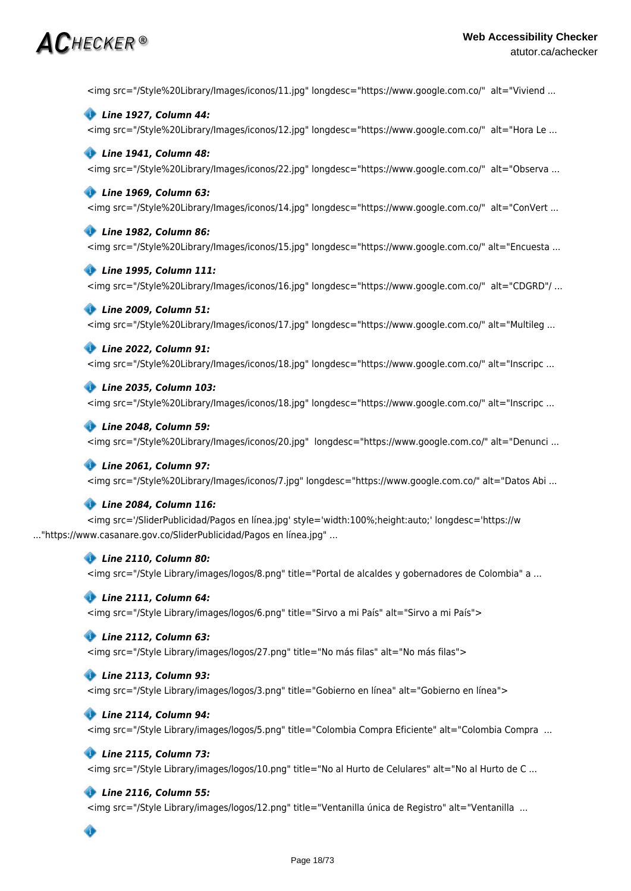# $\mathsf{AC}$ hecker ®

<img src="/Style%20Library/Images/iconos/11.jpg" longdesc="https://www.google.com.co/" alt="Viviend ...



<img src="/Style%20Library/Images/iconos/12.jpg" longdesc="https://www.google.com.co/" alt="Hora Le ...

### *Line 1941, Column 48:*

<img src="/Style%20Library/Images/iconos/22.jpg" longdesc="https://www.google.com.co/" alt="Observa ...

### *Line 1969, Column 63:*

<img src="/Style%20Library/Images/iconos/14.jpg" longdesc="https://www.google.com.co/" alt="ConVert ...

### *Line 1982, Column 86:*

<img src="/Style%20Library/Images/iconos/15.jpg" longdesc="https://www.google.com.co/" alt="Encuesta ...

### *Line 1995, Column 111:*

<img src="/Style%20Library/Images/iconos/16.jpg" longdesc="https://www.google.com.co/" alt="CDGRD"/ ...

### *Line 2009, Column 51:*

<img src="/Style%20Library/Images/iconos/17.jpg" longdesc="https://www.google.com.co/" alt="Multileg ...

### *Line 2022, Column 91:*

<img src="/Style%20Library/Images/iconos/18.jpg" longdesc="https://www.google.com.co/" alt="Inscripc ...

### *Line 2035, Column 103:*

<img src="/Style%20Library/Images/iconos/18.jpg" longdesc="https://www.google.com.co/" alt="Inscripc ...

#### *Line 2048, Column 59:*

<img src="/Style%20Library/Images/iconos/20.jpg" longdesc="https://www.google.com.co/" alt="Denunci ...

### *Line 2061, Column 97:*

<img src="/Style%20Library/Images/iconos/7.jpg" longdesc="https://www.google.com.co/" alt="Datos Abi ...

### *Line 2084, Column 116:*

<img src='/SliderPublicidad/Pagos en línea.jpg' style='width:100%;height:auto;' longdesc='https://w ..."https://www.casanare.gov.co/SliderPublicidad/Pagos en línea.jpg" ...

#### *Line 2110, Column 80:*

<img src="/Style Library/images/logos/8.png" title="Portal de alcaldes y gobernadores de Colombia" a ...

### *Line 2111, Column 64:*

<img src="/Style Library/images/logos/6.png" title="Sirvo a mi País" alt="Sirvo a mi País">

### *Line 2112, Column 63:*

<img src="/Style Library/images/logos/27.png" title="No más filas" alt="No más filas">

### *Line 2113, Column 93:*

<img src="/Style Library/images/logos/3.png" title="Gobierno en línea" alt="Gobierno en línea">

### *Line 2114, Column 94:*

<img src="/Style Library/images/logos/5.png" title="Colombia Compra Eficiente" alt="Colombia Compra ...

#### *Line 2115, Column 73:*

<img src="/Style Library/images/logos/10.png" title="No al Hurto de Celulares" alt="No al Hurto de C ...

### *Line 2116, Column 55:*

<img src="/Style Library/images/logos/12.png" title="Ventanilla única de Registro" alt="Ventanilla ...

# ◈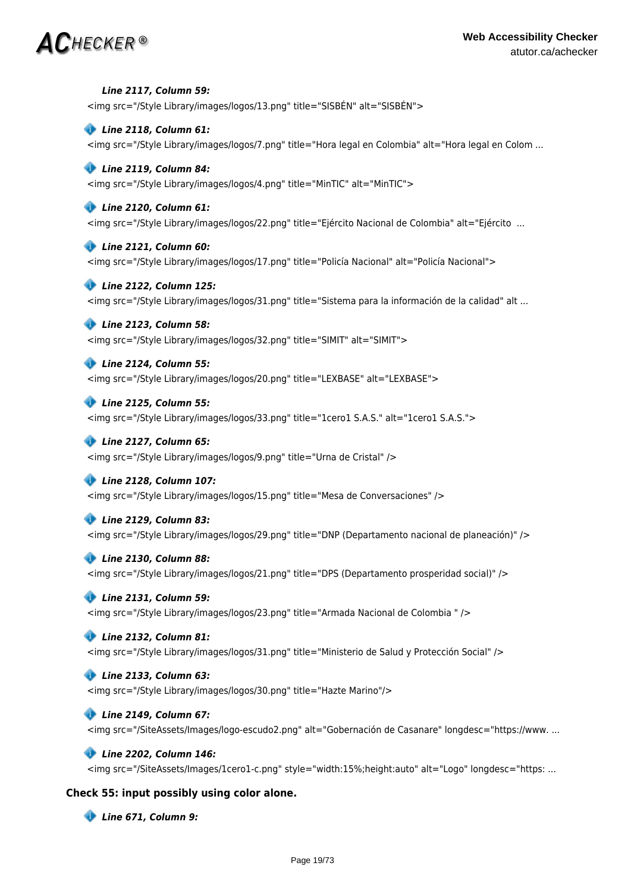# $\bm{AC}$ HECKER®

### *Line 2117, Column 59:*

<img src="/Style Library/images/logos/13.png" title="SISBÉN" alt="SISBÉN">

### *Line 2118, Column 61:*

<img src="/Style Library/images/logos/7.png" title="Hora legal en Colombia" alt="Hora legal en Colom ...

### *Line 2119, Column 84:*

<img src="/Style Library/images/logos/4.png" title="MinTIC" alt="MinTIC">

### *Line 2120, Column 61:*

<img src="/Style Library/images/logos/22.png" title="Ejército Nacional de Colombia" alt="Ejército ...

### *Line 2121, Column 60:*

<img src="/Style Library/images/logos/17.png" title="Policía Nacional" alt="Policía Nacional">

### *Line 2122, Column 125:*

<img src="/Style Library/images/logos/31.png" title="Sistema para la información de la calidad" alt ...

### *Line 2123, Column 58:*

<img src="/Style Library/images/logos/32.png" title="SIMIT" alt="SIMIT">

### *Line 2124, Column 55:*

<img src="/Style Library/images/logos/20.png" title="LEXBASE" alt="LEXBASE">

### *Line 2125, Column 55:*

<img src="/Style Library/images/logos/33.png" title="1cero1 S.A.S." alt="1cero1 S.A.S.">

### *Line 2127, Column 65:*

<img src="/Style Library/images/logos/9.png" title="Urna de Cristal" />

### *Line 2128, Column 107:*

<img src="/Style Library/images/logos/15.png" title="Mesa de Conversaciones" />

### *Line 2129, Column 83:*

<img src="/Style Library/images/logos/29.png" title="DNP (Departamento nacional de planeación)" />

### *Line 2130, Column 88:*

<img src="/Style Library/images/logos/21.png" title="DPS (Departamento prosperidad social)" />

### *Line 2131, Column 59:*

<img src="/Style Library/images/logos/23.png" title="Armada Nacional de Colombia " />

### *Line 2132, Column 81:*

<img src="/Style Library/images/logos/31.png" title="Ministerio de Salud y Protección Social" />

### *Line 2133, Column 63:*

<img src="/Style Library/images/logos/30.png" title="Hazte Marino"/>

### *Line 2149, Column 67:*

<img src="/SiteAssets/Images/logo-escudo2.png" alt="Gobernación de Casanare" longdesc="https://www. ...

#### *Line 2202, Column 146:*

<img src="/SiteAssets/Images/1cero1-c.png" style="width:15%;height:auto" alt="Logo" longdesc="https: ...

### **Check 55: input possibly using color alone.**

 *Line 671, Column 9:*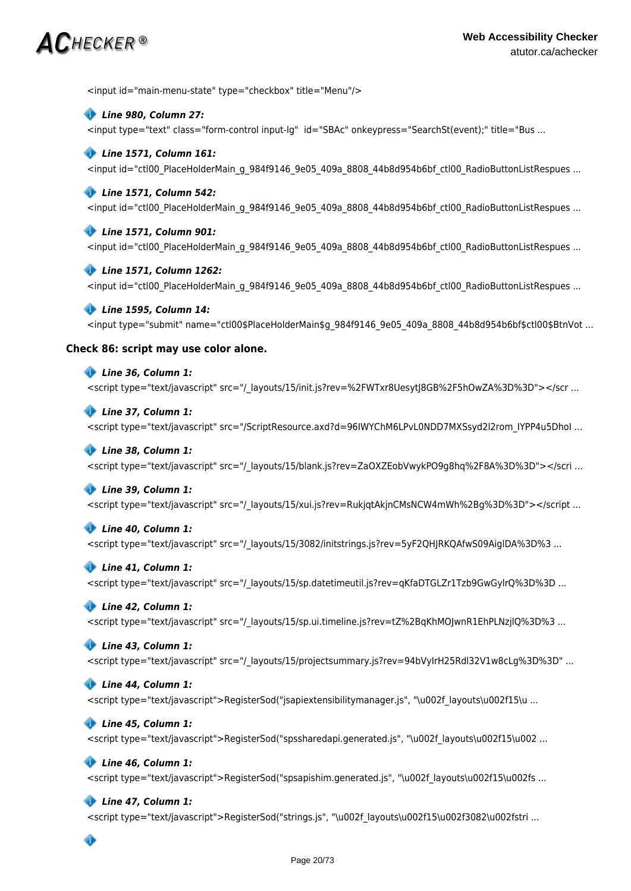# $\mathsf{AC}$ hecker ®

<input id="main-menu-state" type="checkbox" title="Menu"/>

### *Line 980, Column 27:*

<input type="text" class="form-control input-lg" id="SBAc" onkeypress="SearchSt(event);" title="Bus ...

### *Line 1571, Column 161:*

<input id="ctl00\_PlaceHolderMain\_g\_984f9146\_9e05\_409a\_8808\_44b8d954b6bf\_ctl00\_RadioButtonListRespues ...

### *Line 1571, Column 542:*

<input id="ctl00\_PlaceHolderMain\_g\_984f9146\_9e05\_409a\_8808\_44b8d954b6bf\_ctl00\_RadioButtonListRespues ...

### *Line 1571, Column 901:*

<input id="ctl00\_PlaceHolderMain\_g\_984f9146\_9e05\_409a\_8808\_44b8d954b6bf\_ctl00\_RadioButtonListRespues ...

### *Line 1571, Column 1262:*

<input id="ctl00\_PlaceHolderMain\_g\_984f9146\_9e05\_409a\_8808\_44b8d954b6bf\_ctl00\_RadioButtonListRespues ...

### *Line 1595, Column 14:*

<input type="submit" name="ctl00\$PlaceHolderMain\$g\_984f9146\_9e05\_409a\_8808\_44b8d954b6bf\$ctl00\$BtnVot ...

### **Check 86: script may use color alone.**

### *Line 36, Column 1:*

<script type="text/javascript" src="/\_layouts/15/init.js?rev=%2FWTxr8UesytJ8GB%2F5hOwZA%3D%3D"></scr ...

### *Line 37, Column 1:*

<script type="text/javascript" src="/ScriptResource.axd?d=96IWYChM6LPvL0NDD7MXSsyd2l2rom\_IYPP4u5DhoI ...

### *Line 38, Column 1:*

<script type="text/javascript" src="/\_layouts/15/blank.js?rev=ZaOXZEobVwykPO9g8hq%2F8A%3D%3D"></scri ...

### *Line 39, Column 1:*

<script type="text/javascript" src="/\_layouts/15/xui.js?rev=RukjqtAkjnCMsNCW4mWh%2Bg%3D%3D"></script ...

### *Line 40, Column 1:*

<script type="text/javascript" src="/ layouts/15/3082/initstrings.js?rev=5yF2QHJRKQAfwS09AiglDA%3D%3 ...

### *Line 41, Column 1:*

<script type="text/javascript" src="/\_layouts/15/sp.datetimeutil.js?rev=qKfaDTGLZr1Tzb9GwGylrQ%3D%3D ...

### *Line 42, Column 1:*

<script type="text/javascript" src="/\_layouts/15/sp.ui.timeline.js?rev=tZ%2BqKhMOJwnR1EhPLNzjlQ%3D%3 ...

### *Line 43, Column 1:*

<script type="text/javascript" src="/\_layouts/15/projectsummary.js?rev=94bVyIrH25Rdl32V1w8cLg%3D%3D" ...

### *Line 44, Column 1:*

<script type="text/javascript">RegisterSod("jsapiextensibilitymanager.js", "\u002f layouts\u002f15\u ...

### *Line 45, Column 1:*

<script type="text/javascript">RegisterSod("spssharedapi.generated.js", "\u002f\_layouts\u002f15\u002 ...

### *Line 46, Column 1:*

<script type="text/javascript">RegisterSod("spsapishim.generated.js", "\u002f\_layouts\u002f15\u002fs ...

### *Line 47, Column 1:*

<script type="text/javascript">RegisterSod("strings.js", "\u002f\_layouts\u002f15\u002f3082\u002fstri ...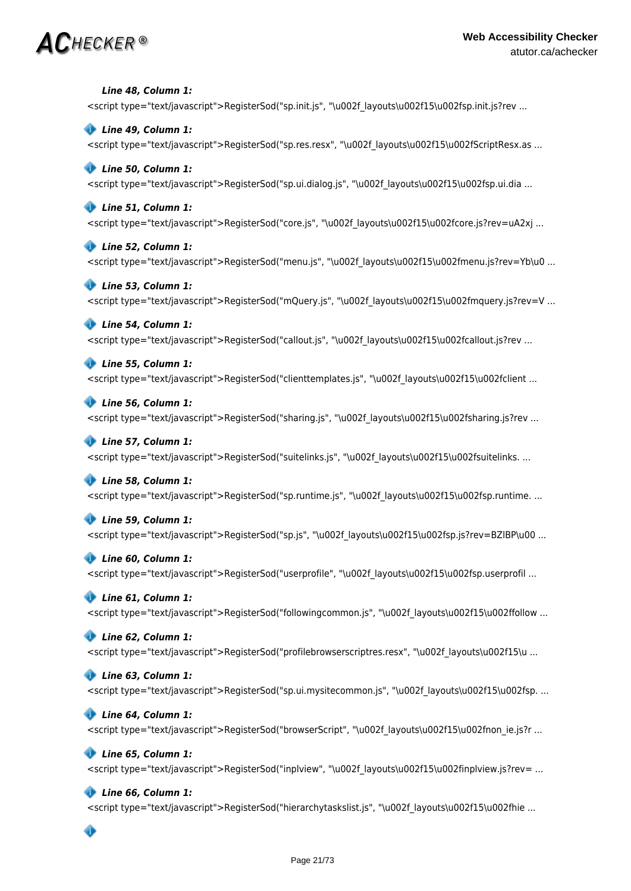# $\mathbf{AC}$ hecker®

 *Line 48, Column 1:* <script type="text/javascript">RegisterSod("sp.init.js", "\u002f\_layouts\u002f15\u002fsp.init.js?rev ...

 *Line 49, Column 1:* <script type="text/javascript">RegisterSod("sp.res.resx", "\u002f layouts\u002f15\u002fScriptResx.as ...

# *Line 50, Column 1:*

<script type="text/javascript">RegisterSod("sp.ui.dialog.js", "\u002f\_layouts\u002f15\u002fsp.ui.dia ...

### *Line 51, Column 1:*

<script type="text/javascript">RegisterSod("core.js", "\u002f\_layouts\u002f15\u002fcore.js?rev=uA2xj ...

### *Line 52, Column 1:*

<script type="text/javascript">RegisterSod("menu.js", "\u002f\_layouts\u002f15\u002fmenu.js?rev=Yb\u0 ...

### *Line 53, Column 1:*

<script type="text/javascript">RegisterSod("mQuery.js", "\u002f\_layouts\u002f15\u002fmquery.js?rev=V ...

### *Line 54, Column 1:*

<script type="text/javascript">RegisterSod("callout.js", "\u002f layouts\u002f15\u002fcallout.js?rev ...

### *Line 55, Column 1:*

<script type="text/javascript">RegisterSod("clienttemplates.js", "\u002f layouts\u002f15\u002fclient ...

### *Line 56, Column 1:*

<script type="text/javascript">RegisterSod("sharing.js", "\u002f layouts\u002f15\u002fsharing.js?rev ...

### *Line 57, Column 1:*

<script type="text/javascript">RegisterSod("suitelinks.js", "\u002f layouts\u002f15\u002fsuitelinks. ...

# *Line 58, Column 1:*

<script type="text/javascript">RegisterSod("sp.runtime.js", "\u002f\_layouts\u002f15\u002fsp.runtime. ...

# *Line 59, Column 1:*

<script type="text/javascript">RegisterSod("sp.js", "\u002f\_layouts\u002f15\u002fsp.js?rev=BZlBP\u00 ...

# *Line 60, Column 1:*

<script type="text/javascript">RegisterSod("userprofile", "\u002f\_layouts\u002f15\u002fsp.userprofil ...

# *Line 61, Column 1:*

<script type="text/javascript">RegisterSod("followingcommon.js", "\u002f layouts\u002f15\u002ffollow ...

# *Line 62, Column 1:*

<script type="text/javascript">RegisterSod("profilebrowserscriptres.resx", "\u002f\_layouts\u002f15\u ...

# *Line 63, Column 1:*

<script type="text/javascript">RegisterSod("sp.ui.mysitecommon.js", "\u002f\_layouts\u002f15\u002fsp. ...

# *Line 64, Column 1:*

<script type="text/javascript">RegisterSod("browserScript", "\u002f layouts\u002f15\u002fnon\_ie.js?r ...

# *Line 65, Column 1:*

<script type="text/javascript">RegisterSod("inplview", "\u002f\_layouts\u002f15\u002finplview.js?rev= ...

# *Line 66, Column 1:*

<script type="text/javascript">RegisterSod("hierarchytaskslist.js", "\u002f layouts\u002f15\u002fhie ...

# ◈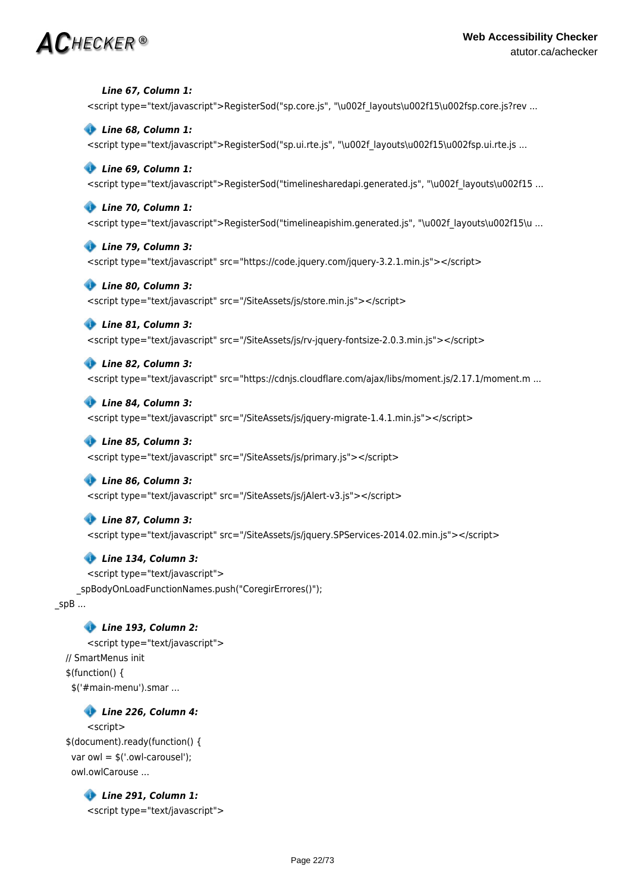# $\mathsf{AC}$ hecker®

 *Line 67, Column 1:* <script type="text/javascript">RegisterSod("sp.core.js", "\u002f layouts\u002f15\u002fsp.core.js?rev ...  *Line 68, Column 1:* <script type="text/javascript">RegisterSod("sp.ui.rte.js", "\u002f layouts\u002f15\u002fsp.ui.rte.js ...  *Line 69, Column 1:* <script type="text/javascript">RegisterSod("timelinesharedapi.generated.js", "\u002f\_layouts\u002f15 ...  *Line 70, Column 1:* <script type="text/javascript">RegisterSod("timelineapishim.generated.js", "\u002f\_layouts\u002f15\u ...  *Line 79, Column 3:* <script type="text/javascript" src="https://code.jquery.com/jquery-3.2.1.min.js"></script>  *Line 80, Column 3:* <script type="text/javascript" src="/SiteAssets/js/store.min.js"></script>  *Line 81, Column 3:* <script type="text/javascript" src="/SiteAssets/js/rv-jquery-fontsize-2.0.3.min.js"></script>  *Line 82, Column 3:* <script type="text/javascript" src="https://cdnjs.cloudflare.com/ajax/libs/moment.js/2.17.1/moment.m ...  *Line 84, Column 3:* <script type="text/javascript" src="/SiteAssets/js/jquery-migrate-1.4.1.min.js"></script>  *Line 85, Column 3:* <script type="text/javascript" src="/SiteAssets/js/primary.js"></script>  *Line 86, Column 3:* <script type="text/javascript" src="/SiteAssets/js/jAlert-v3.js"></script>  *Line 87, Column 3:* <script type="text/javascript" src="/SiteAssets/js/jquery.SPServices-2014.02.min.js"></script>  *Line 134, Column 3:* <script type="text/javascript"> \_spBodyOnLoadFunctionNames.push("CoregirErrores()");  $\_$ spB ...  *Line 193, Column 2:* <script type="text/javascript"> // SmartMenus init \$(function() { \$('#main-menu').smar ...  *Line 226, Column 4:*

<script> \$(document).ready(function() { var owl =  $$('.owl-carouse'')$ : owl.owlCarouse ...

> *Line 291, Column 1:* <script type="text/javascript">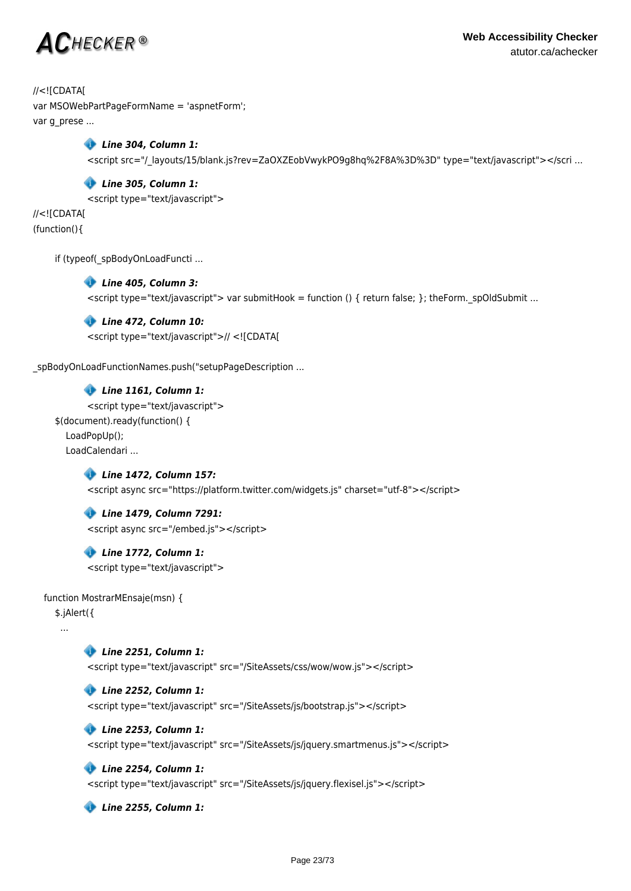

//<![CDATA[ var MSOWebPartPageFormName = 'aspnetForm';

var g\_prese ...

 *Line 304, Column 1:* <script src="/\_layouts/15/blank.js?rev=ZaOXZEobVwykPO9g8hq%2F8A%3D%3D" type="text/javascript"></scri ...

 *Line 305, Column 1:*

<script type="text/javascript">

//<![CDATA[ (function(){

if (typeof(\_spBodyOnLoadFuncti ...

### *Line 405, Column 3:*

 $\prec$ script type="text/javascript"> var submitHook = function () { return false; }; theForm. spOldSubmit ...

 *Line 472, Column 10:*

<script type="text/javascript">// <![CDATA[

spBodyOnLoadFunctionNames.push("setupPageDescription ...

# *Line 1161, Column 1:*

<script type="text/javascript"> \$(document).ready(function() { LoadPopUp(); LoadCalendari ...

### *Line 1472, Column 157:*

<script async src="https://platform.twitter.com/widgets.js" charset="utf-8"></script>

### *Line 1479, Column 7291:*

<script async src="/embed.js"></script>

 *Line 1772, Column 1:* <script type="text/javascript">

function MostrarMEnsaje(msn) {

\$.jAlert({

...

 *Line 2251, Column 1:*

<script type="text/javascript" src="/SiteAssets/css/wow/wow.js"></script>

 *Line 2252, Column 1:*

<script type="text/javascript" src="/SiteAssets/js/bootstrap.js"></script>

### *Line 2253, Column 1:*

<script type="text/javascript" src="/SiteAssets/js/jquery.smartmenus.js"></script>

### *Line 2254, Column 1:*

<script type="text/javascript" src="/SiteAssets/js/jquery.flexisel.js"></script>

 *Line 2255, Column 1:*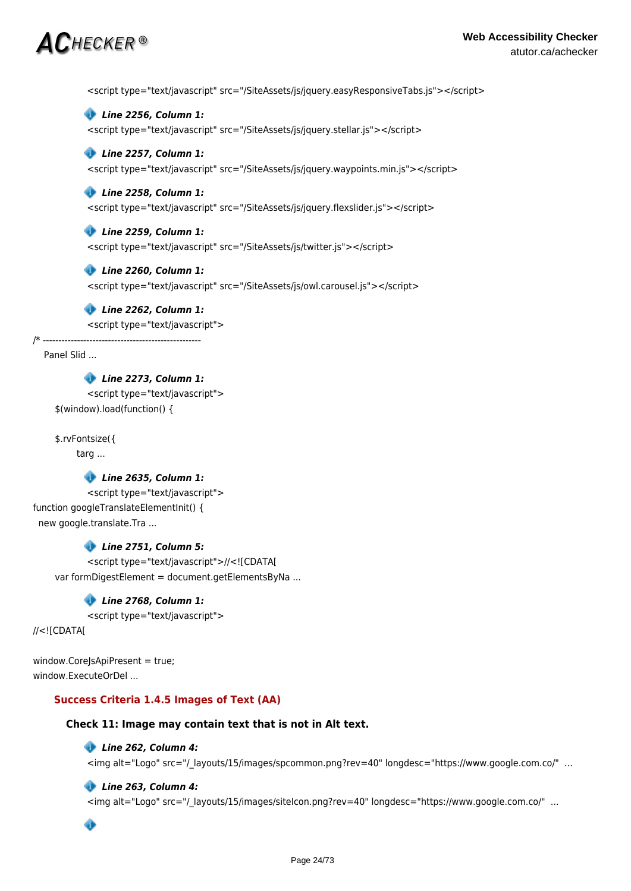# $\boldsymbol{C}$ hecker ®

<script type="text/javascript" src="/SiteAssets/js/jquery.easyResponsiveTabs.js"></script>

 *Line 2256, Column 1:*

<script type="text/javascript" src="/SiteAssets/js/jquery.stellar.js"></script>

### *Line 2257, Column 1:*

<script type="text/javascript" src="/SiteAssets/js/jquery.waypoints.min.js"></script>

### *Line 2258, Column 1:*

<script type="text/javascript" src="/SiteAssets/js/jquery.flexslider.js"></script>

### *Line 2259, Column 1:*

<script type="text/javascript" src="/SiteAssets/js/twitter.js"></script>

### *Line 2260, Column 1:*

<script type="text/javascript" src="/SiteAssets/js/owl.carousel.js"></script>

### *Line 2262, Column 1:*

<script type="text/javascript">

/\* ---------------------------------------------------

Panel Slid ...

# *Line 2273, Column 1:*

<script type="text/javascript"> \$(window).load(function() {

\$.rvFontsize({

targ ...

# *Line 2635, Column 1:*

<script type="text/javascript"> function googleTranslateElementInit() { new google.translate.Tra ...

### *Line 2751, Column 5:*

<script type="text/javascript">//<![CDATA[ var formDigestElement = document.getElementsByNa ...

### *Line 2768, Column 1:*

<script type="text/javascript">

//<![CDATA[

window.CoreJsApiPresent = true; window.ExecuteOrDel ...

### **Success Criteria 1.4.5 Images of Text (AA)**

### **Check 11: Image may contain text that is not in Alt text.**

### *Line 262, Column 4:*

<img alt="Logo" src="/\_layouts/15/images/spcommon.png?rev=40" longdesc="https://www.google.com.co/" ...

### *Line 263, Column 4:*

<img alt="Logo" src="/\_layouts/15/images/siteIcon.png?rev=40" longdesc="https://www.google.com.co/" ...

Ô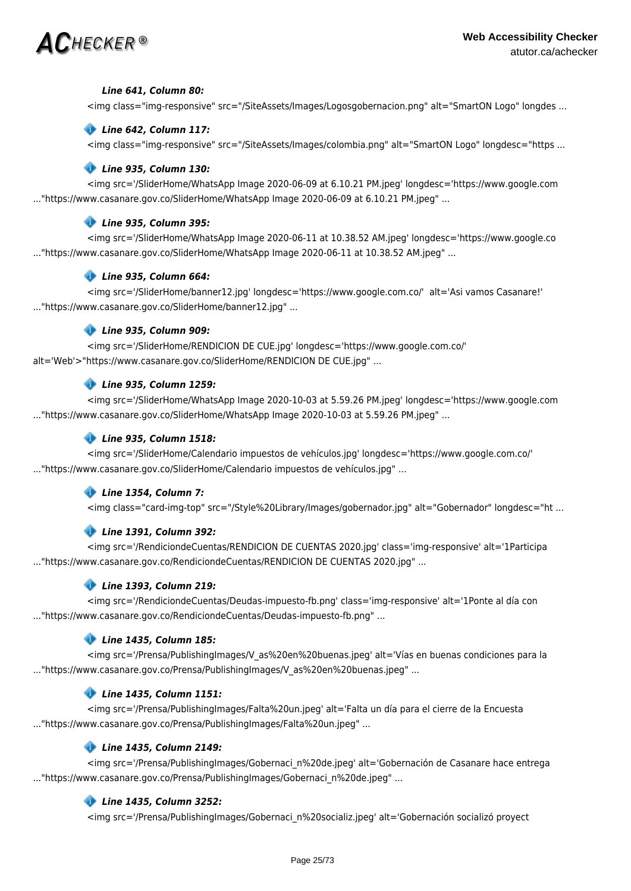

### *Line 641, Column 80:*

<img class="img-responsive" src="/SiteAssets/Images/Logosgobernacion.png" alt="SmartON Logo" longdes ...

### *Line 642, Column 117:*

<img class="img-responsive" src="/SiteAssets/Images/colombia.png" alt="SmartON Logo" longdesc="https ...

### *Line 935, Column 130:*

<img src='/SliderHome/WhatsApp Image 2020-06-09 at 6.10.21 PM.jpeg' longdesc='https://www.google.com ..."https://www.casanare.gov.co/SliderHome/WhatsApp Image 2020-06-09 at 6.10.21 PM.jpeg" ...

### *Line 935, Column 395:*

<img src='/SliderHome/WhatsApp Image 2020-06-11 at 10.38.52 AM.jpeg' longdesc='https://www.google.co ..."https://www.casanare.gov.co/SliderHome/WhatsApp Image 2020-06-11 at 10.38.52 AM.jpeg" ...

### *Line 935, Column 664:*

<img src='/SliderHome/banner12.jpg' longdesc='https://www.google.com.co/' alt='Asi vamos Casanare!' ..."https://www.casanare.gov.co/SliderHome/banner12.jpg" ...

### *Line 935, Column 909:*

<img src='/SliderHome/RENDICION DE CUE.jpg' longdesc='https://www.google.com.co/' alt='Web'>"https://www.casanare.gov.co/SliderHome/RENDICION DE CUE.jpg" ...

### *Line 935, Column 1259:*

<img src='/SliderHome/WhatsApp Image 2020-10-03 at 5.59.26 PM.jpeg' longdesc='https://www.google.com ..."https://www.casanare.gov.co/SliderHome/WhatsApp Image 2020-10-03 at 5.59.26 PM.jpeg" ...

### *Line 935, Column 1518:*

<img src='/SliderHome/Calendario impuestos de vehículos.jpg' longdesc='https://www.google.com.co/' ..."https://www.casanare.gov.co/SliderHome/Calendario impuestos de vehículos.jpg" ...

### *Line 1354, Column 7:*

<img class="card-img-top" src="/Style%20Library/Images/gobernador.jpg" alt="Gobernador" longdesc="ht ...

### *Line 1391, Column 392:*

<img src='/RendiciondeCuentas/RENDICION DE CUENTAS 2020.jpg' class='img-responsive' alt='1Participa ..."https://www.casanare.gov.co/RendiciondeCuentas/RENDICION DE CUENTAS 2020.jpg" ...

### *Line 1393, Column 219:*

<img src='/RendiciondeCuentas/Deudas-impuesto-fb.png' class='img-responsive' alt='1Ponte al día con ..."https://www.casanare.gov.co/RendiciondeCuentas/Deudas-impuesto-fb.png" ...

### *Line 1435, Column 185:*

<img src='/Prensa/PublishingImages/V\_as%20en%20buenas.jpeg' alt='Vías en buenas condiciones para la ..."https://www.casanare.gov.co/Prensa/PublishingImages/V\_as%20en%20buenas.jpeg" ...

### *Line 1435, Column 1151:*

<img src='/Prensa/PublishingImages/Falta%20un.jpeg' alt='Falta un día para el cierre de la Encuesta ..."https://www.casanare.gov.co/Prensa/PublishingImages/Falta%20un.jpeg" ...

# *Line 1435, Column 2149:*

<img src='/Prensa/PublishingImages/Gobernaci\_n%20de.jpeg' alt='Gobernación de Casanare hace entrega ..."https://www.casanare.gov.co/Prensa/PublishingImages/Gobernaci\_n%20de.jpeg" ...

### *Line 1435, Column 3252:*

<img src='/Prensa/PublishingImages/Gobernaci\_n%20socializ.jpeg' alt='Gobernación socializó proyect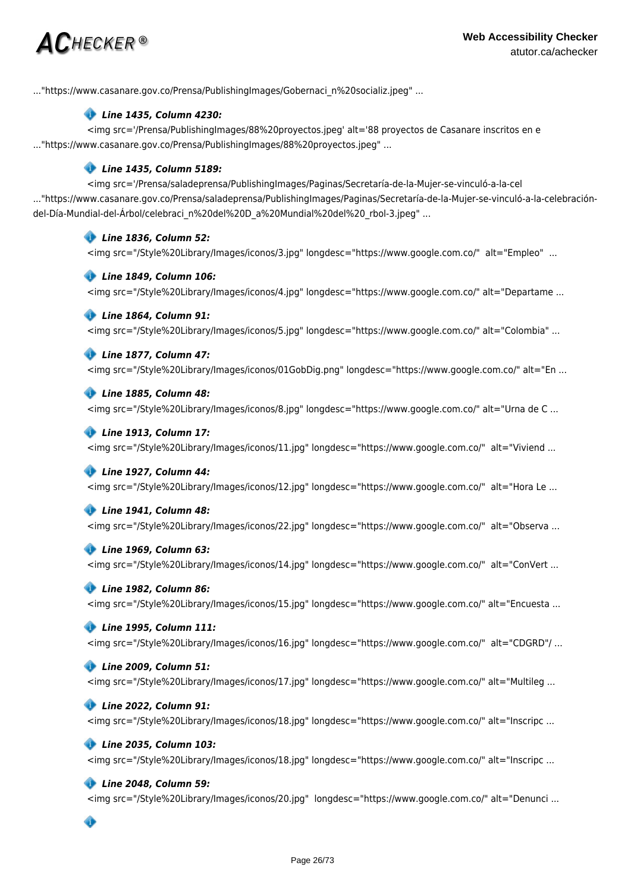# $\bm{AC}$ HECKER®

..."https://www.casanare.gov.co/Prensa/PublishingImages/Gobernaci\_n%20socializ.jpeg" ...

### *Line 1435, Column 4230:*

<img src='/Prensa/PublishingImages/88%20proyectos.jpeg' alt='88 proyectos de Casanare inscritos en e ..."https://www.casanare.gov.co/Prensa/PublishingImages/88%20proyectos.jpeg" ...

# *Line 1435, Column 5189:*

<img src='/Prensa/saladeprensa/PublishingImages/Paginas/Secretaría-de-la-Mujer-se-vinculó-a-la-cel ..."https://www.casanare.gov.co/Prensa/saladeprensa/PublishingImages/Paginas/Secretaría-de-la-Mujer-se-vinculó-a-la-celebracióndel-Día-Mundial-del-Árbol/celebraci\_n%20del%20D\_a%20Mundial%20del%20\_rbol-3.jpeg" ...

# *Line 1836, Column 52:*

<img src="/Style%20Library/Images/iconos/3.jpg" longdesc="https://www.google.com.co/" alt="Empleo" ...

### *Line 1849, Column 106:*

<img src="/Style%20Library/Images/iconos/4.jpg" longdesc="https://www.google.com.co/" alt="Departame ...

### *Line 1864, Column 91:*

<img src="/Style%20Library/Images/iconos/5.jpg" longdesc="https://www.google.com.co/" alt="Colombia" ...

### *Line 1877, Column 47:*

<img src="/Style%20Library/Images/iconos/01GobDig.png" longdesc="https://www.google.com.co/" alt="En ...

### *Line 1885, Column 48:*

<img src="/Style%20Library/Images/iconos/8.jpg" longdesc="https://www.google.com.co/" alt="Urna de C ...

### *Line 1913, Column 17:*

<img src="/Style%20Library/Images/iconos/11.jpg" longdesc="https://www.google.com.co/" alt="Viviend ...

### *Line 1927, Column 44:*

<img src="/Style%20Library/Images/iconos/12.jpg" longdesc="https://www.google.com.co/" alt="Hora Le ...

### *Line 1941, Column 48:*

<img src="/Style%20Library/Images/iconos/22.jpg" longdesc="https://www.google.com.co/" alt="Observa ...

### *Line 1969, Column 63:*

<img src="/Style%20Library/Images/iconos/14.jpg" longdesc="https://www.google.com.co/" alt="ConVert ...

### *Line 1982, Column 86:*

<img src="/Style%20Library/Images/iconos/15.jpg" longdesc="https://www.google.com.co/" alt="Encuesta ...

### *Line 1995, Column 111:*

<img src="/Style%20Library/Images/iconos/16.jpg" longdesc="https://www.google.com.co/" alt="CDGRD"/ ...

## *Line 2009, Column 51:*

<img src="/Style%20Library/Images/iconos/17.jpg" longdesc="https://www.google.com.co/" alt="Multileg ...

### *Line 2022, Column 91:*

<img src="/Style%20Library/Images/iconos/18.jpg" longdesc="https://www.google.com.co/" alt="Inscripc ...

### *Line 2035, Column 103:*

<img src="/Style%20Library/Images/iconos/18.jpg" longdesc="https://www.google.com.co/" alt="Inscripc ...

### *Line 2048, Column 59:*

<img src="/Style%20Library/Images/iconos/20.jpg" longdesc="https://www.google.com.co/" alt="Denunci ...

Ô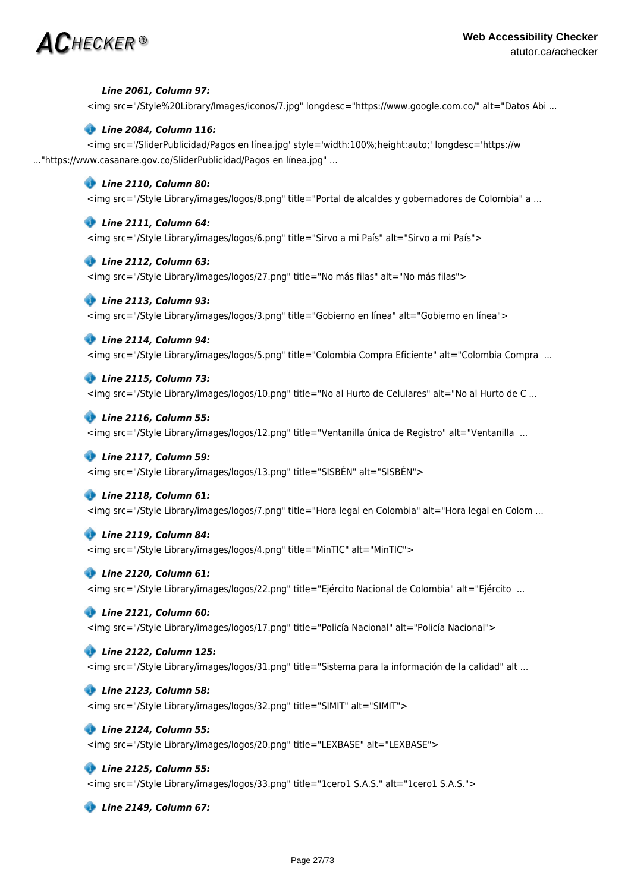

### *Line 2061, Column 97:*

<img src="/Style%20Library/Images/iconos/7.jpg" longdesc="https://www.google.com.co/" alt="Datos Abi ...

### *Line 2084, Column 116:*

<img src='/SliderPublicidad/Pagos en línea.jpg' style='width:100%;height:auto;' longdesc='https://w ..."https://www.casanare.gov.co/SliderPublicidad/Pagos en línea.jpg" ...

### *Line 2110, Column 80:*

<img src="/Style Library/images/logos/8.png" title="Portal de alcaldes y gobernadores de Colombia" a ...

### *Line 2111, Column 64:*

<img src="/Style Library/images/logos/6.png" title="Sirvo a mi País" alt="Sirvo a mi País">

### *Line 2112, Column 63:*

<img src="/Style Library/images/logos/27.png" title="No más filas" alt="No más filas">

### *Line 2113, Column 93:*

<img src="/Style Library/images/logos/3.png" title="Gobierno en línea" alt="Gobierno en línea">

### *Line 2114, Column 94:*

<img src="/Style Library/images/logos/5.png" title="Colombia Compra Eficiente" alt="Colombia Compra ...

### *Line 2115, Column 73:*

<img src="/Style Library/images/logos/10.png" title="No al Hurto de Celulares" alt="No al Hurto de C ...

### *Line 2116, Column 55:*

<img src="/Style Library/images/logos/12.png" title="Ventanilla única de Registro" alt="Ventanilla ...

### *Line 2117, Column 59:*

<img src="/Style Library/images/logos/13.png" title="SISBÉN" alt="SISBÉN">

### *Line 2118, Column 61:*

<img src="/Style Library/images/logos/7.png" title="Hora legal en Colombia" alt="Hora legal en Colom ...

### *Line 2119, Column 84:*

<img src="/Style Library/images/logos/4.png" title="MinTIC" alt="MinTIC">

### *Line 2120, Column 61:*

<img src="/Style Library/images/logos/22.png" title="Ejército Nacional de Colombia" alt="Ejército ...

### *Line 2121, Column 60:*

<img src="/Style Library/images/logos/17.png" title="Policía Nacional" alt="Policía Nacional">

### *Line 2122, Column 125:*

<img src="/Style Library/images/logos/31.png" title="Sistema para la información de la calidad" alt ...

### *Line 2123, Column 58:*

<img src="/Style Library/images/logos/32.png" title="SIMIT" alt="SIMIT">

### *Line 2124, Column 55:*

<img src="/Style Library/images/logos/20.png" title="LEXBASE" alt="LEXBASE">

### *Line 2125, Column 55:*

<img src="/Style Library/images/logos/33.png" title="1cero1 S.A.S." alt="1cero1 S.A.S.">

 *Line 2149, Column 67:*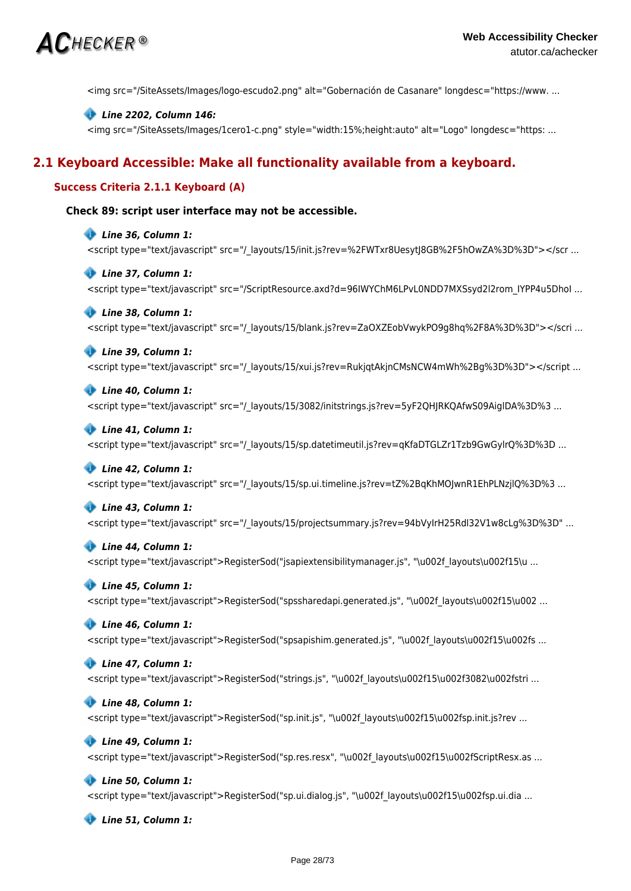

<img src="/SiteAssets/Images/logo-escudo2.png" alt="Gobernación de Casanare" longdesc="https://www. ...

### *Line 2202, Column 146:*

<img src="/SiteAssets/Images/1cero1-c.png" style="width:15%;height:auto" alt="Logo" longdesc="https: ...

# **2.1 Keyboard Accessible: Make all functionality available from a keyboard.**

### **Success Criteria 2.1.1 Keyboard (A)**

### **Check 89: script user interface may not be accessible.**

 *Line 36, Column 1:* <script type="text/javascript" src="/\_layouts/15/init.js?rev=%2FWTxr8UesytJ8GB%2F5hOwZA%3D%3D"></scr ...

 *Line 37, Column 1:* <script type="text/javascript" src="/ScriptResource.axd?d=96IWYChM6LPvL0NDD7MXSsyd2l2rom\_IYPP4u5DhoI ...

### *Line 38, Column 1:*

<script type="text/javascript" src="/\_layouts/15/blank.js?rev=ZaOXZEobVwykPO9g8hq%2F8A%3D%3D"></scri ...

 *Line 39, Column 1:*

<script type="text/javascript" src="/\_layouts/15/xui.js?rev=RukjqtAkjnCMsNCW4mWh%2Bg%3D%3D"></script ...

## *Line 40, Column 1:*

<script type="text/javascript" src="/ layouts/15/3082/initstrings.js?rev=5yF2QHJRKQAfwS09AiglDA%3D%3 ...

#### *Line 41, Column 1:*

<script type="text/javascript" src="/\_layouts/15/sp.datetimeutil.js?rev=qKfaDTGLZr1Tzb9GwGylrQ%3D%3D ...

### *Line 42, Column 1:*

<script type="text/javascript" src="/\_layouts/15/sp.ui.timeline.js?rev=tZ%2BqKhMOJwnR1EhPLNzjlQ%3D%3 ...

#### *Line 43, Column 1:*

<script type="text/javascript" src="/\_layouts/15/projectsummary.js?rev=94bVyIrH25Rdl32V1w8cLg%3D%3D" ...

#### *Line 44, Column 1:*

<script type="text/javascript">RegisterSod("jsapiextensibilitymanager.js", "\u002f layouts\u002f15\u ...

#### *Line 45, Column 1:*

<script type="text/javascript">RegisterSod("spssharedapi.generated.js", "\u002f\_layouts\u002f15\u002 ...

### *Line 46, Column 1:*

<script type="text/javascript">RegisterSod("spsapishim.generated.js", "\u002f layouts\u002f15\u002fs ...

### *Line 47, Column 1:*

<script type="text/javascript">RegisterSod("strings.js", "\u002f\_layouts\u002f15\u002f3082\u002fstri ...

### *Line 48, Column 1:*

<script type="text/javascript">RegisterSod("sp.init.js", "\u002f\_layouts\u002f15\u002fsp.init.js?rev ...

### *Line 49, Column 1:*

<script type="text/javascript">RegisterSod("sp.res.resx", "\u002f\_layouts\u002f15\u002fScriptResx.as ...

#### *Line 50, Column 1:*

<script type="text/javascript">RegisterSod("sp.ui.dialog.js", "\u002f\_layouts\u002f15\u002fsp.ui.dia ...

 *Line 51, Column 1:*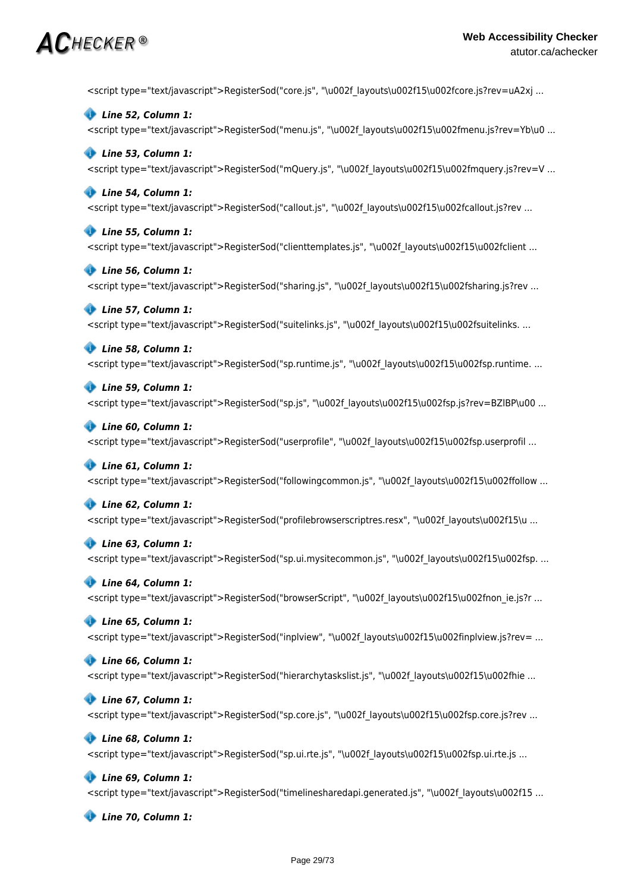# $\bm{AC}$ HECKER®

<script type="text/javascript">RegisterSod("core.js", "\u002f\_layouts\u002f15\u002fcore.js?rev=uA2xj ...

 *Line 52, Column 1:* <script type="text/javascript">RegisterSod("menu.js", "\u002f\_layouts\u002f15\u002fmenu.js?rev=Yb\u0 ...

### *Line 53, Column 1:*

<script type="text/javascript">RegisterSod("mQuery.js", "\u002f\_layouts\u002f15\u002fmquery.js?rev=V ...

### *Line 54, Column 1:*

<script type="text/javascript">RegisterSod("callout.js", "\u002f\_layouts\u002f15\u002fcallout.js?rev ...

### *Line 55, Column 1:*

<script type="text/javascript">RegisterSod("clienttemplates.js", "\u002f layouts\u002f15\u002fclient ...

### *Line 56, Column 1:*

<script type="text/javascript">RegisterSod("sharing.js", "\u002f\_layouts\u002f15\u002fsharing.js?rev ...

### *Line 57, Column 1:*

<script type="text/javascript">RegisterSod("suitelinks.js", "\u002f layouts\u002f15\u002fsuitelinks. ...

### *Line 58, Column 1:*

<script type="text/javascript">RegisterSod("sp.runtime.js", "\u002f\_layouts\u002f15\u002fsp.runtime. ...

### *Line 59, Column 1:*

<script type="text/javascript">RegisterSod("sp.js", "\u002f\_layouts\u002f15\u002fsp.js?rev=BZlBP\u00 ...

### *Line 60, Column 1:*

<script type="text/javascript">RegisterSod("userprofile", "\u002f layouts\u002f15\u002fsp.userprofil ...

### *Line 61, Column 1:*

<script type="text/javascript">RegisterSod("followingcommon.js", "\u002f layouts\u002f15\u002ffollow ...

### *Line 62, Column 1:*

<script type="text/javascript">RegisterSod("profilebrowserscriptres.resx", "\u002f\_layouts\u002f15\u ...

### *Line 63, Column 1:*

<script type="text/javascript">RegisterSod("sp.ui.mysitecommon.js", "\u002f\_layouts\u002f15\u002fsp. ...

### *Line 64, Column 1:*

<script type="text/javascript">RegisterSod("browserScript", "\u002f layouts\u002f15\u002fnon\_ie.js?r ...

### *Line 65, Column 1:*

<script type="text/javascript">RegisterSod("inplview", "\u002f layouts\u002f15\u002finplview.js?rev= ...

### *Line 66, Column 1:*

<script type="text/javascript">RegisterSod("hierarchytaskslist.js", "\u002f layouts\u002f15\u002fhie ...

### *Line 67, Column 1:*

<script type="text/javascript">RegisterSod("sp.core.js", "\u002f layouts\u002f15\u002fsp.core.js?rev ...

### *Line 68, Column 1:*

<script type="text/javascript">RegisterSod("sp.ui.rte.js", "\u002f layouts\u002f15\u002fsp.ui.rte.js ...

### *Line 69, Column 1:*

<script type="text/javascript">RegisterSod("timelinesharedapi.generated.js", "\u002f layouts\u002f15 ...

 *Line 70, Column 1:*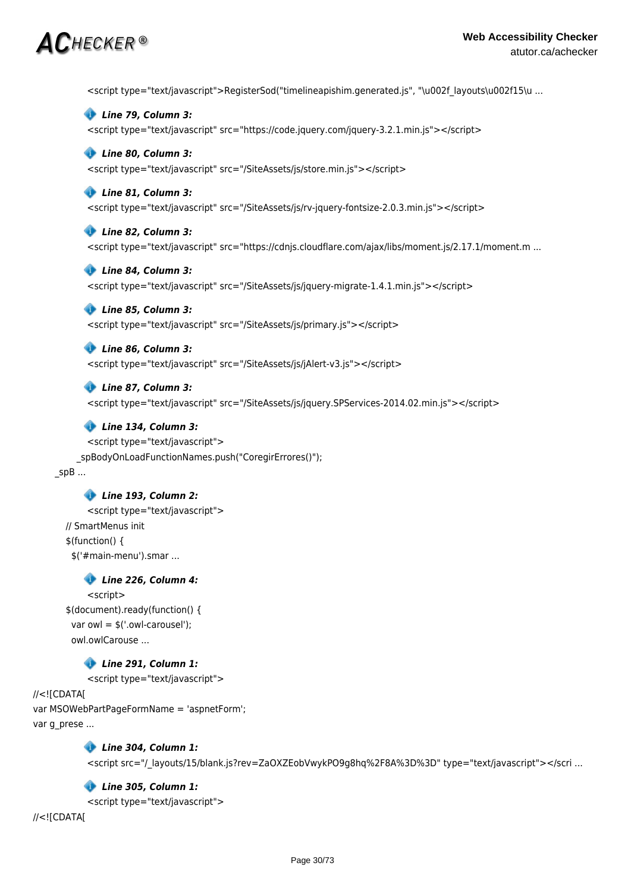# $\mathsf{AC}$ hecker ®

<script type="text/javascript">RegisterSod("timelineapishim.generated.js", "\u002f\_layouts\u002f15\u ...

 *Line 79, Column 3:* <script type="text/javascript" src="https://code.jquery.com/jquery-3.2.1.min.js"></script>  *Line 80, Column 3:*

<script type="text/javascript" src="/SiteAssets/js/store.min.js"></script>

### *Line 81, Column 3:*

<script type="text/javascript" src="/SiteAssets/js/rv-jquery-fontsize-2.0.3.min.js"></script>

## *Line 82, Column 3:*

<script type="text/javascript" src="https://cdnjs.cloudflare.com/ajax/libs/moment.js/2.17.1/moment.m ...

### *Line 84, Column 3:*

<script type="text/javascript" src="/SiteAssets/js/jquery-migrate-1.4.1.min.js"></script>

### *Line 85, Column 3:*

<script type="text/javascript" src="/SiteAssets/js/primary.js"></script>

# *Line 86, Column 3:*

<script type="text/javascript" src="/SiteAssets/js/jAlert-v3.js"></script>

### *Line 87, Column 3:*

<script type="text/javascript" src="/SiteAssets/js/jquery.SPServices-2014.02.min.js"></script>

### *Line 134, Column 3:*

<script type="text/javascript"> \_spBodyOnLoadFunctionNames.push("CoregirErrores()");  $spB$  ...

### *Line 193, Column 2:*

<script type="text/javascript"> // SmartMenus init \$(function() { \$('#main-menu').smar ...

### *Line 226, Column 4:*

<script> \$(document).ready(function() { var owl = \$('.owl-carousel'); owl.owlCarouse ...

### *Line 291, Column 1:*

<script type="text/javascript">

### //<![CDATA[ var MSOWebPartPageFormName = 'aspnetForm'; var g\_prese ...

 *Line 304, Column 1:*

<script src="/\_layouts/15/blank.js?rev=ZaOXZEobVwykPO9g8hq%2F8A%3D%3D" type="text/javascript"></scri ...

### *Line 305, Column 1:*

<script type="text/javascript">

//<![CDATA[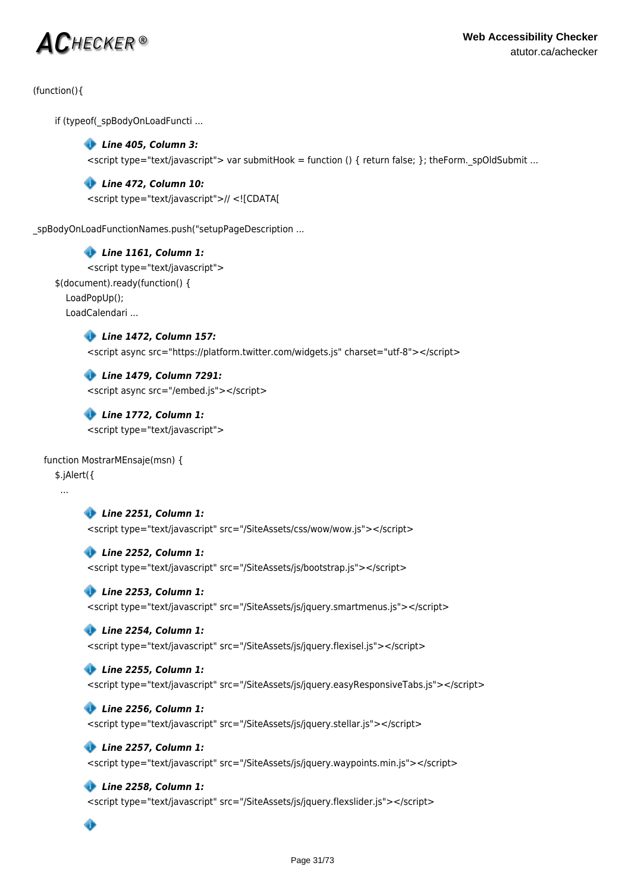# $\bm{AC}$ hecker ®

(function(){

if (typeof(\_spBodyOnLoadFuncti ...

# *Line 405, Column 3:*

 $\le$ script type="text/javascript"> var submitHook = function () { return false; }; theForm. spOldSubmit ...

## *Line 472, Column 10:*

<script type="text/javascript">// <![CDATA[

spBodyOnLoadFunctionNames.push("setupPageDescription ...

# *Line 1161, Column 1:*

<script type="text/javascript"> \$(document).ready(function() { LoadPopUp(); LoadCalendari ...

 *Line 1472, Column 157:*

<script async src="https://platform.twitter.com/widgets.js" charset="utf-8"></script>

 *Line 1479, Column 7291:* <script async src="/embed.js"></script>

 *Line 1772, Column 1:* <script type="text/javascript">

### function MostrarMEnsaje(msn) {

\$.jAlert({

...

 *Line 2251, Column 1:*

<script type="text/javascript" src="/SiteAssets/css/wow/wow.js"></script>

### *Line 2252, Column 1:*

<script type="text/javascript" src="/SiteAssets/js/bootstrap.js"></script>

### *Line 2253, Column 1:*

<script type="text/javascript" src="/SiteAssets/js/jquery.smartmenus.js"></script>

# *Line 2254, Column 1:*

<script type="text/javascript" src="/SiteAssets/js/jquery.flexisel.js"></script>

# *Line 2255, Column 1:*

<script type="text/javascript" src="/SiteAssets/js/jquery.easyResponsiveTabs.js"></script>

# *Line 2256, Column 1:*

<script type="text/javascript" src="/SiteAssets/js/jquery.stellar.js"></script>

# *Line 2257, Column 1:*

<script type="text/javascript" src="/SiteAssets/js/jquery.waypoints.min.js"></script>

# *Line 2258, Column 1:*

<script type="text/javascript" src="/SiteAssets/js/jquery.flexslider.js"></script>

 $\bullet$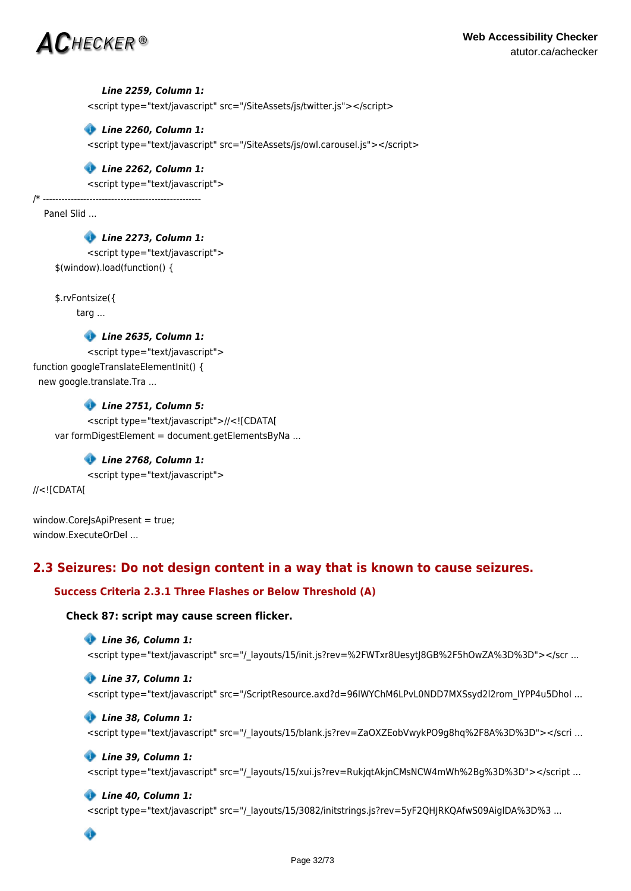

### *Line 2259, Column 1:*

<script type="text/javascript" src="/SiteAssets/js/twitter.js"></script>

 *Line 2260, Column 1:*

<script type="text/javascript" src="/SiteAssets/js/owl.carousel.js"></script>

### *Line 2262, Column 1:*

<script type="text/javascript">

/\* --------------------------------------------------- Panel Slid ...

> *Line 2273, Column 1:* <script type="text/javascript"> \$(window).load(function() {

\$.rvFontsize({

targ ...

 *Line 2635, Column 1:*

<script type="text/javascript"> function googleTranslateElementInit() { new google.translate.Tra ...

 *Line 2751, Column 5:*

<script type="text/javascript">//<![CDATA[ var formDigestElement = document.getElementsByNa ...

# *Line 2768, Column 1:*

<script type="text/javascript">

//<![CDATA[

window.CoreJsApiPresent = true; window.ExecuteOrDel ...

# **2.3 Seizures: Do not design content in a way that is known to cause seizures.**

# **Success Criteria 2.3.1 Three Flashes or Below Threshold (A)**

### **Check 87: script may cause screen flicker.**

```
 Line 36, Column 1:
```
<script type="text/javascript" src="/\_layouts/15/init.js?rev=%2FWTxr8UesytJ8GB%2F5hOwZA%3D%3D"></scr ...

 *Line 37, Column 1:* <script type="text/javascript" src="/ScriptResource.axd?d=96IWYChM6LPvL0NDD7MXSsyd2l2rom\_IYPP4u5DhoI ...

 *Line 38, Column 1:* <script type="text/javascript" src="/\_layouts/15/blank.js?rev=ZaOXZEobVwykPO9g8hq%2F8A%3D%3D"></scri ...

### *Line 39, Column 1:*

<script type="text/javascript" src="/\_layouts/15/xui.js?rev=RukjqtAkjnCMsNCW4mWh%2Bg%3D%3D"></script ...

### *Line 40, Column 1:*

<script type="text/javascript" src="/ layouts/15/3082/initstrings.js?rev=5yF2QHJRKQAfwS09AiglDA%3D%3 ...

Ô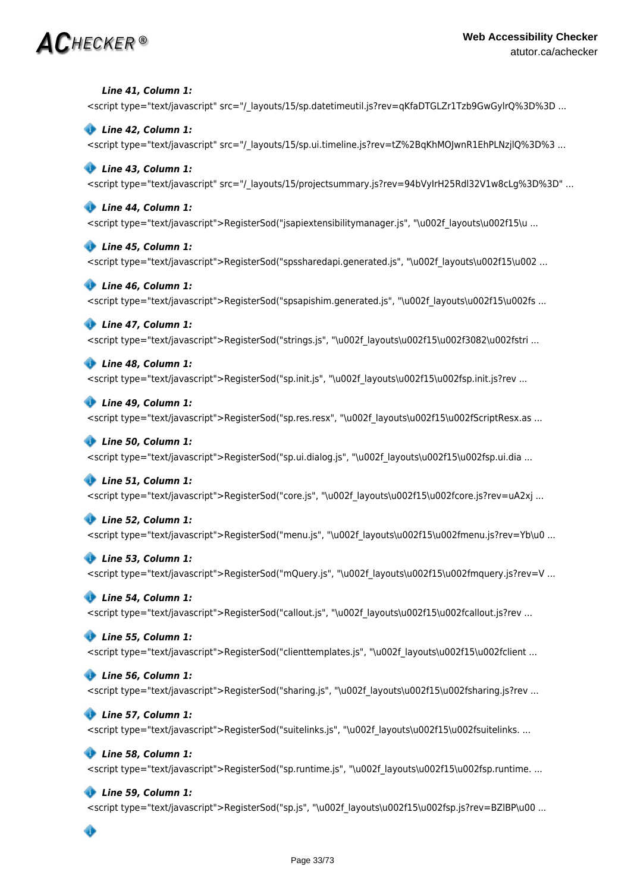# $\mathbf{AC}$ hecker®

 *Line 41, Column 1:* <script type="text/javascript" src="/\_layouts/15/sp.datetimeutil.js?rev=qKfaDTGLZr1Tzb9GwGylrQ%3D%3D ...

 *Line 42, Column 1:* <script type="text/javascript" src="/\_layouts/15/sp.ui.timeline.js?rev=tZ%2BqKhMOJwnR1EhPLNzjlQ%3D%3 ...

# *Line 43, Column 1:*

<script type="text/javascript" src="/\_layouts/15/projectsummary.js?rev=94bVyIrH25Rdl32V1w8cLg%3D%3D" ...

### *Line 44, Column 1:*

<script type="text/javascript">RegisterSod("jsapiextensibilitymanager.js", "\u002f\_layouts\u002f15\u ...

### *Line 45, Column 1:*

<script type="text/javascript">RegisterSod("spssharedapi.generated.js", "\u002f\_layouts\u002f15\u002 ...

### *Line 46, Column 1:*

<script type="text/javascript">RegisterSod("spsapishim.generated.js", "\u002f\_layouts\u002f15\u002fs ...

### *Line 47, Column 1:*

<script type="text/javascript">RegisterSod("strings.js", "\u002f\_layouts\u002f15\u002f3082\u002fstri ...

### *Line 48, Column 1:*

<script type="text/javascript">RegisterSod("sp.init.js", "\u002f\_layouts\u002f15\u002fsp.init.js?rev ...

### *Line 49, Column 1:*

<script type="text/javascript">RegisterSod("sp.res.resx", "\u002f layouts\u002f15\u002fScriptResx.as ...

### *Line 50, Column 1:*

<script type="text/javascript">RegisterSod("sp.ui.dialog.js", "\u002f layouts\u002f15\u002fsp.ui.dia ...

# *Line 51, Column 1:*

<script type="text/javascript">RegisterSod("core.js", "\u002f\_layouts\u002f15\u002fcore.js?rev=uA2xj ...

# *Line 52, Column 1:*

<script type="text/javascript">RegisterSod("menu.js", "\u002f layouts\u002f15\u002fmenu.js?rev=Yb\u0 ...

# *Line 53, Column 1:*

<script type="text/javascript">RegisterSod("mQuery.js", "\u002f\_layouts\u002f15\u002fmquery.js?rev=V ...

# *Line 54, Column 1:*

<script type="text/javascript">RegisterSod("callout.js", "\u002f layouts\u002f15\u002fcallout.js?rev ...

# *Line 55, Column 1:*

<script type="text/javascript">RegisterSod("clienttemplates.js", "\u002f layouts\u002f15\u002fclient ...

# *Line 56, Column 1:*

<script type="text/javascript">RegisterSod("sharing.js", "\u002f layouts\u002f15\u002fsharing.js?rev ...

# *Line 57, Column 1:*

<script type="text/javascript">RegisterSod("suitelinks.js", "\u002f layouts\u002f15\u002fsuitelinks. ...

# *Line 58, Column 1:*

<script type="text/javascript">RegisterSod("sp.runtime.js", "\u002f\_layouts\u002f15\u002fsp.runtime. ...

# *Line 59, Column 1:*

<script type="text/javascript">RegisterSod("sp.js", "\u002f\_layouts\u002f15\u002fsp.js?rev=BZlBP\u00 ...

# ◈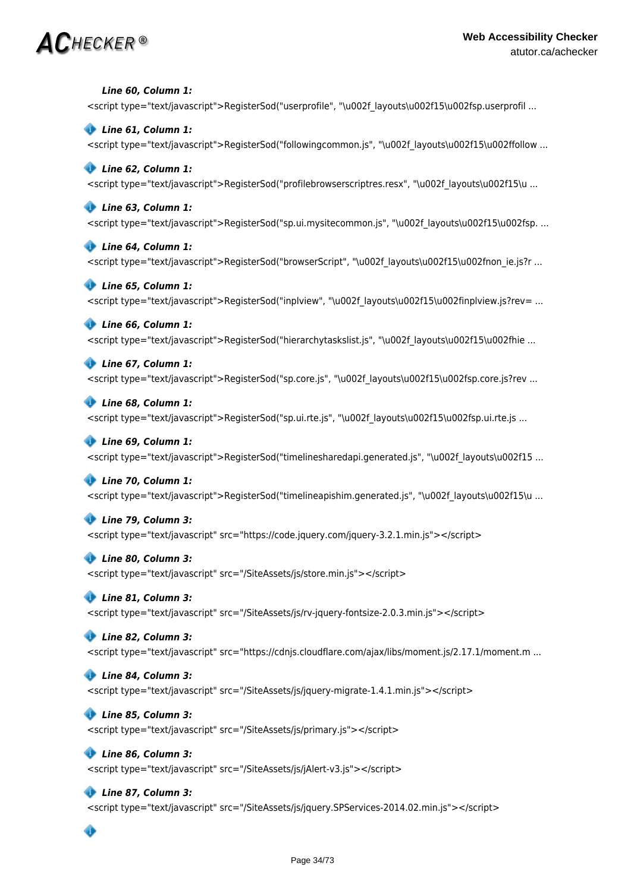# $\mathbf{AC}$ hecker ®

 *Line 60, Column 1:* <script type="text/javascript">RegisterSod("userprofile", "\u002f layouts\u002f15\u002fsp.userprofil ...

 *Line 61, Column 1:* <script type="text/javascript">RegisterSod("followingcommon.js", "\u002f layouts\u002f15\u002ffollow ...

### *Line 62, Column 1:* <script type="text/javascript">RegisterSod("profilebrowserscriptres.resx", "\u002f\_layouts\u002f15\u ...

 *Line 63, Column 1:* <script type="text/javascript">RegisterSod("sp.ui.mysitecommon.js", "\u002f\_layouts\u002f15\u002fsp. ...

# *Line 64, Column 1:* <script type="text/javascript">RegisterSod("browserScript", "\u002f layouts\u002f15\u002fnon\_ie.js?r ...

 *Line 65, Column 1:* <script type="text/javascript">RegisterSod("inplview", "\u002f\_layouts\u002f15\u002finplview.js?rev= ...

# *Line 66, Column 1:*

<script type="text/javascript">RegisterSod("hierarchytaskslist.js", "\u002f layouts\u002f15\u002fhie ...

### *Line 67, Column 1:*

<script type="text/javascript">RegisterSod("sp.core.js", "\u002f layouts\u002f15\u002fsp.core.js?rev ...

### *Line 68, Column 1:*

<script type="text/javascript">RegisterSod("sp.ui.rte.js", "\u002f layouts\u002f15\u002fsp.ui.rte.js ...

# *Line 69, Column 1:*

<script type="text/javascript">RegisterSod("timelinesharedapi.generated.js", "\u002f layouts\u002f15 ...

# *Line 70, Column 1:*

<script type="text/javascript">RegisterSod("timelineapishim.generated.js", "\u002f\_layouts\u002f15\u ...

# *Line 79, Column 3:*

<script type="text/javascript" src="https://code.jquery.com/jquery-3.2.1.min.js"></script>

# *Line 80, Column 3:*

<script type="text/javascript" src="/SiteAssets/js/store.min.js"></script>

# *Line 81, Column 3:*

<script type="text/javascript" src="/SiteAssets/js/rv-jquery-fontsize-2.0.3.min.js"></script>

# *Line 82, Column 3:*

<script type="text/javascript" src="https://cdnjs.cloudflare.com/ajax/libs/moment.js/2.17.1/moment.m ...

# *Line 84, Column 3:*

<script type="text/javascript" src="/SiteAssets/js/jquery-migrate-1.4.1.min.js"></script>

# *Line 85, Column 3:*

<script type="text/javascript" src="/SiteAssets/js/primary.js"></script>

# *Line 86, Column 3:*

<script type="text/javascript" src="/SiteAssets/js/jAlert-v3.js"></script>

# *Line 87, Column 3:*

<script type="text/javascript" src="/SiteAssets/js/jquery.SPServices-2014.02.min.js"></script>

# ◈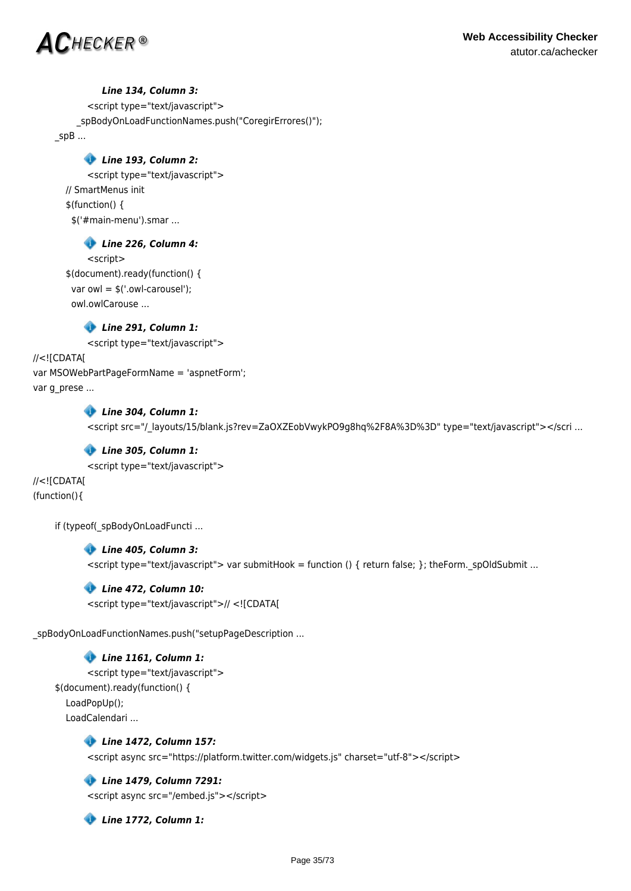

### *Line 134, Column 3:*

<script type="text/javascript"> \_spBodyOnLoadFunctionNames.push("CoregirErrores()"); \_spB ...

# *Line 193, Column 2:*

<script type="text/javascript"> // SmartMenus init \$(function() { \$('#main-menu').smar ...

# *Line 226, Column 4:*

<script> \$(document).ready(function() { var owl = \$('.owl-carousel'); owl.owlCarouse ...

# *Line 291, Column 1:*

<script type="text/javascript">

//<![CDATA[ var MSOWebPartPageFormName = 'aspnetForm'; var g\_prese ...

### *Line 304, Column 1:*

<script src="/\_layouts/15/blank.js?rev=ZaOXZEobVwykPO9g8hq%2F8A%3D%3D" type="text/javascript"></scri ...

### *Line 305, Column 1:*

<script type="text/javascript">

//<![CDATA[ (function(){

if (typeof( spBodyOnLoadFuncti ...

 *Line 405, Column 3:*  $\le$ script type="text/javascript"> var submitHook = function () { return false; }; theForm. spOldSubmit ...

# *Line 472, Column 10:*

<script type="text/javascript">// <![CDATA[

\_spBodyOnLoadFunctionNames.push("setupPageDescription ...

 *Line 1161, Column 1:* <script type="text/javascript"> \$(document).ready(function() { LoadPopUp(); LoadCalendari ...

> *Line 1472, Column 157:* <script async src="https://platform.twitter.com/widgets.js" charset="utf-8"></script>

 *Line 1479, Column 7291:* <script async src="/embed.js"></script>

 *Line 1772, Column 1:*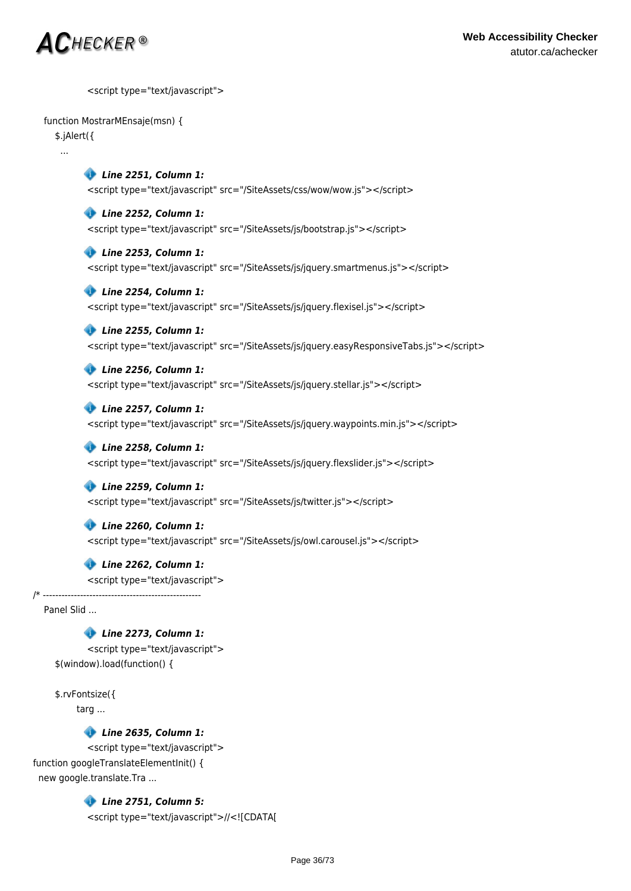

<script type="text/javascript">

### function MostrarMEnsaje(msn) {

\$.jAlert({

...

 *Line 2251, Column 1:* <script type="text/javascript" src="/SiteAssets/css/wow/wow.js"></script>

 *Line 2252, Column 1:* <script type="text/javascript" src="/SiteAssets/js/bootstrap.js"></script>

 *Line 2253, Column 1:*

<script type="text/javascript" src="/SiteAssets/js/jquery.smartmenus.js"></script>

 *Line 2254, Column 1:* <script type="text/javascript" src="/SiteAssets/js/jquery.flexisel.js"></script>

 *Line 2255, Column 1:* <script type="text/javascript" src="/SiteAssets/js/jquery.easyResponsiveTabs.js"></script>

 *Line 2256, Column 1:* <script type="text/javascript" src="/SiteAssets/js/jquery.stellar.js"></script>

 *Line 2257, Column 1:* <script type="text/javascript" src="/SiteAssets/js/jquery.waypoints.min.js"></script>

 *Line 2258, Column 1:* <script type="text/javascript" src="/SiteAssets/js/jquery.flexslider.js"></script>

 *Line 2259, Column 1:* <script type="text/javascript" src="/SiteAssets/js/twitter.js"></script>

 *Line 2260, Column 1:* <script type="text/javascript" src="/SiteAssets/js/owl.carousel.js"></script>

 *Line 2262, Column 1:* <script type="text/javascript">

/\* ---------------------------------------------------

Panel Slid ...

 *Line 2273, Column 1:* <script type="text/javascript">

\$(window).load(function() {

\$.rvFontsize({

targ ...

 *Line 2635, Column 1:*

<script type="text/javascript"> function googleTranslateElementInit() { new google.translate.Tra ...

> *Line 2751, Column 5:* <script type="text/javascript">//<![CDATA[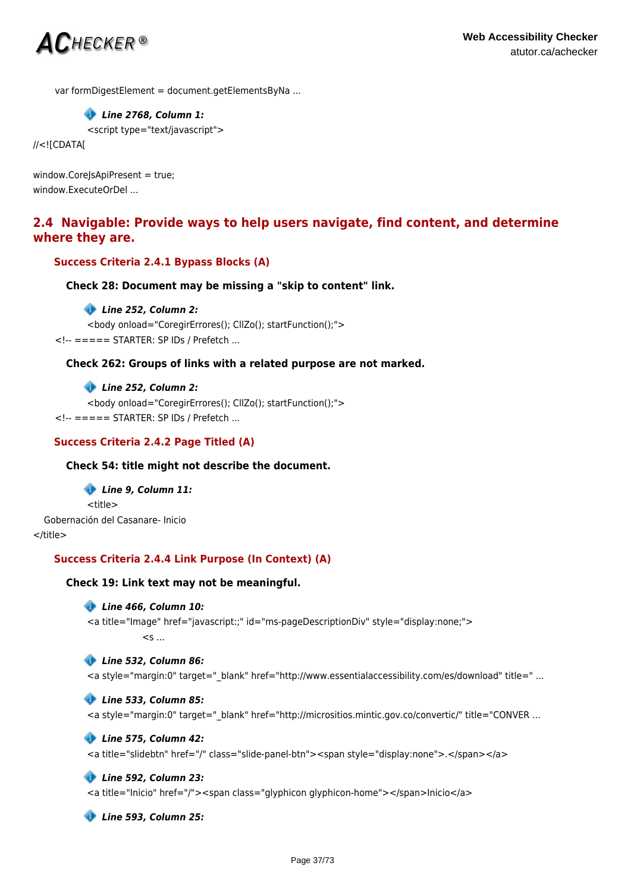

var formDigestElement = document.getElementsByNa ...

# *Line 2768, Column 1:*

<script type="text/javascript">

//<![CDATA[

window.CoreJsApiPresent = true; window.ExecuteOrDel ...

# **2.4 Navigable: Provide ways to help users navigate, find content, and determine where they are.**

# **Success Criteria 2.4.1 Bypass Blocks (A)**

```
Check 28: Document may be missing a "skip to content" link.
```
### *Line 252, Column 2:*

```
<body onload="CoregirErrores(); CllZo(); startFunction();">
<!-- ===== STARTER: SP IDs / Prefetch ...
```
# **Check 262: Groups of links with a related purpose are not marked.**

 *Line 252, Column 2:*

```
<body onload="CoregirErrores(); CllZo(); startFunction();">
<!-- ===== STARTER: SP IDs / Prefetch ...
```
## **Success Criteria 2.4.2 Page Titled (A)**

#### **Check 54: title might not describe the document.**

 *Line 9, Column 11:* <title> Gobernación del Casanare- Inicio </title>

# **Success Criteria 2.4.4 Link Purpose (In Context) (A)**

#### **Check 19: Link text may not be meaningful.**

#### *Line 466, Column 10:*

<a title="Image" href="javascript:;" id="ms-pageDescriptionDiv" style="display:none;">  $\leq$ s.

#### *Line 532, Column 86:*

<a style="margin:0" target=" blank" href="http://www.essentialaccessibility.com/es/download" title=" ...

#### *Line 533, Column 85:*

<a style="margin:0" target="\_blank" href="http://micrositios.mintic.gov.co/convertic/" title="CONVER ...

#### *Line 575, Column 42:*

```
<a title="slidebtn" href="/" class="slide-panel-btn"><span style="display:none">.</span></a>
```
#### *Line 592, Column 23:*

<a title="Inicio" href="/"><span class="glyphicon glyphicon-home"></span>Inicio</a>

 *Line 593, Column 25:*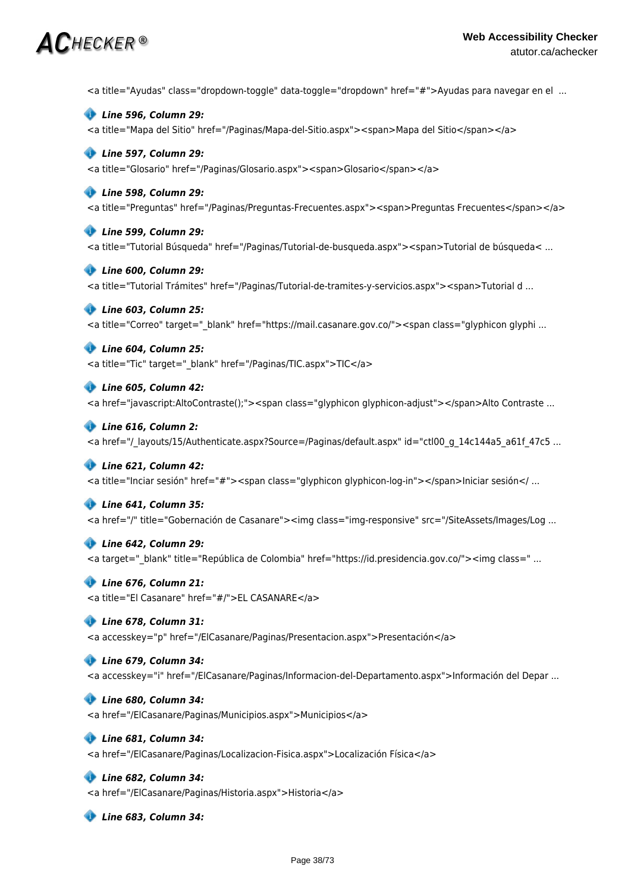<a title="Ayudas" class="dropdown-toggle" data-toggle="dropdown" href="#">Ayudas para navegar en el ...

 *Line 596, Column 29:*

<a title="Mapa del Sitio" href="/Paginas/Mapa-del-Sitio.aspx"><span>Mapa del Sitio</span></a>

# *Line 597, Column 29:*

<a title="Glosario" href="/Paginas/Glosario.aspx"><span>Glosario</span></a>

# *Line 598, Column 29:*

<a title="Preguntas" href="/Paginas/Preguntas-Frecuentes.aspx"><span>Preguntas Frecuentes</span></a>

# *Line 599, Column 29:*

<a title="Tutorial Búsqueda" href="/Paginas/Tutorial-de-busqueda.aspx"><span>Tutorial de búsqueda< ...

### *Line 600, Column 29:*

<a title="Tutorial Trámites" href="/Paginas/Tutorial-de-tramites-y-servicios.aspx"><span>Tutorial d ...

# *Line 603, Column 25:*

<a title="Correo" target="\_blank" href="https://mail.casanare.gov.co/"><span class="glyphicon glyphi ...

# *Line 604, Column 25:*

<a title="Tic" target="\_blank" href="/Paginas/TIC.aspx">TIC</a>

### *Line 605, Column 42:*

<a href="javascript:AltoContraste();"><span class="glyphicon glyphicon-adjust"></span>Alto Contraste ...

### *Line 616, Column 2:*

<a href="/ layouts/15/Authenticate.aspx?Source=/Paginas/default.aspx" id="ctl00 q 14c144a5 a61f 47c5 ...

# *Line 621, Column 42:*

<a title="Inciar sesión" href="#"><span class="glyphicon glyphicon-log-in"></span>Iniciar sesión</ ...

# *Line 641, Column 35:*

<a href="/" title="Gobernación de Casanare"><img class="img-responsive" src="/SiteAssets/Images/Log ...

# *Line 642, Column 29:*

<a target="\_blank" title="República de Colombia" href="https://id.presidencia.gov.co/"><img class=" ...

# *Line 676, Column 21:*

<a title="El Casanare" href="#/">EL CASANARE</a>

# *Line 678, Column 31:*

<a accesskey="p" href="/ElCasanare/Paginas/Presentacion.aspx">Presentación</a>

# *Line 679, Column 34:*

<a accesskey="i" href="/ElCasanare/Paginas/Informacion-del-Departamento.aspx">Información del Depar ...

#### *Line 680, Column 34:*

<a href="/ElCasanare/Paginas/Municipios.aspx">Municipios</a>

# *Line 681, Column 34:*

<a href="/ElCasanare/Paginas/Localizacion-Fisica.aspx">Localización Física</a>

# *Line 682, Column 34:*

<a href="/ElCasanare/Paginas/Historia.aspx">Historia</a>

 *Line 683, Column 34:*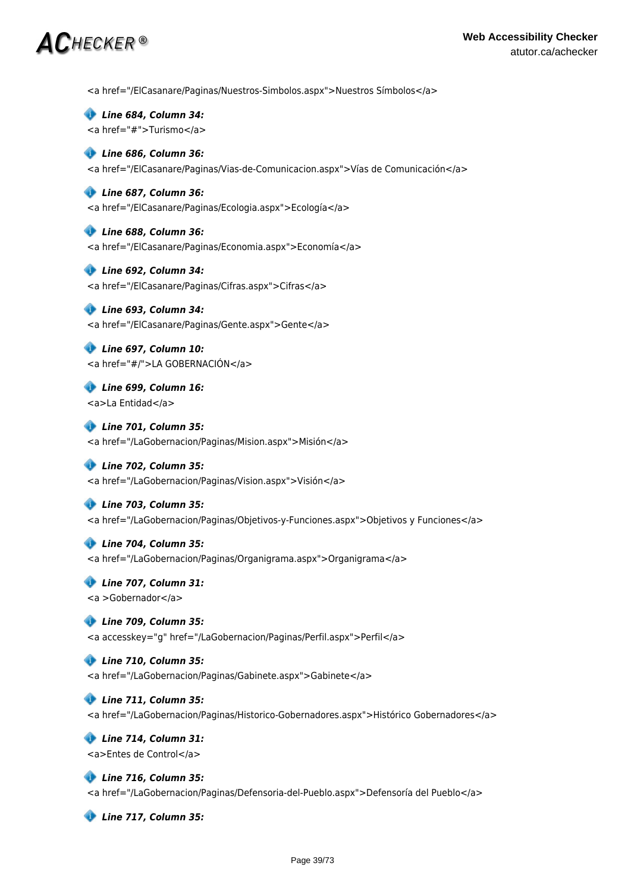<a href="/ElCasanare/Paginas/Nuestros-Simbolos.aspx">Nuestros Símbolos</a>

 *Line 684, Column 34:* <a href="#">Turismo</a>

### *Line 686, Column 36:*

<a href="/ElCasanare/Paginas/Vias-de-Comunicacion.aspx">Vías de Comunicación</a>

#### *Line 687, Column 36:*

<a href="/ElCasanare/Paginas/Ecologia.aspx">Ecología</a>

 *Line 688, Column 36:*

<a href="/ElCasanare/Paginas/Economia.aspx">Economía</a>

# *Line 692, Column 34:* <a href="/ElCasanare/Paginas/Cifras.aspx">Cifras</a>

 *Line 693, Column 34:* <a href="/ElCasanare/Paginas/Gente.aspx">Gente</a>

 *Line 697, Column 10:* <a href="#/">LA GOBERNACIÓN</a>

 *Line 699, Column 16:* <a>La Entidad</a>

 *Line 701, Column 35:* <a href="/LaGobernacion/Paginas/Mision.aspx">Misión</a>

# *Line 702, Column 35:*

<a href="/LaGobernacion/Paginas/Vision.aspx">Visión</a>

# *Line 703, Column 35:*

<a href="/LaGobernacion/Paginas/Objetivos-y-Funciones.aspx">Objetivos y Funciones</a>

# *Line 704, Column 35:*

<a href="/LaGobernacion/Paginas/Organigrama.aspx">Organigrama</a>

#### *Line 707, Column 31:* <a >Gobernador</a>

# *Line 709, Column 35:*

<a accesskey="g" href="/LaGobernacion/Paginas/Perfil.aspx">Perfil</a>

# *Line 710, Column 35:*

<a href="/LaGobernacion/Paginas/Gabinete.aspx">Gabinete</a>

# *Line 711, Column 35:*

<a href="/LaGobernacion/Paginas/Historico-Gobernadores.aspx">Histórico Gobernadores</a>

### *Line 714, Column 31:* <a>Entes de Control</a>

 *Line 716, Column 35:* <a href="/LaGobernacion/Paginas/Defensoria-del-Pueblo.aspx">Defensoría del Pueblo</a>

 *Line 717, Column 35:*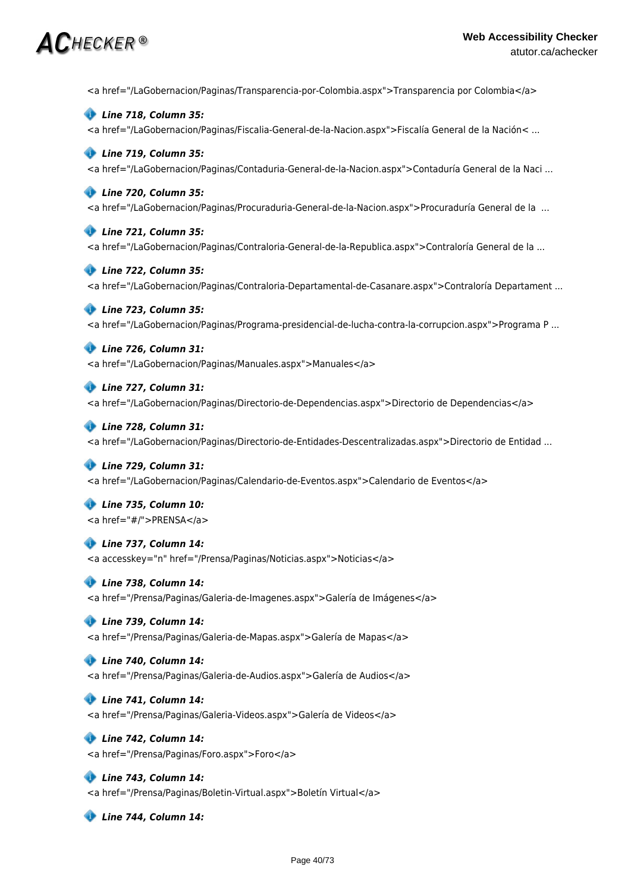# $\bm{AC}$ hecker ®

<a href="/LaGobernacion/Paginas/Transparencia-por-Colombia.aspx">Transparencia por Colombia</a>

 *Line 718, Column 35:*

<a href="/LaGobernacion/Paginas/Fiscalia-General-de-la-Nacion.aspx">Fiscalía General de la Nación< ...

## *Line 719, Column 35:*

<a href="/LaGobernacion/Paginas/Contaduria-General-de-la-Nacion.aspx">Contaduría General de la Naci ...

### *Line 720, Column 35:*

<a href="/LaGobernacion/Paginas/Procuraduria-General-de-la-Nacion.aspx">Procuraduría General de la ...

### *Line 721, Column 35:*

<a href="/LaGobernacion/Paginas/Contraloria-General-de-la-Republica.aspx">Contraloría General de la ...

# *Line 722, Column 35:*

<a href="/LaGobernacion/Paginas/Contraloria-Departamental-de-Casanare.aspx">Contraloría Departament ...

### *Line 723, Column 35:*

<a href="/LaGobernacion/Paginas/Programa-presidencial-de-lucha-contra-la-corrupcion.aspx">Programa P ...

### *Line 726, Column 31:*

<a href="/LaGobernacion/Paginas/Manuales.aspx">Manuales</a>

### *Line 727, Column 31:*

<a href="/LaGobernacion/Paginas/Directorio-de-Dependencias.aspx">Directorio de Dependencias</a>

#### *Line 728, Column 31:*

<a href="/LaGobernacion/Paginas/Directorio-de-Entidades-Descentralizadas.aspx">Directorio de Entidad ...

#### *Line 729, Column 31:*

<a href="/LaGobernacion/Paginas/Calendario-de-Eventos.aspx">Calendario de Eventos</a>

 *Line 735, Column 10:* <a href="#/">PRENSA</a>

# *Line 737, Column 14:*

<a accesskey="n" href="/Prensa/Paginas/Noticias.aspx">Noticias</a>

#### *Line 738, Column 14:*

<a href="/Prensa/Paginas/Galeria-de-Imagenes.aspx">Galería de Imágenes</a>

#### *Line 739, Column 14:*

<a href="/Prensa/Paginas/Galeria-de-Mapas.aspx">Galería de Mapas</a>

#### *Line 740, Column 14:*

<a href="/Prensa/Paginas/Galeria-de-Audios.aspx">Galería de Audios</a>

### *Line 741, Column 14:*

<a href="/Prensa/Paginas/Galeria-Videos.aspx">Galería de Videos</a>

# *Line 742, Column 14:*

<a href="/Prensa/Paginas/Foro.aspx">Foro</a>

# *Line 743, Column 14:*

<a href="/Prensa/Paginas/Boletin-Virtual.aspx">Boletín Virtual</a>

 *Line 744, Column 14:*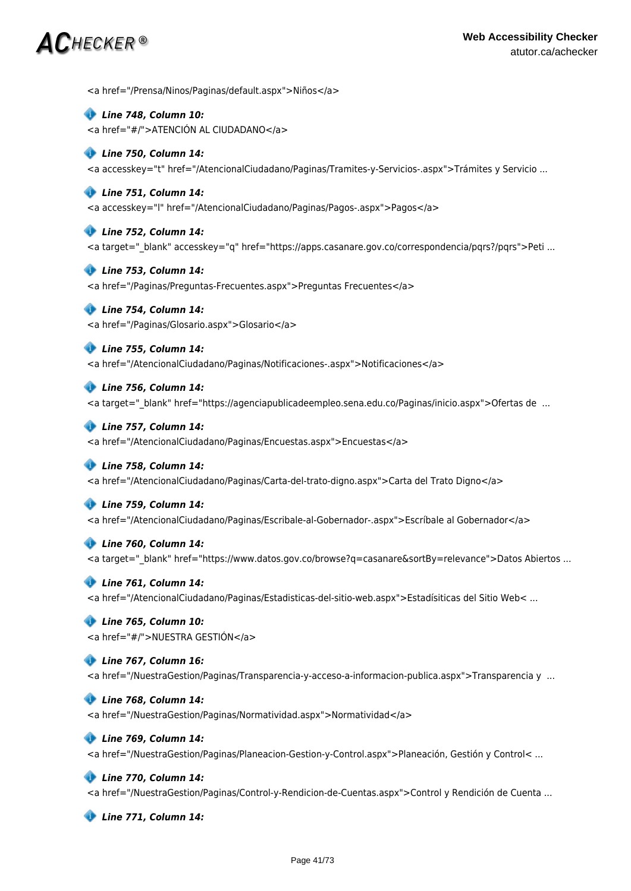# $\bm{AC}$ hecker ®

<a href="/Prensa/Ninos/Paginas/default.aspx">Niños</a>

 *Line 748, Column 10:* <a href="#/">ATENCIÓN AL CIUDADANO</a>

#### *Line 750, Column 14:*

<a accesskey="t" href="/AtencionalCiudadano/Paginas/Tramites-y-Servicios-.aspx">Trámites y Servicio ...

#### *Line 751, Column 14:*

<a accesskey="l" href="/AtencionalCiudadano/Paginas/Pagos-.aspx">Pagos</a>

### *Line 752, Column 14:*

<a target="\_blank" accesskey="q" href="https://apps.casanare.gov.co/correspondencia/pqrs?/pqrs">Peti ...

### *Line 753, Column 14:*

<a href="/Paginas/Preguntas-Frecuentes.aspx">Preguntas Frecuentes</a>

### *Line 754, Column 14:*

<a href="/Paginas/Glosario.aspx">Glosario</a>

# *Line 755, Column 14:*

<a href="/AtencionalCiudadano/Paginas/Notificaciones-.aspx">Notificaciones</a>

### *Line 756, Column 14:*

<a target=" blank" href="https://agenciapublicadeempleo.sena.edu.co/Paginas/inicio.aspx">Ofertas de ...

#### *Line 757, Column 14:*

<a href="/AtencionalCiudadano/Paginas/Encuestas.aspx">Encuestas</a>

#### *Line 758, Column 14:*

<a href="/AtencionalCiudadano/Paginas/Carta-del-trato-digno.aspx">Carta del Trato Digno</a>

#### *Line 759, Column 14:*

<a href="/AtencionalCiudadano/Paginas/Escribale-al-Gobernador-.aspx">Escríbale al Gobernador</a>

#### *Line 760, Column 14:*

<a target=" blank" href="https://www.datos.gov.co/browse?q=casanare&sortBy=relevance">Datos Abiertos ...

#### *Line 761, Column 14:*

<a href="/AtencionalCiudadano/Paginas/Estadisticas-del-sitio-web.aspx">Estadísiticas del Sitio Web< ...

#### *Line 765, Column 10:*

<a href="#/">NUESTRA GESTIÓN</a>

#### *Line 767, Column 16:*

<a href="/NuestraGestion/Paginas/Transparencia-y-acceso-a-informacion-publica.aspx">Transparencia y ...

#### *Line 768, Column 14:*

<a href="/NuestraGestion/Paginas/Normatividad.aspx">Normatividad</a>

#### *Line 769, Column 14:*

<a href="/NuestraGestion/Paginas/Planeacion-Gestion-y-Control.aspx">Planeación, Gestión y Control< ...

#### *Line 770, Column 14:*

<a href="/NuestraGestion/Paginas/Control-y-Rendicion-de-Cuentas.aspx">Control y Rendición de Cuenta ...

 *Line 771, Column 14:*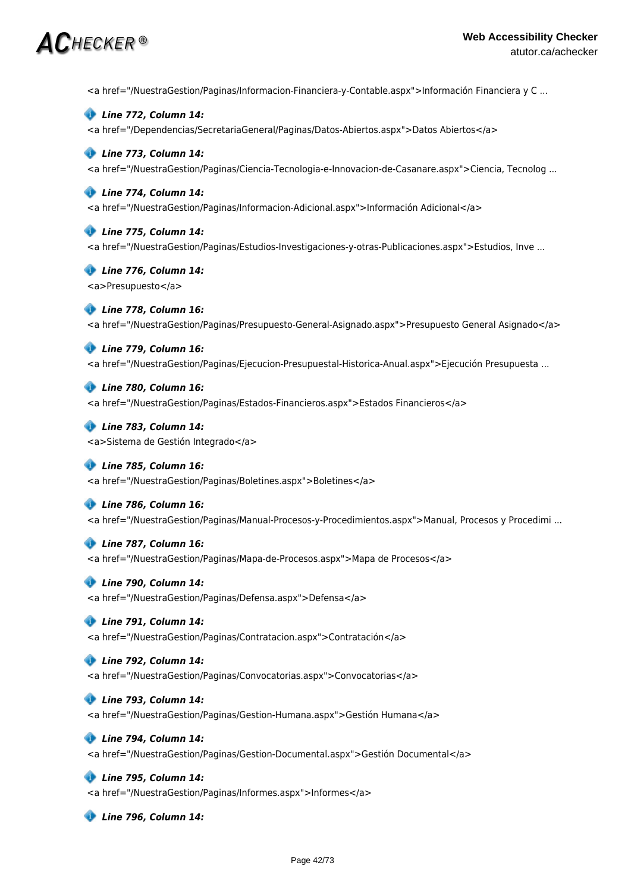<a href="/NuestraGestion/Paginas/Informacion-Financiera-y-Contable.aspx">Información Financiera y C ...

 *Line 772, Column 14:* <a href="/Dependencias/SecretariaGeneral/Paginas/Datos-Abiertos.aspx">Datos Abiertos</a>

# *Line 773, Column 14:*

<a href="/NuestraGestion/Paginas/Ciencia-Tecnologia-e-Innovacion-de-Casanare.aspx">Ciencia, Tecnolog ...

# *Line 774, Column 14:*

<a href="/NuestraGestion/Paginas/Informacion-Adicional.aspx">Información Adicional</a>

### *Line 775, Column 14:*

<a href="/NuestraGestion/Paginas/Estudios-Investigaciones-y-otras-Publicaciones.aspx">Estudios, Inve ...

 *Line 776, Column 14:* <a>Presupuesto</a>

# *Line 778, Column 16:*

<a href="/NuestraGestion/Paginas/Presupuesto-General-Asignado.aspx">Presupuesto General Asignado</a>

# *Line 779, Column 16:*

<a href="/NuestraGestion/Paginas/Ejecucion-Presupuestal-Historica-Anual.aspx">Ejecución Presupuesta ...

# *Line 780, Column 16:*

<a href="/NuestraGestion/Paginas/Estados-Financieros.aspx">Estados Financieros</a>

### *Line 783, Column 14:* <a>Sistema de Gestión Integrado</a>

 *Line 785, Column 16:* <a href="/NuestraGestion/Paginas/Boletines.aspx">Boletines</a>

# *Line 786, Column 16:*

<a href="/NuestraGestion/Paginas/Manual-Procesos-y-Procedimientos.aspx">Manual, Procesos y Procedimi ...

# *Line 787, Column 16:*

<a href="/NuestraGestion/Paginas/Mapa-de-Procesos.aspx">Mapa de Procesos</a>

# *Line 790, Column 14:*

<a href="/NuestraGestion/Paginas/Defensa.aspx">Defensa</a>

# *Line 791, Column 14:*

<a href="/NuestraGestion/Paginas/Contratacion.aspx">Contratación</a>

# *Line 792, Column 14:*

<a href="/NuestraGestion/Paginas/Convocatorias.aspx">Convocatorias</a>

# *Line 793, Column 14:*

<a href="/NuestraGestion/Paginas/Gestion-Humana.aspx">Gestión Humana</a>

# *Line 794, Column 14:*

<a href="/NuestraGestion/Paginas/Gestion-Documental.aspx">Gestión Documental</a>

# *Line 795, Column 14:*

<a href="/NuestraGestion/Paginas/Informes.aspx">Informes</a>

 *Line 796, Column 14:*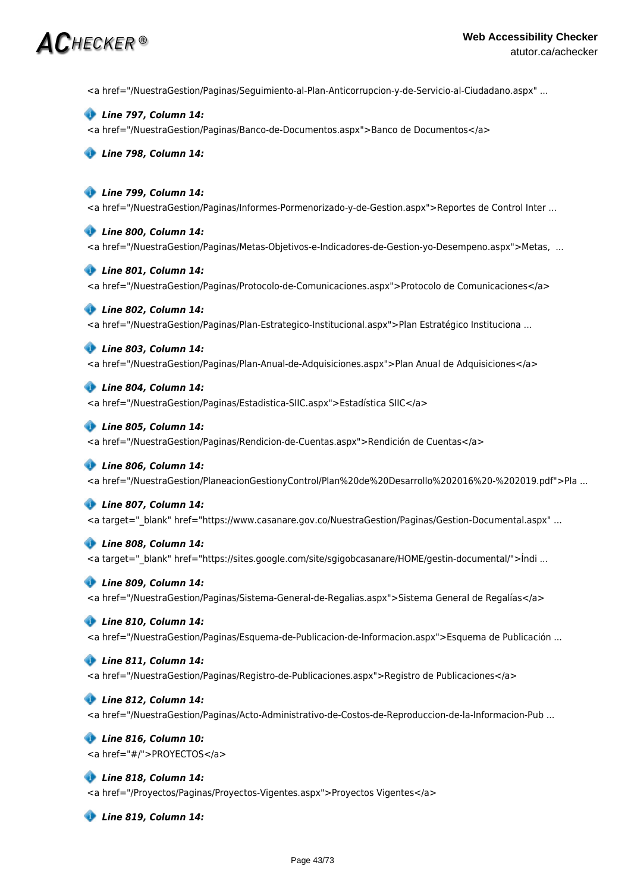# $\bm{AC}$ hecker ®

<a href="/NuestraGestion/Paginas/Seguimiento-al-Plan-Anticorrupcion-y-de-Servicio-al-Ciudadano.aspx" ...

 *Line 797, Column 14:*

<a href="/NuestraGestion/Paginas/Banco-de-Documentos.aspx">Banco de Documentos</a>

 *Line 798, Column 14:*

## *Line 799, Column 14:*

<a href="/NuestraGestion/Paginas/Informes-Pormenorizado-y-de-Gestion.aspx">Reportes de Control Inter ...

#### *Line 800, Column 14:*

<a href="/NuestraGestion/Paginas/Metas-Objetivos-e-Indicadores-de-Gestion-yo-Desempeno.aspx">Metas, ...

#### *Line 801, Column 14:*

<a href="/NuestraGestion/Paginas/Protocolo-de-Comunicaciones.aspx">Protocolo de Comunicaciones</a>

#### *Line 802, Column 14:*

<a href="/NuestraGestion/Paginas/Plan-Estrategico-Institucional.aspx">Plan Estratégico Instituciona ...

### *Line 803, Column 14:*

<a href="/NuestraGestion/Paginas/Plan-Anual-de-Adquisiciones.aspx">Plan Anual de Adquisiciones</a>

### *Line 804, Column 14:*

<a href="/NuestraGestion/Paginas/Estadistica-SIIC.aspx">Estadística SIIC</a>

#### *Line 805, Column 14:*

<a href="/NuestraGestion/Paginas/Rendicion-de-Cuentas.aspx">Rendición de Cuentas</a>

#### *Line 806, Column 14:*

<a href="/NuestraGestion/PlaneacionGestionyControl/Plan%20de%20Desarrollo%202016%20-%202019.pdf">Pla ...

#### *Line 807, Column 14:*

<a target="\_blank" href="https://www.casanare.gov.co/NuestraGestion/Paginas/Gestion-Documental.aspx" ...

#### *Line 808, Column 14:*

<a target=" blank" href="https://sites.google.com/site/sgigobcasanare/HOME/gestin-documental/">Índi ...

#### *Line 809, Column 14:*

<a href="/NuestraGestion/Paginas/Sistema-General-de-Regalias.aspx">Sistema General de Regalías</a>

### *Line 810, Column 14:*

<a href="/NuestraGestion/Paginas/Esquema-de-Publicacion-de-Informacion.aspx">Esquema de Publicación ...

#### *Line 811, Column 14:*

<a href="/NuestraGestion/Paginas/Registro-de-Publicaciones.aspx">Registro de Publicaciones</a>

#### *Line 812, Column 14:*

<a href="/NuestraGestion/Paginas/Acto-Administrativo-de-Costos-de-Reproduccion-de-la-Informacion-Pub ...

#### *Line 816, Column 10:* <a href="#/">PROYECTOS</a>

 *Line 818, Column 14:* <a href="/Proyectos/Paginas/Proyectos-Vigentes.aspx">Proyectos Vigentes</a>

 *Line 819, Column 14:*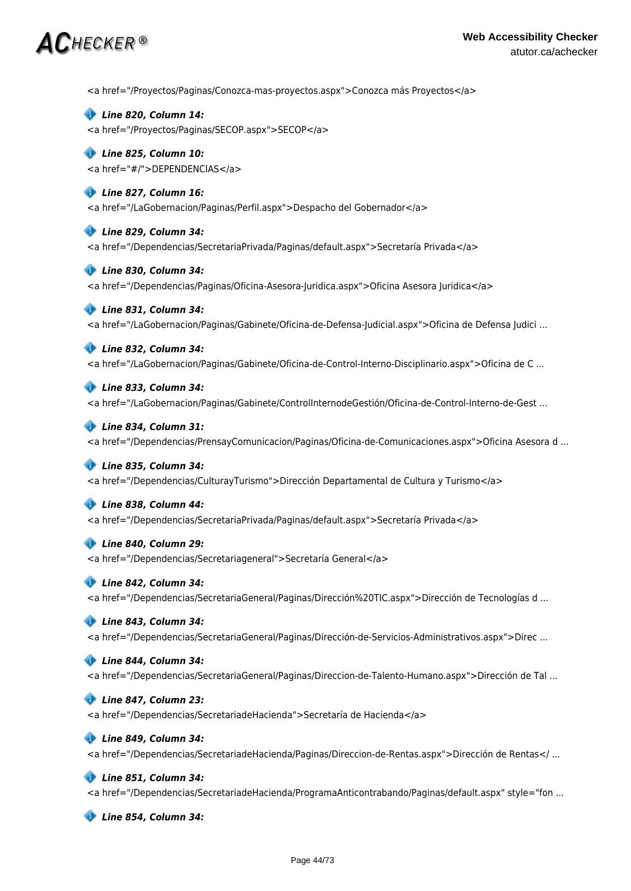# $\bm{AC}$ HECKER®

<a href="/Proyectos/Paginas/Conozca-mas-proyectos.aspx">Conozca más Proyectos</a>

 *Line 820, Column 14:* <a href="/Proyectos/Paginas/SECOP.aspx">SECOP</a>

# *Line 825, Column 10:* <a href="#/">DEPENDENCIAS</a>

 *Line 827, Column 16:* <a href="/LaGobernacion/Paginas/Perfil.aspx">Despacho del Gobernador</a>

 *Line 829, Column 34:* <a href="/Dependencias/SecretariaPrivada/Paginas/default.aspx">Secretaría Privada</a>

 *Line 830, Column 34:* <a href="/Dependencias/Paginas/Oficina-Asesora-Juridica.aspx">Oficina Asesora Juridica</a>

# *Line 831, Column 34:*

<a href="/LaGobernacion/Paginas/Gabinete/Oficina-de-Defensa-Judicial.aspx">Oficina de Defensa Judici ...

# *Line 832, Column 34:*

<a href="/LaGobernacion/Paginas/Gabinete/Oficina-de-Control-Interno-Disciplinario.aspx">Oficina de C ...

### *Line 833, Column 34:*

<a href="/LaGobernacion/Paginas/Gabinete/ControlInternodeGestión/Oficina-de-Control-Interno-de-Gest ...

#### *Line 834, Column 31:*

<a href="/Dependencias/PrensayComunicacion/Paginas/Oficina-de-Comunicaciones.aspx">Oficina Asesora d ...

#### *Line 835, Column 34:*

<a href="/Dependencias/CulturayTurismo">Dirección Departamental de Cultura y Turismo</a>

#### *Line 838, Column 44:*

<a href="/Dependencias/SecretariaPrivada/Paginas/default.aspx">Secretaría Privada</a>

#### *Line 840, Column 29:*

<a href="/Dependencias/Secretariageneral">Secretaría General</a>

#### *Line 842, Column 34:*

<a href="/Dependencias/SecretariaGeneral/Paginas/Dirección%20TIC.aspx">Dirección de Tecnologías d ...

#### *Line 843, Column 34:*

<a href="/Dependencias/SecretariaGeneral/Paginas/Dirección-de-Servicios-Administrativos.aspx">Direc ...

#### *Line 844, Column 34:*

<a href="/Dependencias/SecretariaGeneral/Paginas/Direccion-de-Talento-Humano.aspx">Dirección de Tal ...

#### *Line 847, Column 23:*

<a href="/Dependencias/SecretariadeHacienda">Secretaría de Hacienda</a>

### *Line 849, Column 34:*

<a href="/Dependencias/SecretariadeHacienda/Paginas/Direccion-de-Rentas.aspx">Dirección de Rentas</ ...

#### *Line 851, Column 34:*

<a href="/Dependencias/SecretariadeHacienda/ProgramaAnticontrabando/Paginas/default.aspx" style="fon ...

 *Line 854, Column 34:*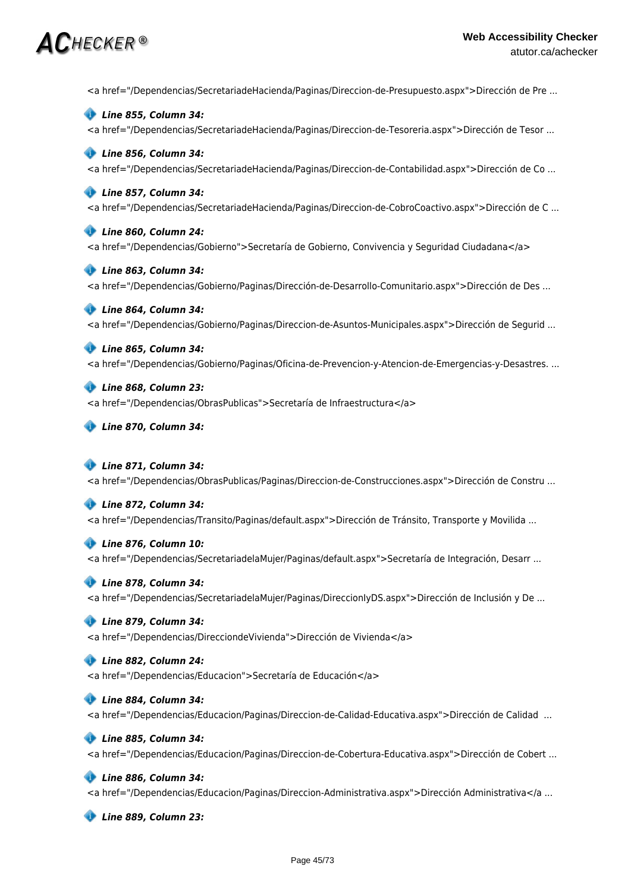# $\bm{AC}$ HECKER®

<a href="/Dependencias/SecretariadeHacienda/Paginas/Direccion-de-Presupuesto.aspx">Dirección de Pre ...

 *Line 855, Column 34:* <a href="/Dependencias/SecretariadeHacienda/Paginas/Direccion-de-Tesoreria.aspx">Dirección de Tesor ...

# *Line 856, Column 34:*

<a href="/Dependencias/SecretariadeHacienda/Paginas/Direccion-de-Contabilidad.aspx">Dirección de Co ...

## *Line 857, Column 34:*

<a href="/Dependencias/SecretariadeHacienda/Paginas/Direccion-de-CobroCoactivo.aspx">Dirección de C ...

### *Line 860, Column 24:*

<a href="/Dependencias/Gobierno">Secretaría de Gobierno, Convivencia y Seguridad Ciudadana</a>

# *Line 863, Column 34:*

<a href="/Dependencias/Gobierno/Paginas/Dirección-de-Desarrollo-Comunitario.aspx">Dirección de Des ...

# *Line 864, Column 34:*

<a href="/Dependencias/Gobierno/Paginas/Direccion-de-Asuntos-Municipales.aspx">Dirección de Segurid ...

 *Line 865, Column 34:* <a href="/Dependencias/Gobierno/Paginas/Oficina-de-Prevencion-y-Atencion-de-Emergencias-y-Desastres. ...

# *Line 868, Column 23:*

<a href="/Dependencias/ObrasPublicas">Secretaría de Infraestructura</a>

 *Line 870, Column 34:*

#### *Line 871, Column 34:*

<a href="/Dependencias/ObrasPublicas/Paginas/Direccion-de-Construcciones.aspx">Dirección de Constru ...

#### *Line 872, Column 34:*

<a href="/Dependencias/Transito/Paginas/default.aspx">Dirección de Tránsito, Transporte y Movilida ...

#### *Line 876, Column 10:*

<a href="/Dependencias/SecretariadelaMujer/Paginas/default.aspx">Secretaría de Integración, Desarr ...

#### *Line 878, Column 34:*

<a href="/Dependencias/SecretariadelaMujer/Paginas/DireccionIyDS.aspx">Dirección de Inclusión y De ...

#### *Line 879, Column 34:*

<a href="/Dependencias/DirecciondeVivienda">Dirección de Vivienda</a>

#### *Line 882, Column 24:*

<a href="/Dependencias/Educacion">Secretaría de Educación</a>

# *Line 884, Column 34:*

<a href="/Dependencias/Educacion/Paginas/Direccion-de-Calidad-Educativa.aspx">Dirección de Calidad ...

# *Line 885, Column 34:*

<a href="/Dependencias/Educacion/Paginas/Direccion-de-Cobertura-Educativa.aspx">Dirección de Cobert ...

# *Line 886, Column 34:*

<a href="/Dependencias/Educacion/Paginas/Direccion-Administrativa.aspx">Dirección Administrativa</a ...

 *Line 889, Column 23:*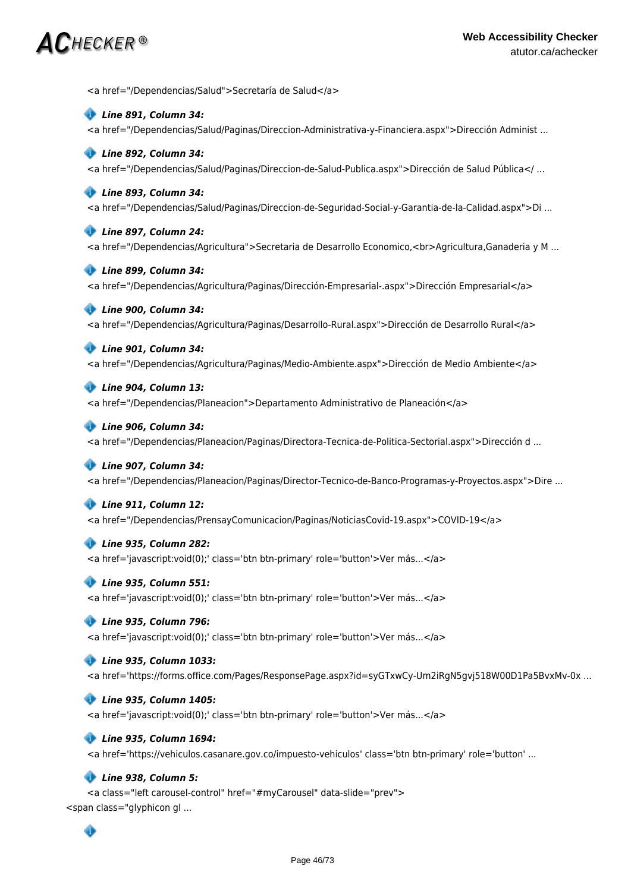# $\bm{AC}$ hecker ®

<a href="/Dependencias/Salud">Secretaría de Salud</a>

#### *Line 891, Column 34:*

<a href="/Dependencias/Salud/Paginas/Direccion-Administrativa-y-Financiera.aspx">Dirección Administ ...

### *Line 892, Column 34:*

<a href="/Dependencias/Salud/Paginas/Direccion-de-Salud-Publica.aspx">Dirección de Salud Pública</ ...

### *Line 893, Column 34:*

<a href="/Dependencias/Salud/Paginas/Direccion-de-Seguridad-Social-y-Garantia-de-la-Calidad.aspx">Di ...

### *Line 897, Column 24:*

<a href="/Dependencias/Agricultura">Secretaria de Desarrollo Economico,<br>Agricultura,Ganaderia y M ...

### *Line 899, Column 34:*

<a href="/Dependencias/Agricultura/Paginas/Dirección-Empresarial-.aspx">Dirección Empresarial</a>

### *Line 900, Column 34:*

<a href="/Dependencias/Agricultura/Paginas/Desarrollo-Rural.aspx">Dirección de Desarrollo Rural</a>

# *Line 901, Column 34:*

<a href="/Dependencias/Agricultura/Paginas/Medio-Ambiente.aspx">Dirección de Medio Ambiente</a>

### *Line 904, Column 13:*

<a href="/Dependencias/Planeacion">Departamento Administrativo de Planeación</a>

#### *Line 906, Column 34:*

<a href="/Dependencias/Planeacion/Paginas/Directora-Tecnica-de-Politica-Sectorial.aspx">Dirección d ...

# *Line 907, Column 34:*

<a href="/Dependencias/Planeacion/Paginas/Director-Tecnico-de-Banco-Programas-y-Proyectos.aspx">Dire ...

# *Line 911, Column 12:*

<a href="/Dependencias/PrensayComunicacion/Paginas/NoticiasCovid-19.aspx">COVID-19</a>

#### *Line 935, Column 282:*

<a href='javascript:void(0);' class='btn btn-primary' role='button'>Ver más...</a>

#### *Line 935, Column 551:*

<a href='javascript:void(0);' class='btn btn-primary' role='button'>Ver más...</a>

# *Line 935, Column 796:*

<a href='javascript:void(0);' class='btn btn-primary' role='button'>Ver más...</a>

# *Line 935, Column 1033:*

<a href='https://forms.office.com/Pages/ResponsePage.aspx?id=syGTxwCy-Um2iRgN5gvj518W00D1Pa5BvxMv-0x ...

# *Line 935, Column 1405:*

<a href='javascript:void(0);' class='btn btn-primary' role='button'>Ver más...</a>

# *Line 935, Column 1694:*

<a href='https://vehiculos.casanare.gov.co/impuesto-vehiculos' class='btn btn-primary' role='button' ...

# *Line 938, Column 5:*

<a class="left carousel-control" href="#myCarousel" data-slide="prev"> <span class="glyphicon gl ...

# ◈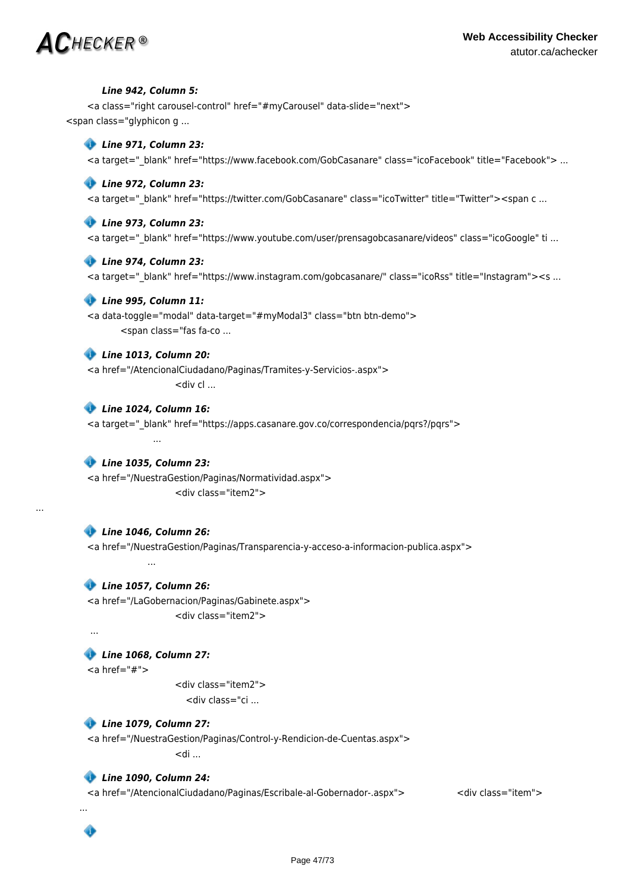# $\mathbf C$ hecker ®

#### *Line 942, Column 5:*

<a class="right carousel-control" href="#myCarousel" data-slide="next"> <span class="glyphicon g ...

### *Line 971, Column 23:*

<a target=" blank" href="https://www.facebook.com/GobCasanare" class="icoFacebook" title="Facebook"> ...

#### *Line 972, Column 23:*

<a target=" blank" href="https://twitter.com/GobCasanare" class="icoTwitter" title="Twitter"><span c ...

#### *Line 973, Column 23:*

<a target="\_blank" href="https://www.youtube.com/user/prensagobcasanare/videos" class="icoGoogle" ti ...

#### *Line 974, Column 23:*

<a target=" blank" href="https://www.instagram.com/gobcasanare/" class="icoRss" title="Instagram"><s ...

#### *Line 995, Column 11:*

<a data-toggle="modal" data-target="#myModal3" class="btn btn-demo"> <span class="fas fa-co ...

#### *Line 1013, Column 20:*

<a href="/AtencionalCiudadano/Paginas/Tramites-y-Servicios-.aspx">  $\leq$ div cl ...

# *Line 1024, Column 16:* <a target="\_blank" href="https://apps.casanare.gov.co/correspondencia/pqrs?/pqrs"> ...

 *Line 1035, Column 23:* <a href="/NuestraGestion/Paginas/Normatividad.aspx"> <div class="item2">

#### *Line 1046, Column 26:*

<a href="/NuestraGestion/Paginas/Transparencia-y-acceso-a-informacion-publica.aspx">

#### *Line 1057, Column 26:*

<a href="/LaGobernacion/Paginas/Gabinete.aspx"> <div class="item2">

...

...

Ô

...

...

# *Line 1068, Column 27:*

 $<$ a href="#">

 <div class="item2"> <div class="ci ...

# *Line 1079, Column 27:*

<a href="/NuestraGestion/Paginas/Control-y-Rendicion-de-Cuentas.aspx">  $<$ di ...

#### *Line 1090, Column 24:*

<a href="/AtencionalCiudadano/Paginas/Escribale-al-Gobernador-.aspx"> <div class="item">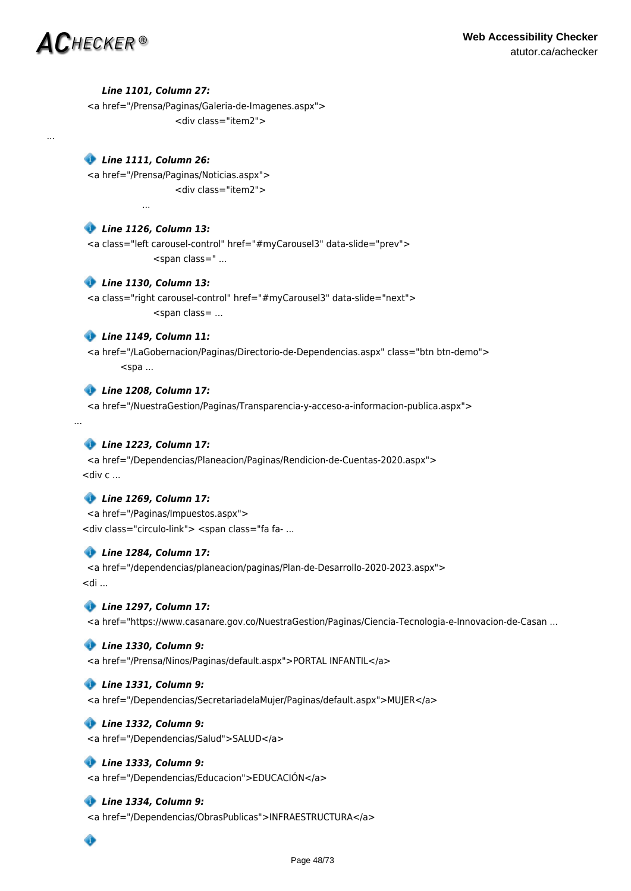...

...

...

### *Line 1101, Column 27:*

<a href="/Prensa/Paginas/Galeria-de-Imagenes.aspx"> <div class="item2">

# *Line 1111, Column 26:*

<a href="/Prensa/Paginas/Noticias.aspx"> <div class="item2">

# *Line 1126, Column 13:*

<a class="left carousel-control" href="#myCarousel3" data-slide="prev"> <span class=" ...

# *Line 1130, Column 13:*

<a class="right carousel-control" href="#myCarousel3" data-slide="next"> <span class= ...

# *Line 1149, Column 11:*

<a href="/LaGobernacion/Paginas/Directorio-de-Dependencias.aspx" class="btn btn-demo">  $<$ spa ...

# *Line 1208, Column 17:*

<a href="/NuestraGestion/Paginas/Transparencia-y-acceso-a-informacion-publica.aspx">

# *Line 1223, Column 17:*

<a href="/Dependencias/Planeacion/Paginas/Rendicion-de-Cuentas-2020.aspx">  $\lt$ div c ...

# *Line 1269, Column 17:*

<a href="/Paginas/Impuestos.aspx"> <div class="circulo-link"> <span class="fa fa- ...

# *Line 1284, Column 17:*

<a href="/dependencias/planeacion/paginas/Plan-de-Desarrollo-2020-2023.aspx">  $>$ di ...

# *Line 1297, Column 17:*

<a href="https://www.casanare.gov.co/NuestraGestion/Paginas/Ciencia-Tecnologia-e-Innovacion-de-Casan ...

# *Line 1330, Column 9:*

<a href="/Prensa/Ninos/Paginas/default.aspx">PORTAL INFANTIL</a>

# *Line 1331, Column 9:*

<a href="/Dependencias/SecretariadelaMujer/Paginas/default.aspx">MUJER</a>

# *Line 1332, Column 9:*

<a href="/Dependencias/Salud">SALUD</a>

# *Line 1333, Column 9:*

<a href="/Dependencias/Educacion">EDUCACIÓN</a>

# *Line 1334, Column 9:*

<a href="/Dependencias/ObrasPublicas">INFRAESTRUCTURA</a>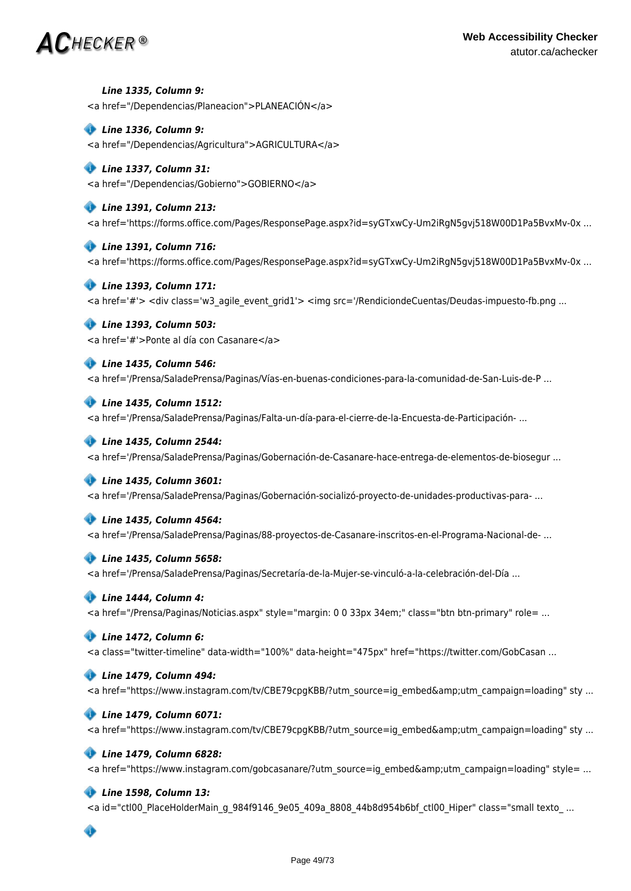# **Web Accessibility Checker** atutor.ca/achecker

# $\mathsf{AC}$ hecker®

 *Line 1335, Column 9:* <a href="/Dependencias/Planeacion">PLANEACIÓN</a>

# *Line 1336, Column 9:*

<a href="/Dependencias/Agricultura">AGRICULTURA</a>

# *Line 1337, Column 31:*

<a href="/Dependencias/Gobierno">GOBIERNO</a>

# *Line 1391, Column 213:*

<a href='https://forms.office.com/Pages/ResponsePage.aspx?id=syGTxwCy-Um2iRgN5gvj518W00D1Pa5BvxMv-0x ...

#### *Line 1391, Column 716:*

<a href='https://forms.office.com/Pages/ResponsePage.aspx?id=syGTxwCy-Um2iRgN5gvj518W00D1Pa5BvxMv-0x ...

### *Line 1393, Column 171:*

<a href='#'> <div class='w3\_agile\_event\_grid1'> <img src='/RendiciondeCuentas/Deudas-impuesto-fb.png ...

### *Line 1393, Column 503:*

<a href='#'>Ponte al día con Casanare</a>

### *Line 1435, Column 546:*

<a href='/Prensa/SaladePrensa/Paginas/Vías-en-buenas-condiciones-para-la-comunidad-de-San-Luis-de-P ...

### *Line 1435, Column 1512:*

<a href='/Prensa/SaladePrensa/Paginas/Falta-un-día-para-el-cierre-de-la-Encuesta-de-Participación- ...

# *Line 1435, Column 2544:*

<a href='/Prensa/SaladePrensa/Paginas/Gobernación-de-Casanare-hace-entrega-de-elementos-de-biosegur ...

#### *Line 1435, Column 3601:*

<a href='/Prensa/SaladePrensa/Paginas/Gobernación-socializó-proyecto-de-unidades-productivas-para- ...

#### *Line 1435, Column 4564:*

<a href='/Prensa/SaladePrensa/Paginas/88-proyectos-de-Casanare-inscritos-en-el-Programa-Nacional-de- ...

#### *Line 1435, Column 5658:*

<a href='/Prensa/SaladePrensa/Paginas/Secretaría-de-la-Mujer-se-vinculó-a-la-celebración-del-Día ...

# *Line 1444, Column 4:*

<a href="/Prensa/Paginas/Noticias.aspx" style="margin: 0 0 33px 34em;" class="btn btn-primary" role= ...

# *Line 1472, Column 6:*

<a class="twitter-timeline" data-width="100%" data-height="475px" href="https://twitter.com/GobCasan ...

# *Line 1479, Column 494:*

<a href="https://www.instagram.com/tv/CBE79cpgKBB/?utm\_source=ig\_embed&amp;utm\_campaign=loading" sty ...

#### *Line 1479, Column 6071:*

<a href="https://www.instagram.com/tv/CBE79cpgKBB/?utm\_source=ig\_embed&amp;utm\_campaign=loading" sty ...

#### *Line 1479, Column 6828:*

<a href="https://www.instagram.com/gobcasanare/?utm\_source=ig\_embed&amp;utm\_campaign=loading" style= ...

# *Line 1598, Column 13:*

<a id="ctl00\_PlaceHolderMain\_g\_984f9146\_9e05\_409a\_8808\_44b8d954b6bf\_ctl00\_Hiper" class="small texto\_ ...

# ◈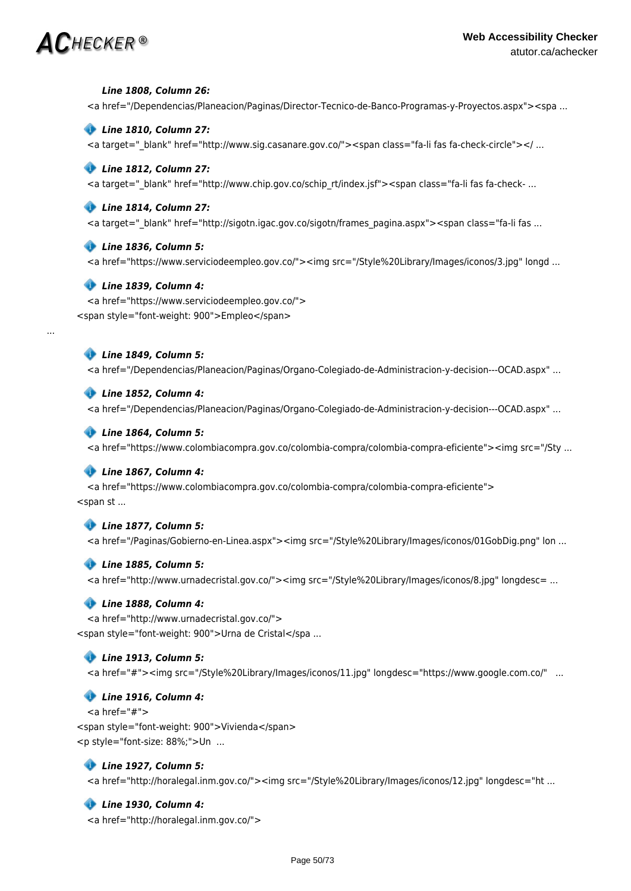#### *Line 1808, Column 26:*

<a href="/Dependencias/Planeacion/Paginas/Director-Tecnico-de-Banco-Programas-y-Proyectos.aspx"><spa ...

#### *Line 1810, Column 27:*

<a target="\_blank" href="http://www.sig.casanare.gov.co/"><span class="fa-li fas fa-check-circle"></ ...

#### *Line 1812, Column 27:*

<a target=" blank" href="http://www.chip.gov.co/schip rt/index.jsf"><span class="fa-li fas fa-check- ...

#### *Line 1814, Column 27:*

<a target="\_blank" href="http://sigotn.igac.gov.co/sigotn/frames\_pagina.aspx"><span class="fa-li fas ...

#### *Line 1836, Column 5:*

<a href="https://www.serviciodeempleo.gov.co/"><img src="/Style%20Library/Images/iconos/3.jpg" longd ...

#### *Line 1839, Column 4:*

<a href="https://www.serviciodeempleo.gov.co/"> <span style="font-weight: 900">Empleo</span>

### *Line 1849, Column 5:*

...

<a href="/Dependencias/Planeacion/Paginas/Organo-Colegiado-de-Administracion-y-decision---OCAD.aspx" ...

#### *Line 1852, Column 4:*

<a href="/Dependencias/Planeacion/Paginas/Organo-Colegiado-de-Administracion-y-decision---OCAD.aspx" ...

#### *Line 1864, Column 5:*

<a href="https://www.colombiacompra.gov.co/colombia-compra/colombia-compra-eficiente"><img src="/Sty ...

#### *Line 1867, Column 4:*

<a href="https://www.colombiacompra.gov.co/colombia-compra/colombia-compra-eficiente"> <span st ...

#### *Line 1877, Column 5:*

<a href="/Paginas/Gobierno-en-Linea.aspx"><img src="/Style%20Library/Images/iconos/01GobDig.png" lon ...

#### *Line 1885, Column 5:*

<a href="http://www.urnadecristal.gov.co/"><img src="/Style%20Library/Images/iconos/8.jpg" longdesc= ...

#### *Line 1888, Column 4:*

<a href="http://www.urnadecristal.gov.co/"> <span style="font-weight: 900">Urna de Cristal</spa ...

#### *Line 1913, Column 5:*

<a href="#"><img src="/Style%20Library/Images/iconos/11.jpg" longdesc="https://www.google.com.co/" ...

#### *Line 1916, Column 4:*

 $<$ a href="#"> <span style="font-weight: 900">Vivienda</span> <p style="font-size: 88%;">Un ...

### *Line 1927, Column 5:*

<a href="http://horalegal.inm.gov.co/"><img src="/Style%20Library/Images/iconos/12.jpg" longdesc="ht ...

#### *Line 1930, Column 4:*

<a href="http://horalegal.inm.gov.co/">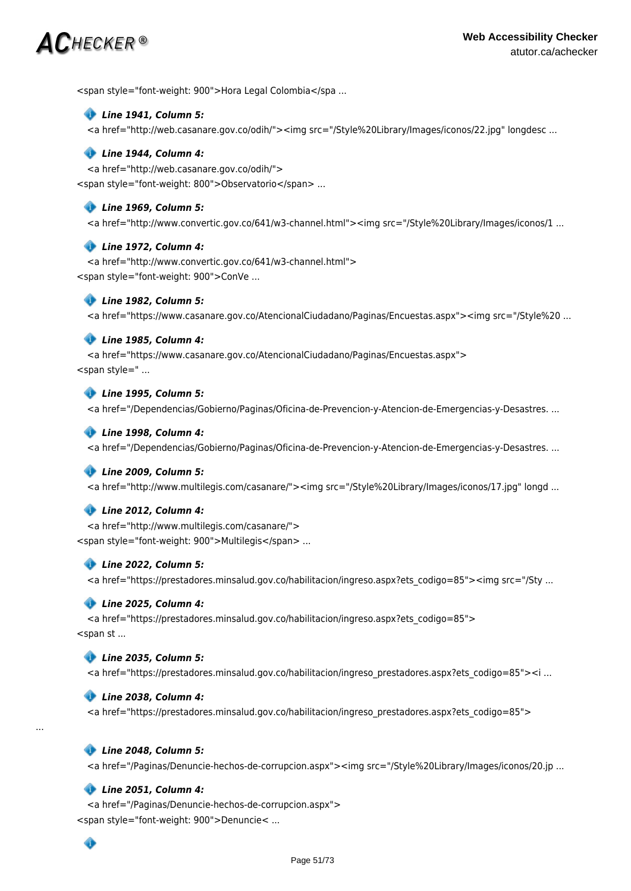# $\mathsf{A}\mathcal{C}$ hecker ®

<span style="font-weight: 900">Hora Legal Colombia</spa ...

#### *Line 1941, Column 5:*

<a href="http://web.casanare.gov.co/odih/"><img src="/Style%20Library/Images/iconos/22.jpg" longdesc ...

#### *Line 1944, Column 4:*

<a href="http://web.casanare.gov.co/odih/"> <span style="font-weight: 800">Observatorio</span> ...

#### *Line 1969, Column 5:*

<a href="http://www.convertic.gov.co/641/w3-channel.html"><img src="/Style%20Library/Images/iconos/1 ...

#### *Line 1972, Column 4:*

<a href="http://www.convertic.gov.co/641/w3-channel.html"> <span style="font-weight: 900">ConVe ...

#### *Line 1982, Column 5:*

<a href="https://www.casanare.gov.co/AtencionalCiudadano/Paginas/Encuestas.aspx"><img src="/Style%20 ...

#### *Line 1985, Column 4:*

<a href="https://www.casanare.gov.co/AtencionalCiudadano/Paginas/Encuestas.aspx"> <span style=" ...

## *Line 1995, Column 5:*

<a href="/Dependencias/Gobierno/Paginas/Oficina-de-Prevencion-y-Atencion-de-Emergencias-y-Desastres. ...

#### *Line 1998, Column 4:*

<a href="/Dependencias/Gobierno/Paginas/Oficina-de-Prevencion-y-Atencion-de-Emergencias-y-Desastres. ...

#### *Line 2009, Column 5:*

<a href="http://www.multilegis.com/casanare/"><img src="/Style%20Library/Images/iconos/17.jpg" longd ...

#### *Line 2012, Column 4:*

<a href="http://www.multilegis.com/casanare/">

<span style="font-weight: 900">Multilegis</span> ...

#### *Line 2022, Column 5:*

<a href="https://prestadores.minsalud.gov.co/habilitacion/ingreso.aspx?ets\_codigo=85"><img src="/Sty ...

#### *Line 2025, Column 4:*

<a href="https://prestadores.minsalud.gov.co/habilitacion/ingreso.aspx?ets\_codigo=85">  $\le$ span st ...

#### *Line 2035, Column 5:*

<a href="https://prestadores.minsalud.gov.co/habilitacion/ingreso\_prestadores.aspx?ets\_codigo=85"><i ...

#### *Line 2038, Column 4:*

<a href="https://prestadores.minsalud.gov.co/habilitacion/ingreso\_prestadores.aspx?ets\_codigo=85">

## *Line 2048, Column 5:*

<a href="/Paginas/Denuncie-hechos-de-corrupcion.aspx"><img src="/Style%20Library/Images/iconos/20.jp ...

### *Line 2051, Column 4:*

â

<a href="/Paginas/Denuncie-hechos-de-corrupcion.aspx"> <span style="font-weight: 900">Denuncie< ...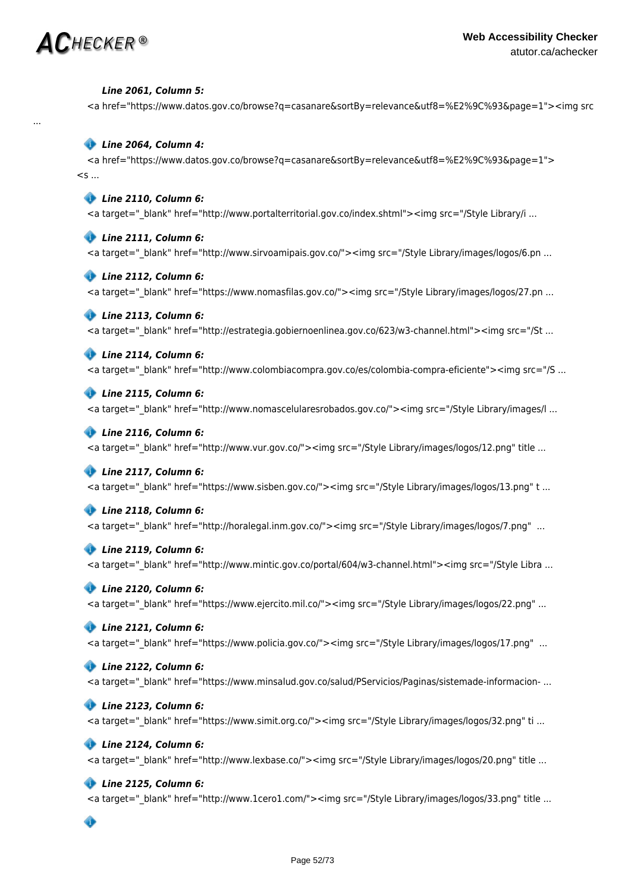

...

#### *Line 2061, Column 5:*

<a href="https://www.datos.gov.co/browse?q=casanare&sortBy=relevance&utf8=%E2%9C%93&page=1"><img src

### *Line 2064, Column 4:*

<a href="https://www.datos.gov.co/browse?q=casanare&sortBy=relevance&utf8=%E2%9C%93&page=1">  $<$ s ...

#### *Line 2110, Column 6:*

<a target=" blank" href="http://www.portalterritorial.gov.co/index.shtml"><img src="/Style Library/i ...

#### *Line 2111, Column 6:*

<a target=" blank" href="http://www.sirvoamipais.gov.co/"><img src="/Style Library/images/logos/6.pn ...

#### *Line 2112, Column 6:*

<a target=" blank" href="https://www.nomasfilas.gov.co/"><img src="/Style Library/images/logos/27.pn ...

#### *Line 2113, Column 6:*

<a target="\_blank" href="http://estrategia.gobiernoenlinea.gov.co/623/w3-channel.html"><img src="/St ...

#### *Line 2114, Column 6:*

<a target=" blank" href="http://www.colombiacompra.gov.co/es/colombia-compra-eficiente"><img src="/S ...

#### *Line 2115, Column 6:*

<a target="\_blank" href="http://www.nomascelularesrobados.gov.co/"><img src="/Style Library/images/l ...

#### *Line 2116, Column 6:*

<a target="\_blank" href="http://www.vur.gov.co/"><img src="/Style Library/images/logos/12.png" title ...

#### *Line 2117, Column 6:*

<a target="\_blank" href="https://www.sisben.gov.co/"><img src="/Style Library/images/logos/13.png" t ...

#### *Line 2118, Column 6:*

<a target="\_blank" href="http://horalegal.inm.gov.co/"><img src="/Style Library/images/logos/7.png" ...

#### *Line 2119, Column 6:*

<a target="\_blank" href="http://www.mintic.gov.co/portal/604/w3-channel.html"><img src="/Style Libra ...

# *Line 2120, Column 6:*

<a target="\_blank" href="https://www.ejercito.mil.co/"><img src="/Style Library/images/logos/22.png" ...

#### *Line 2121, Column 6:*

<a target="\_blank" href="https://www.policia.gov.co/"><img src="/Style Library/images/logos/17.png" ...

#### *Line 2122, Column 6:*

<a target=" blank" href="https://www.minsalud.gov.co/salud/PServicios/Paginas/sistemade-informacion- ...

#### *Line 2123, Column 6:*

<a target="\_blank" href="https://www.simit.org.co/"><img src="/Style Library/images/logos/32.png" ti ...

#### *Line 2124, Column 6:*

<a target="\_blank" href="http://www.lexbase.co/"><img src="/Style Library/images/logos/20.png" title ...

#### *Line 2125, Column 6:*

 $\leq$ a target=" blank" href="http://www.1cero1.com/"><img src="/Style Library/images/logos/33.png" title ...

◈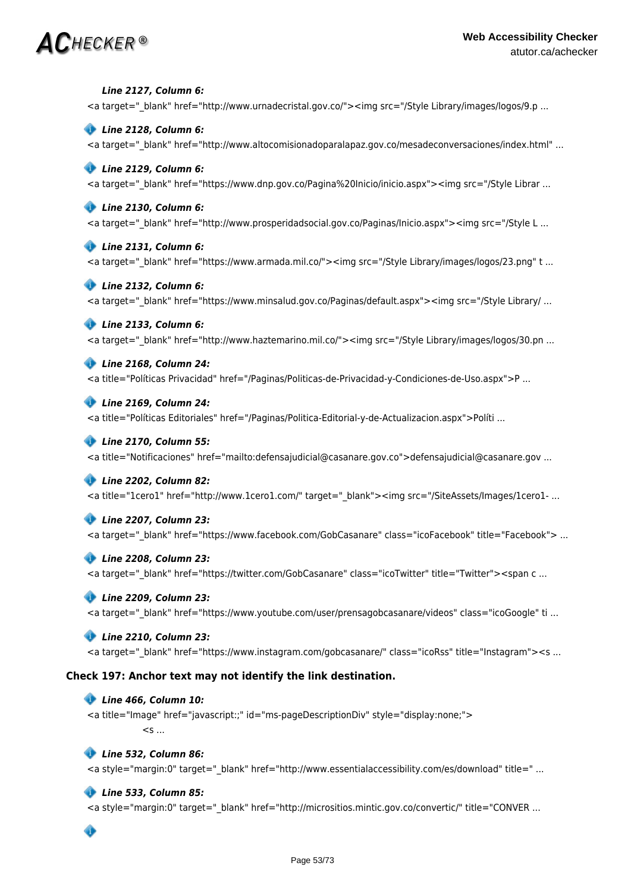*Line 2127, Column 6:* <a target=" blank" href="http://www.urnadecristal.gov.co/"><img src="/Style Library/images/logos/9.p ...  *Line 2128, Column 6:*

<a target=" blank" href="http://www.altocomisionadoparalapaz.gov.co/mesadeconversaciones/index.html" ...

# *Line 2129, Column 6:*

<a target=" blank" href="https://www.dnp.gov.co/Pagina%20Inicio/inicio.aspx"><img src="/Style Librar ...

## *Line 2130, Column 6:*

<a target=" blank" href="http://www.prosperidadsocial.gov.co/Paginas/Inicio.aspx"><img src="/Style L ...

#### *Line 2131, Column 6:*

<a target="\_blank" href="https://www.armada.mil.co/"><img src="/Style Library/images/logos/23.png" t ...

### *Line 2132, Column 6:*

<a target="\_blank" href="https://www.minsalud.gov.co/Paginas/default.aspx"><img src="/Style Library/ ...

### *Line 2133, Column 6:*

<a target="\_blank" href="http://www.haztemarino.mil.co/"><img src="/Style Library/images/logos/30.pn ...

## *Line 2168, Column 24:*

<a title="Políticas Privacidad" href="/Paginas/Politicas-de-Privacidad-y-Condiciones-de-Uso.aspx">P ...

### *Line 2169, Column 24:*

<a title="Políticas Editoriales" href="/Paginas/Politica-Editorial-y-de-Actualizacion.aspx">Políti ...

### *Line 2170, Column 55:*

<a title="Notificaciones" href="mailto:defensajudicial@casanare.gov.co">defensajudicial@casanare.gov ...

#### *Line 2202, Column 82:*

<a title="1cero1" href="http://www.1cero1.com/" target="\_blank"><img src="/SiteAssets/Images/1cero1- ...

#### *Line 2207, Column 23:*

<a target=" blank" href="https://www.facebook.com/GobCasanare" class="icoFacebook" title="Facebook"> ...

### *Line 2208, Column 23:*

<a target=" blank" href="https://twitter.com/GobCasanare" class="icoTwitter" title="Twitter"><span c ...

#### *Line 2209, Column 23:*

<a target="\_blank" href="https://www.youtube.com/user/prensagobcasanare/videos" class="icoGoogle" ti ...

#### *Line 2210, Column 23:*

<a target=" blank" href="https://www.instagram.com/gobcasanare/" class="icoRss" title="Instagram"><s ...

# **Check 197: Anchor text may not identify the link destination.**

### *Line 466, Column 10:*

<a title="Image" href="javascript:;" id="ms-pageDescriptionDiv" style="display:none;">  $\leq$ s ...

#### *Line 532, Column 86:*

<a style="margin:0" target="\_blank" href="http://www.essentialaccessibility.com/es/download" title=" ...

# *Line 533, Column 85:*

<a style="margin:0" target="\_blank" href="http://micrositios.mintic.gov.co/convertic/" title="CONVER ...

# ◈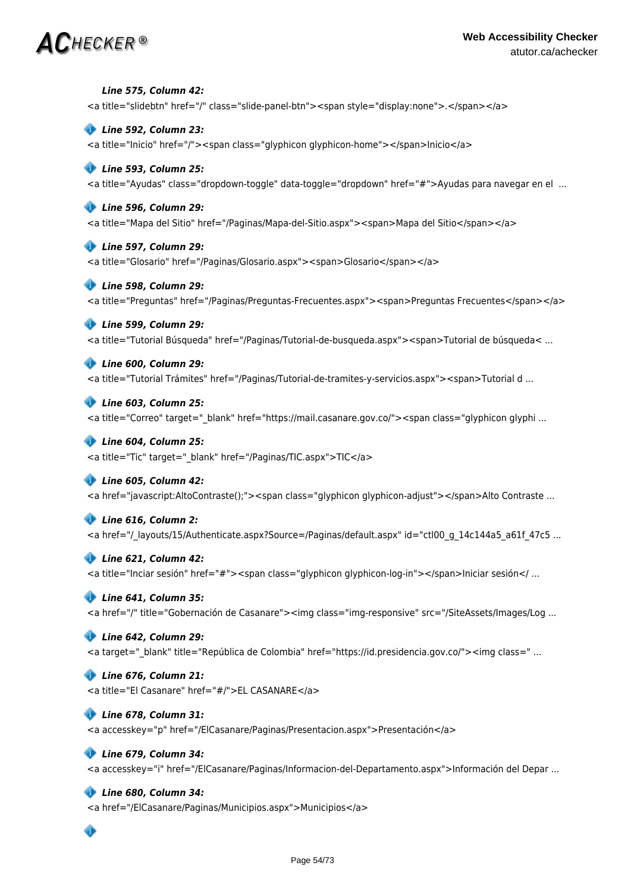*Line 575, Column 42:* <a title="slidebtn" href="/" class="slide-panel-btn"><span style="display:none">.</span></a>  *Line 592, Column 23:* <a title="Inicio" href="/"><span class="glyphicon glyphicon-home"></span>Inicio</a>  *Line 593, Column 25:* <a title="Ayudas" class="dropdown-toggle" data-toggle="dropdown" href="#">Ayudas para navegar en el ...  *Line 596, Column 29:* <a title="Mapa del Sitio" href="/Paginas/Mapa-del-Sitio.aspx"><span>Mapa del Sitio</span></a>  *Line 597, Column 29:* <a title="Glosario" href="/Paginas/Glosario.aspx"><span>Glosario</span></a>  *Line 598, Column 29:* <a title="Preguntas" href="/Paginas/Preguntas-Frecuentes.aspx"><span>Preguntas Frecuentes</span></a>  *Line 599, Column 29:* <a title="Tutorial Búsqueda" href="/Paginas/Tutorial-de-busqueda.aspx"><span>Tutorial de búsqueda< ...  *Line 600, Column 29:* <a title="Tutorial Trámites" href="/Paginas/Tutorial-de-tramites-y-servicios.aspx"><span>Tutorial d ...  *Line 603, Column 25:* <a title="Correo" target="\_blank" href="https://mail.casanare.gov.co/"><span class="glyphicon glyphi ...  *Line 604, Column 25:* <a title="Tic" target="\_blank" href="/Paginas/TIC.aspx">TIC</a>  *Line 605, Column 42:* <a href="javascript:AltoContraste();"><span class="glyphicon glyphicon-adjust"></span>Alto Contraste ...  *Line 616, Column 2:* <a href="/ layouts/15/Authenticate.aspx?Source=/Paginas/default.aspx" id="ctl00 g 14c144a5 a61f 47c5 ...  *Line 621, Column 42:* <a title="Inciar sesión" href="#"><span class="glyphicon glyphicon-log-in"></span>Iniciar sesión</ ...  *Line 641, Column 35:* <a href="/" title="Gobernación de Casanare"><img class="img-responsive" src="/SiteAssets/Images/Log ...  *Line 642, Column 29:* <a target="\_blank" title="República de Colombia" href="https://id.presidencia.gov.co/"><img class=" ...  *Line 676, Column 21:* <a title="El Casanare" href="#/">EL CASANARE</a>  *Line 678, Column 31:* <a accesskey="p" href="/ElCasanare/Paginas/Presentacion.aspx">Presentación</a>  *Line 679, Column 34:* <a accesskey="i" href="/ElCasanare/Paginas/Informacion-del-Departamento.aspx">Información del Depar ...  *Line 680, Column 34:* <a href="/ElCasanare/Paginas/Municipios.aspx">Municipios</a> ◈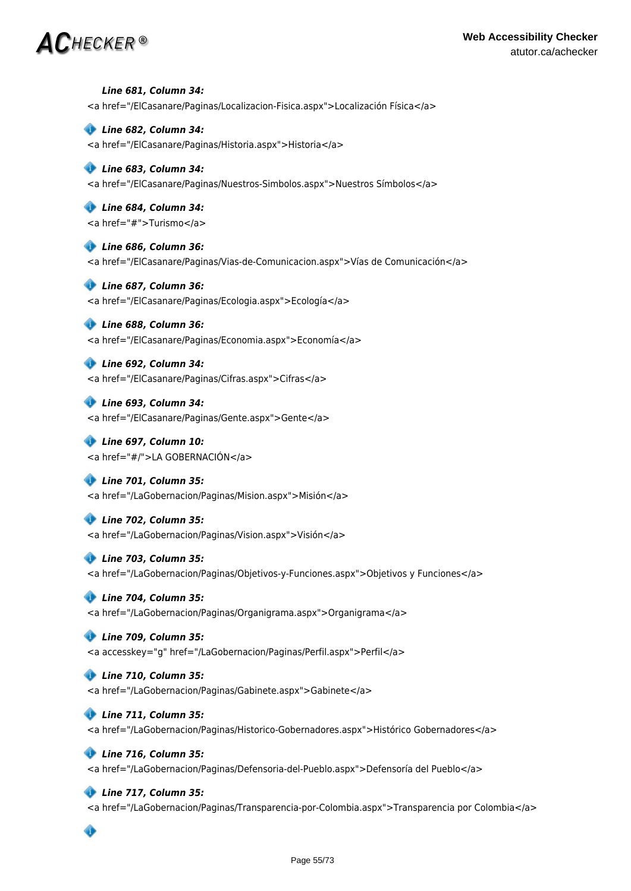*Line 681, Column 34:* <a href="/ElCasanare/Paginas/Localizacion-Fisica.aspx">Localización Física</a>

 *Line 682, Column 34:* <a href="/ElCasanare/Paginas/Historia.aspx">Historia</a>

 *Line 683, Column 34:* <a href="/ElCasanare/Paginas/Nuestros-Simbolos.aspx">Nuestros Símbolos</a>

 *Line 684, Column 34:* <a href="#">Turismo</a>

 *Line 686, Column 36:* <a href="/ElCasanare/Paginas/Vias-de-Comunicacion.aspx">Vías de Comunicación</a>

 *Line 687, Column 36:* <a href="/ElCasanare/Paginas/Ecologia.aspx">Ecología</a>

 *Line 688, Column 36:* <a href="/ElCasanare/Paginas/Economia.aspx">Economía</a>

 *Line 692, Column 34:* <a href="/ElCasanare/Paginas/Cifras.aspx">Cifras</a>

 *Line 693, Column 34:* <a href="/ElCasanare/Paginas/Gente.aspx">Gente</a>

 *Line 697, Column 10:* <a href="#/">LA GOBERNACIÓN</a>

 *Line 701, Column 35:* <a href="/LaGobernacion/Paginas/Mision.aspx">Misión</a>

 *Line 702, Column 35:* <a href="/LaGobernacion/Paginas/Vision.aspx">Visión</a>

 *Line 703, Column 35:* <a href="/LaGobernacion/Paginas/Objetivos-y-Funciones.aspx">Objetivos y Funciones</a>

 *Line 704, Column 35:* <a href="/LaGobernacion/Paginas/Organigrama.aspx">Organigrama</a>

 *Line 709, Column 35:* <a accesskey="g" href="/LaGobernacion/Paginas/Perfil.aspx">Perfil</a>

 *Line 710, Column 35:* <a href="/LaGobernacion/Paginas/Gabinete.aspx">Gabinete</a>

 *Line 711, Column 35:* <a href="/LaGobernacion/Paginas/Historico-Gobernadores.aspx">Histórico Gobernadores</a>

 *Line 716, Column 35:* <a href="/LaGobernacion/Paginas/Defensoria-del-Pueblo.aspx">Defensoría del Pueblo</a>

 *Line 717, Column 35:*

<a href="/LaGobernacion/Paginas/Transparencia-por-Colombia.aspx">Transparencia por Colombia</a>

# $\bullet$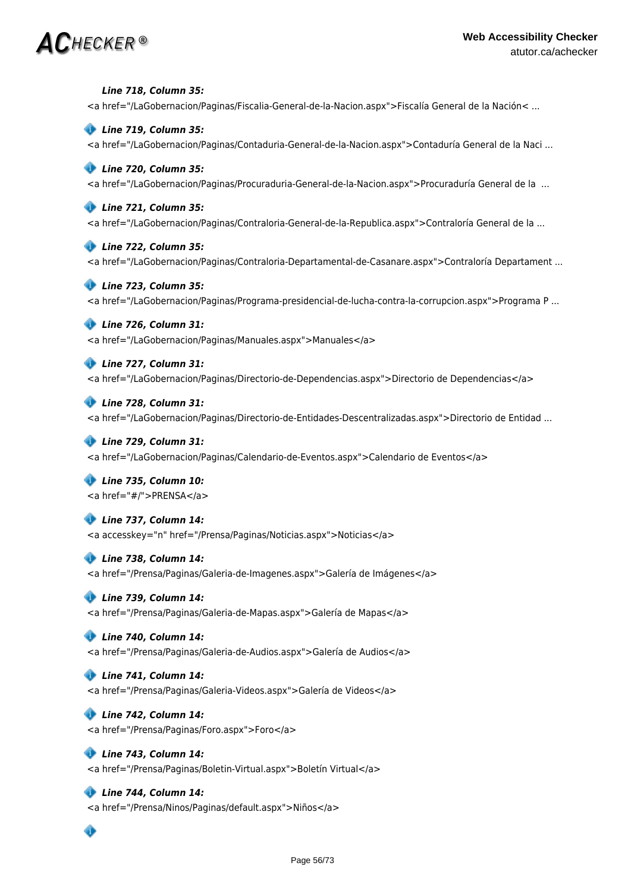*Line 718, Column 35:* <a href="/LaGobernacion/Paginas/Fiscalia-General-de-la-Nacion.aspx">Fiscalía General de la Nación< ...

### *Line 719, Column 35:*

<a href="/LaGobernacion/Paginas/Contaduria-General-de-la-Nacion.aspx">Contaduría General de la Naci ...

### *Line 720, Column 35:*

<a href="/LaGobernacion/Paginas/Procuraduria-General-de-la-Nacion.aspx">Procuraduría General de la ...

#### *Line 721, Column 35:*

<a href="/LaGobernacion/Paginas/Contraloria-General-de-la-Republica.aspx">Contraloría General de la ...

#### *Line 722, Column 35:*

<a href="/LaGobernacion/Paginas/Contraloria-Departamental-de-Casanare.aspx">Contraloría Departament ...

#### *Line 723, Column 35:*

<a href="/LaGobernacion/Paginas/Programa-presidencial-de-lucha-contra-la-corrupcion.aspx">Programa P ...

#### *Line 726, Column 31:*

<a href="/LaGobernacion/Paginas/Manuales.aspx">Manuales</a>

# *Line 727, Column 31:*

<a href="/LaGobernacion/Paginas/Directorio-de-Dependencias.aspx">Directorio de Dependencias</a>

#### *Line 728, Column 31:*

<a href="/LaGobernacion/Paginas/Directorio-de-Entidades-Descentralizadas.aspx">Directorio de Entidad ...

### *Line 729, Column 31:*

<a href="/LaGobernacion/Paginas/Calendario-de-Eventos.aspx">Calendario de Eventos</a>

# *Line 735, Column 10:*

<a href="#/">PRENSA</a>

#### *Line 737, Column 14:*

<a accesskey="n" href="/Prensa/Paginas/Noticias.aspx">Noticias</a>

#### *Line 738, Column 14:*

<a href="/Prensa/Paginas/Galeria-de-Imagenes.aspx">Galería de Imágenes</a>

#### *Line 739, Column 14:*

<a href="/Prensa/Paginas/Galeria-de-Mapas.aspx">Galería de Mapas</a>

#### *Line 740, Column 14:*

<a href="/Prensa/Paginas/Galeria-de-Audios.aspx">Galería de Audios</a>

#### *Line 741, Column 14:*

<a href="/Prensa/Paginas/Galeria-Videos.aspx">Galería de Videos</a>

#### *Line 742, Column 14:*

<a href="/Prensa/Paginas/Foro.aspx">Foro</a>

#### *Line 743, Column 14:*

<a href="/Prensa/Paginas/Boletin-Virtual.aspx">Boletín Virtual</a>

### *Line 744, Column 14:*

<a href="/Prensa/Ninos/Paginas/default.aspx">Niños</a>

# $\bullet$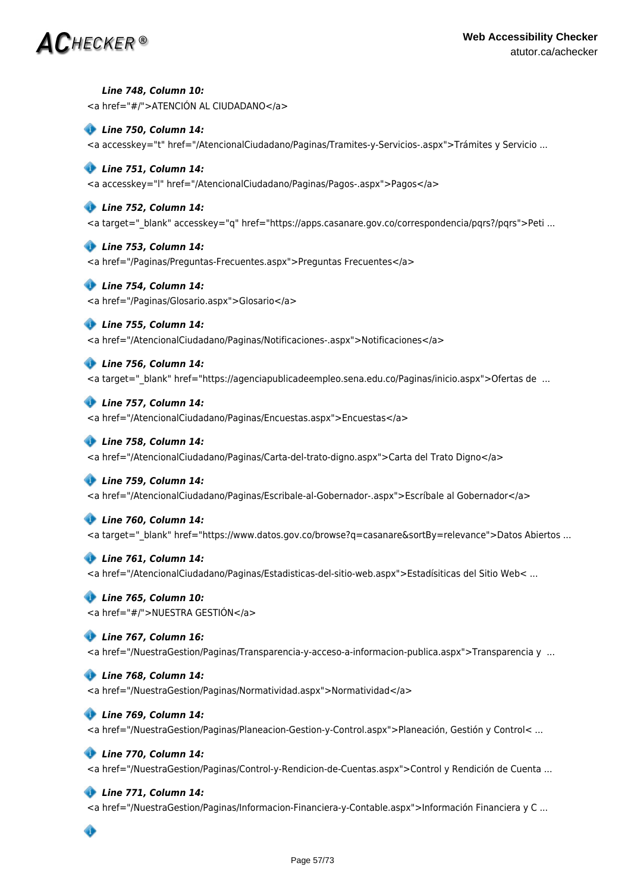*Line 748, Column 10:* <a href="#/">ATENCIÓN AL CIUDADANO</a>

 *Line 750, Column 14:* <a accesskey="t" href="/AtencionalCiudadano/Paginas/Tramites-y-Servicios-.aspx">Trámites y Servicio ...

# *Line 751, Column 14:*

<a accesskey="l" href="/AtencionalCiudadano/Paginas/Pagos-.aspx">Pagos</a>

## *Line 752, Column 14:*

<a target="\_blank" accesskey="q" href="https://apps.casanare.gov.co/correspondencia/pqrs?/pqrs">Peti ...

#### *Line 753, Column 14:*

<a href="/Paginas/Preguntas-Frecuentes.aspx">Preguntas Frecuentes</a>

### *Line 754, Column 14:*

<a href="/Paginas/Glosario.aspx">Glosario</a>

### *Line 755, Column 14:*

<a href="/AtencionalCiudadano/Paginas/Notificaciones-.aspx">Notificaciones</a>

 *Line 756, Column 14:*

<a target=" blank" href="https://agenciapublicadeempleo.sena.edu.co/Paginas/inicio.aspx">Ofertas de ...

 *Line 757, Column 14:*

<a href="/AtencionalCiudadano/Paginas/Encuestas.aspx">Encuestas</a>

#### *Line 758, Column 14:*

<a href="/AtencionalCiudadano/Paginas/Carta-del-trato-digno.aspx">Carta del Trato Digno</a>

#### *Line 759, Column 14:*

<a href="/AtencionalCiudadano/Paginas/Escribale-al-Gobernador-.aspx">Escríbale al Gobernador</a>

#### *Line 760, Column 14:*

<a target=" blank" href="https://www.datos.gov.co/browse?q=casanare&sortBy=relevance">Datos Abiertos ...

### *Line 761, Column 14:*

<a href="/AtencionalCiudadano/Paginas/Estadisticas-del-sitio-web.aspx">Estadísiticas del Sitio Web< ...

# *Line 765, Column 10:*

<a href="#/">NUESTRA GESTIÓN</a>

#### *Line 767, Column 16:*

<a href="/NuestraGestion/Paginas/Transparencia-y-acceso-a-informacion-publica.aspx">Transparencia y ...

#### *Line 768, Column 14:*

<a href="/NuestraGestion/Paginas/Normatividad.aspx">Normatividad</a>

#### *Line 769, Column 14:*

<a href="/NuestraGestion/Paginas/Planeacion-Gestion-y-Control.aspx">Planeación, Gestión y Control< ...

#### *Line 770, Column 14:*

<a href="/NuestraGestion/Paginas/Control-y-Rendicion-de-Cuentas.aspx">Control y Rendición de Cuenta ...

### *Line 771, Column 14:*

<a href="/NuestraGestion/Paginas/Informacion-Financiera-y-Contable.aspx">Información Financiera y C ...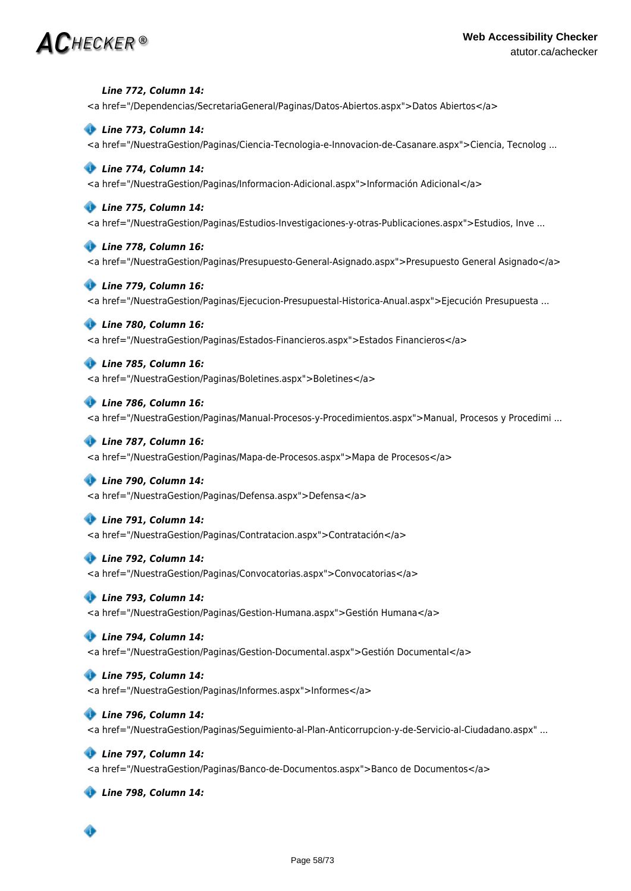# $\bm{AC}$ hecker ®

 *Line 772, Column 14:*

<a href="/Dependencias/SecretariaGeneral/Paginas/Datos-Abiertos.aspx">Datos Abiertos</a>  *Line 773, Column 14:* <a href="/NuestraGestion/Paginas/Ciencia-Tecnologia-e-Innovacion-de-Casanare.aspx">Ciencia, Tecnolog ...  *Line 774, Column 14:* <a href="/NuestraGestion/Paginas/Informacion-Adicional.aspx">Información Adicional</a>  *Line 775, Column 14:* <a href="/NuestraGestion/Paginas/Estudios-Investigaciones-y-otras-Publicaciones.aspx">Estudios, Inve ...  *Line 778, Column 16:* <a href="/NuestraGestion/Paginas/Presupuesto-General-Asignado.aspx">Presupuesto General Asignado</a>  *Line 779, Column 16:* <a href="/NuestraGestion/Paginas/Ejecucion-Presupuestal-Historica-Anual.aspx">Ejecución Presupuesta ...  *Line 780, Column 16:* <a href="/NuestraGestion/Paginas/Estados-Financieros.aspx">Estados Financieros</a>  *Line 785, Column 16:* <a href="/NuestraGestion/Paginas/Boletines.aspx">Boletines</a>  *Line 786, Column 16:* <a href="/NuestraGestion/Paginas/Manual-Procesos-y-Procedimientos.aspx">Manual, Procesos y Procedimi ...  *Line 787, Column 16:* <a href="/NuestraGestion/Paginas/Mapa-de-Procesos.aspx">Mapa de Procesos</a>  *Line 790, Column 14:* <a href="/NuestraGestion/Paginas/Defensa.aspx">Defensa</a>  *Line 791, Column 14:* <a href="/NuestraGestion/Paginas/Contratacion.aspx">Contratación</a>  *Line 792, Column 14:* <a href="/NuestraGestion/Paginas/Convocatorias.aspx">Convocatorias</a>  *Line 793, Column 14:* <a href="/NuestraGestion/Paginas/Gestion-Humana.aspx">Gestión Humana</a>  *Line 794, Column 14:* <a href="/NuestraGestion/Paginas/Gestion-Documental.aspx">Gestión Documental</a>  *Line 795, Column 14:* <a href="/NuestraGestion/Paginas/Informes.aspx">Informes</a>  *Line 796, Column 14:* <a href="/NuestraGestion/Paginas/Seguimiento-al-Plan-Anticorrupcion-y-de-Servicio-al-Ciudadano.aspx" ...  *Line 797, Column 14:* <a href="/NuestraGestion/Paginas/Banco-de-Documentos.aspx">Banco de Documentos</a>  *Line 798, Column 14:* Ô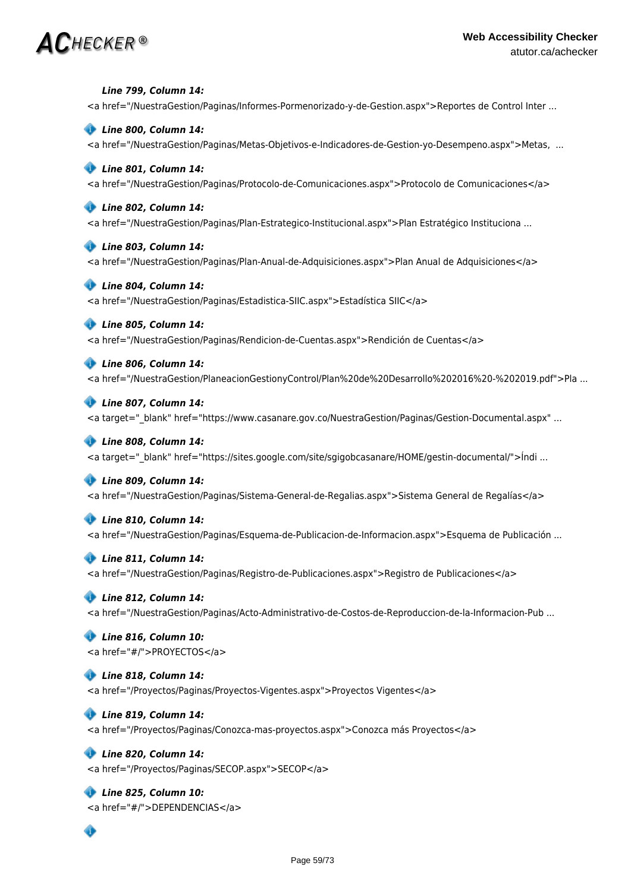*Line 799, Column 14:* <a href="/NuestraGestion/Paginas/Informes-Pormenorizado-y-de-Gestion.aspx">Reportes de Control Inter ...

### *Line 800, Column 14:*

<a href="/NuestraGestion/Paginas/Metas-Objetivos-e-Indicadores-de-Gestion-yo-Desempeno.aspx">Metas, ...

### *Line 801, Column 14:*

<a href="/NuestraGestion/Paginas/Protocolo-de-Comunicaciones.aspx">Protocolo de Comunicaciones</a>

#### *Line 802, Column 14:*

<a href="/NuestraGestion/Paginas/Plan-Estrategico-Institucional.aspx">Plan Estratégico Instituciona ...

#### *Line 803, Column 14:*

<a href="/NuestraGestion/Paginas/Plan-Anual-de-Adquisiciones.aspx">Plan Anual de Adquisiciones</a>

#### *Line 804, Column 14:*

<a href="/NuestraGestion/Paginas/Estadistica-SIIC.aspx">Estadística SIIC</a>

### *Line 805, Column 14:*

<a href="/NuestraGestion/Paginas/Rendicion-de-Cuentas.aspx">Rendición de Cuentas</a>

#### *Line 806, Column 14:*

<a href="/NuestraGestion/PlaneacionGestionyControl/Plan%20de%20Desarrollo%202016%20-%202019.pdf">Pla ...

#### *Line 807, Column 14:*

<a target="\_blank" href="https://www.casanare.gov.co/NuestraGestion/Paginas/Gestion-Documental.aspx" ...

#### *Line 808, Column 14:*

<a target=" blank" href="https://sites.google.com/site/sgigobcasanare/HOME/gestin-documental/">Índi ...

#### *Line 809, Column 14:*

<a href="/NuestraGestion/Paginas/Sistema-General-de-Regalias.aspx">Sistema General de Regalías</a>

### *Line 810, Column 14:*

<a href="/NuestraGestion/Paginas/Esquema-de-Publicacion-de-Informacion.aspx">Esquema de Publicación ...

#### *Line 811, Column 14:*

<a href="/NuestraGestion/Paginas/Registro-de-Publicaciones.aspx">Registro de Publicaciones</a>

#### *Line 812, Column 14:*

<a href="/NuestraGestion/Paginas/Acto-Administrativo-de-Costos-de-Reproduccion-de-la-Informacion-Pub ...

# *Line 816, Column 10:* <a href="#/">PROYECTOS</a>

#### *Line 818, Column 14:*

<a href="/Proyectos/Paginas/Proyectos-Vigentes.aspx">Proyectos Vigentes</a>

#### *Line 819, Column 14:*

<a href="/Proyectos/Paginas/Conozca-mas-proyectos.aspx">Conozca más Proyectos</a>

#### *Line 820, Column 14:*

<a href="/Proyectos/Paginas/SECOP.aspx">SECOP</a>

# *Line 825, Column 10:*

<a href="#/">DEPENDENCIAS</a>

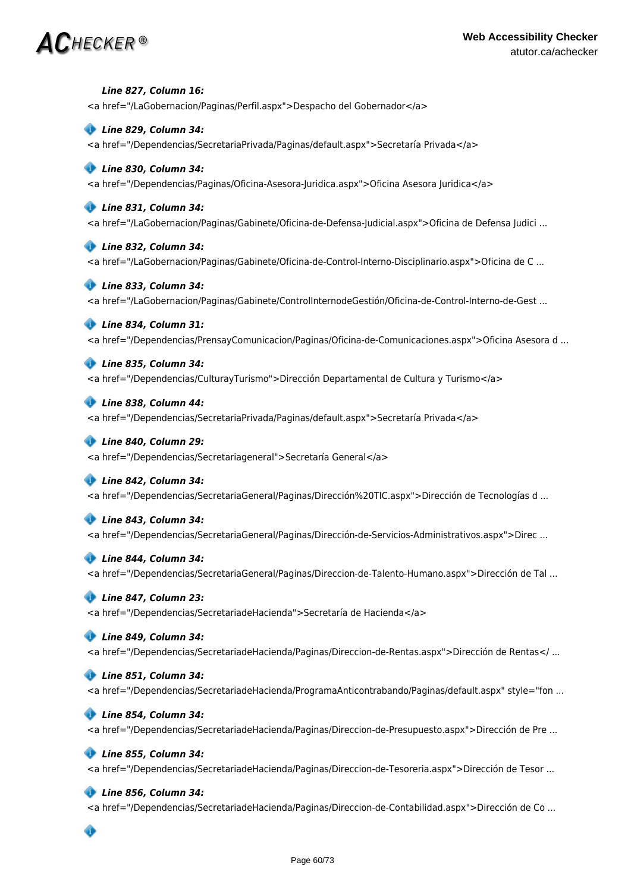<a href="/LaGobernacion/Paginas/Perfil.aspx">Despacho del Gobernador</a>  *Line 829, Column 34:* <a href="/Dependencias/SecretariaPrivada/Paginas/default.aspx">Secretaría Privada</a>  *Line 830, Column 34:* <a href="/Dependencias/Paginas/Oficina-Asesora-Juridica.aspx">Oficina Asesora Juridica</a>  *Line 831, Column 34:* <a href="/LaGobernacion/Paginas/Gabinete/Oficina-de-Defensa-Judicial.aspx">Oficina de Defensa Judici ...  *Line 832, Column 34:* <a href="/LaGobernacion/Paginas/Gabinete/Oficina-de-Control-Interno-Disciplinario.aspx">Oficina de C ...

 *Line 833, Column 34:* <a href="/LaGobernacion/Paginas/Gabinete/ControlInternodeGestión/Oficina-de-Control-Interno-de-Gest ...

# *Line 834, Column 31:*

 *Line 827, Column 16:*

<a href="/Dependencias/PrensayComunicacion/Paginas/Oficina-de-Comunicaciones.aspx">Oficina Asesora d ...

 *Line 835, Column 34:*

<a href="/Dependencias/CulturayTurismo">Dirección Departamental de Cultura y Turismo</a>

 *Line 838, Column 44:* <a href="/Dependencias/SecretariaPrivada/Paginas/default.aspx">Secretaría Privada</a>

 *Line 840, Column 29:* <a href="/Dependencias/Secretariageneral">Secretaría General</a>

# *Line 842, Column 34:*

<a href="/Dependencias/SecretariaGeneral/Paginas/Dirección%20TIC.aspx">Dirección de Tecnologías d ...

 *Line 843, Column 34:*

<a href="/Dependencias/SecretariaGeneral/Paginas/Dirección-de-Servicios-Administrativos.aspx">Direc ...

### *Line 844, Column 34:*

<a href="/Dependencias/SecretariaGeneral/Paginas/Direccion-de-Talento-Humano.aspx">Dirección de Tal ...

# *Line 847, Column 23:*

<a href="/Dependencias/SecretariadeHacienda">Secretaría de Hacienda</a>

#### *Line 849, Column 34:*

<a href="/Dependencias/SecretariadeHacienda/Paginas/Direccion-de-Rentas.aspx">Dirección de Rentas</ ...

#### *Line 851, Column 34:*

<a href="/Dependencias/SecretariadeHacienda/ProgramaAnticontrabando/Paginas/default.aspx" style="fon ...

#### *Line 854, Column 34:*

<a href="/Dependencias/SecretariadeHacienda/Paginas/Direccion-de-Presupuesto.aspx">Dirección de Pre ...

# *Line 855, Column 34:*

<a href="/Dependencias/SecretariadeHacienda/Paginas/Direccion-de-Tesoreria.aspx">Dirección de Tesor ...

# *Line 856, Column 34:*

<a href="/Dependencias/SecretariadeHacienda/Paginas/Direccion-de-Contabilidad.aspx">Dirección de Co ...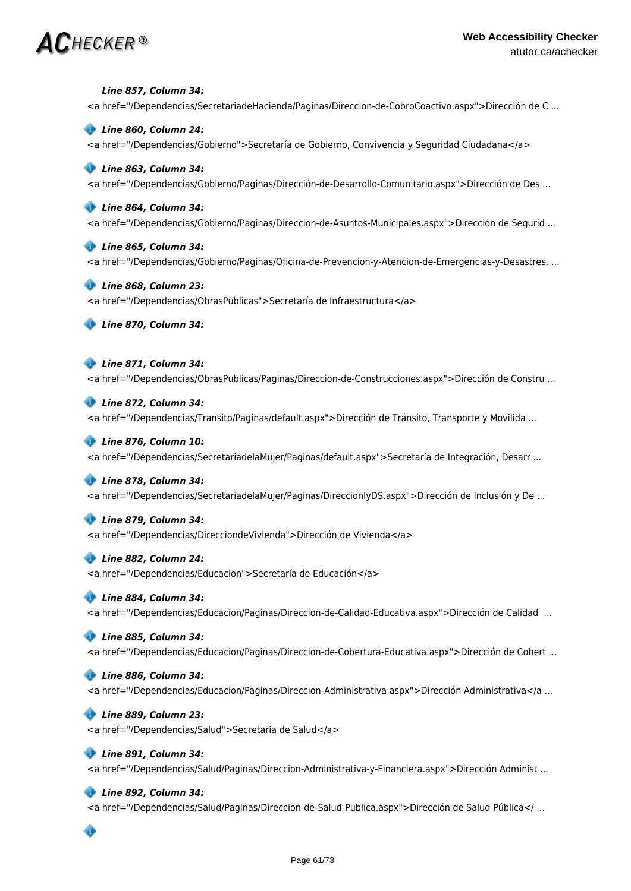*Line 857, Column 34:*

<a href="/Dependencias/SecretariadeHacienda/Paginas/Direccion-de-CobroCoactivo.aspx">Dirección de C ...

#### *Line 860, Column 24:*

<a href="/Dependencias/Gobierno">Secretaría de Gobierno, Convivencia y Seguridad Ciudadana</a>

### *Line 863, Column 34:*

<a href="/Dependencias/Gobierno/Paginas/Dirección-de-Desarrollo-Comunitario.aspx">Dirección de Des ...

#### *Line 864, Column 34:*

<a href="/Dependencias/Gobierno/Paginas/Direccion-de-Asuntos-Municipales.aspx">Dirección de Segurid ...

#### *Line 865, Column 34:*

<a href="/Dependencias/Gobierno/Paginas/Oficina-de-Prevencion-y-Atencion-de-Emergencias-y-Desastres. ...

#### *Line 868, Column 23:*

<a href="/Dependencias/ObrasPublicas">Secretaría de Infraestructura</a>

 *Line 870, Column 34:*

# *Line 871, Column 34:*

<a href="/Dependencias/ObrasPublicas/Paginas/Direccion-de-Construcciones.aspx">Dirección de Constru ...

# *Line 872, Column 34:*

<a href="/Dependencias/Transito/Paginas/default.aspx">Dirección de Tránsito, Transporte y Movilida ...

#### *Line 876, Column 10:*

<a href="/Dependencias/SecretariadelaMujer/Paginas/default.aspx">Secretaría de Integración, Desarr ...

#### *Line 878, Column 34:*

<a href="/Dependencias/SecretariadelaMujer/Paginas/DireccionIyDS.aspx">Dirección de Inclusión y De ...

#### *Line 879, Column 34:*

<a href="/Dependencias/DirecciondeVivienda">Dirección de Vivienda</a>

### *Line 882, Column 24:*

<a href="/Dependencias/Educacion">Secretaría de Educación</a>

#### *Line 884, Column 34:*

<a href="/Dependencias/Educacion/Paginas/Direccion-de-Calidad-Educativa.aspx">Dirección de Calidad ...

#### *Line 885, Column 34:*

<a href="/Dependencias/Educacion/Paginas/Direccion-de-Cobertura-Educativa.aspx">Dirección de Cobert ...

### *Line 886, Column 34:*

<a href="/Dependencias/Educacion/Paginas/Direccion-Administrativa.aspx">Dirección Administrativa</a ...

#### *Line 889, Column 23:*

<a href="/Dependencias/Salud">Secretaría de Salud</a>

# *Line 891, Column 34:*

<a href="/Dependencias/Salud/Paginas/Direccion-Administrativa-y-Financiera.aspx">Dirección Administ ...

# *Line 892, Column 34:*

<a href="/Dependencias/Salud/Paginas/Direccion-de-Salud-Publica.aspx">Dirección de Salud Pública</ ...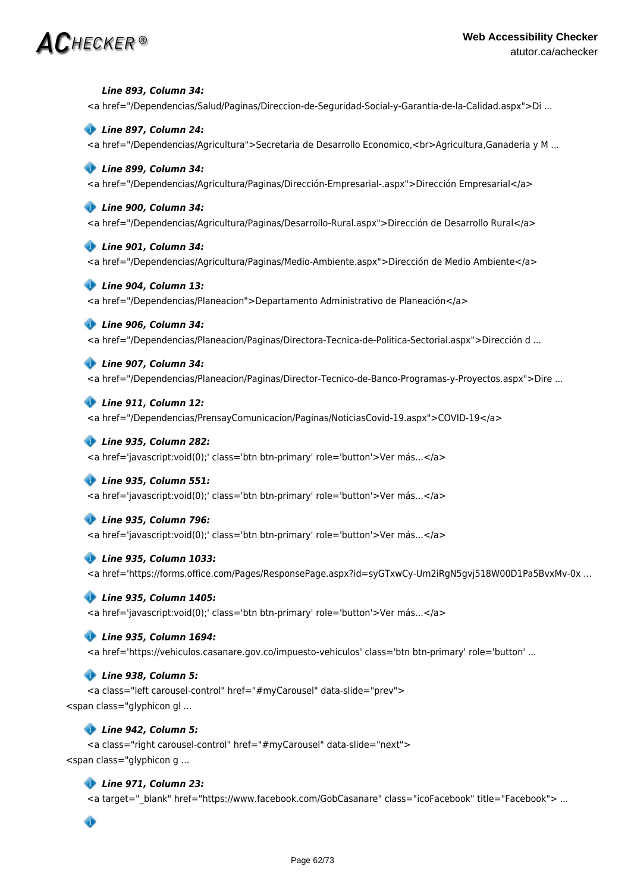*Line 893, Column 34:*

<a href="/Dependencias/Salud/Paginas/Direccion-de-Seguridad-Social-y-Garantia-de-la-Calidad.aspx">Di ...

### *Line 897, Column 24:*

<a href="/Dependencias/Agricultura">Secretaria de Desarrollo Economico,<br>Agricultura,Ganaderia y M ...

#### *Line 899, Column 34:*

<a href="/Dependencias/Agricultura/Paginas/Dirección-Empresarial-.aspx">Dirección Empresarial</a>

#### *Line 900, Column 34:*

<a href="/Dependencias/Agricultura/Paginas/Desarrollo-Rural.aspx">Dirección de Desarrollo Rural</a>

#### *Line 901, Column 34:*

<a href="/Dependencias/Agricultura/Paginas/Medio-Ambiente.aspx">Dirección de Medio Ambiente</a>

#### *Line 904, Column 13:*

<a href="/Dependencias/Planeacion">Departamento Administrativo de Planeación</a>

#### *Line 906, Column 34:*

<a href="/Dependencias/Planeacion/Paginas/Directora-Tecnica-de-Politica-Sectorial.aspx">Dirección d ...

# *Line 907, Column 34:*

<a href="/Dependencias/Planeacion/Paginas/Director-Tecnico-de-Banco-Programas-y-Proyectos.aspx">Dire ...

#### *Line 911, Column 12:*

<a href="/Dependencias/PrensayComunicacion/Paginas/NoticiasCovid-19.aspx">COVID-19</a>

#### *Line 935, Column 282:*

<a href='javascript:void(0);' class='btn btn-primary' role='button'>Ver más...</a>

#### *Line 935, Column 551:*

<a href='javascript:void(0);' class='btn btn-primary' role='button'>Ver más...</a>

#### *Line 935, Column 796:*

<a href='javascript:void(0);' class='btn btn-primary' role='button'>Ver más...</a>

#### *Line 935, Column 1033:*

<a href='https://forms.office.com/Pages/ResponsePage.aspx?id=syGTxwCy-Um2iRgN5gvj518W00D1Pa5BvxMv-0x ...

#### *Line 935, Column 1405:*

<a href='javascript:void(0);' class='btn btn-primary' role='button'>Ver más...</a>

#### *Line 935, Column 1694:*

<a href='https://vehiculos.casanare.gov.co/impuesto-vehiculos' class='btn btn-primary' role='button' ...

#### *Line 938, Column 5:*

<a class="left carousel-control" href="#myCarousel" data-slide="prev"> <span class="glyphicon gl ...

#### *Line 942, Column 5:*

<a class="right carousel-control" href="#myCarousel" data-slide="next"> <span class="glyphicon g ...

#### *Line 971, Column 23:*

<a target="\_blank" href="https://www.facebook.com/GobCasanare" class="icoFacebook" title="Facebook"> ...

Ô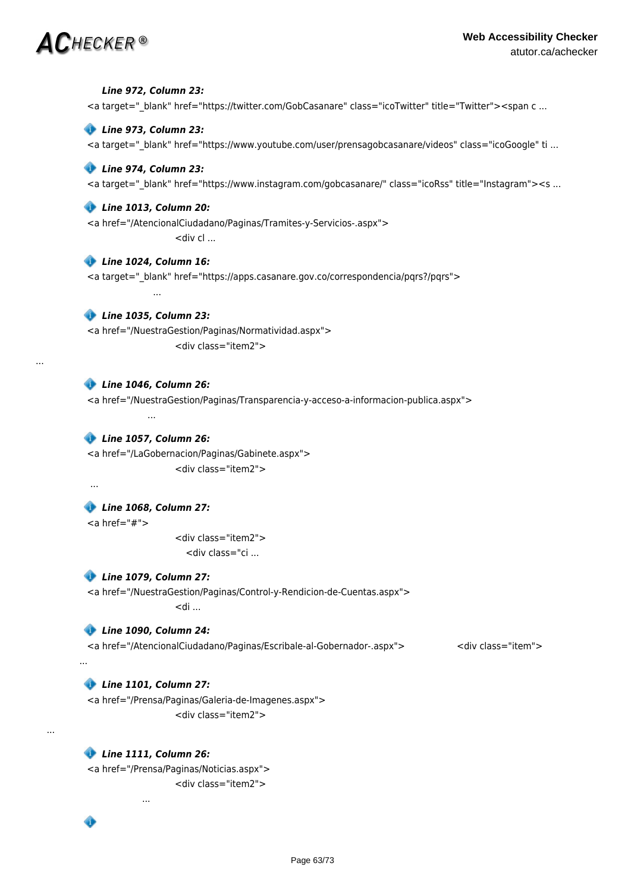...

 *Line 972, Column 23:* <a target=" blank" href="https://twitter.com/GobCasanare" class="icoTwitter" title="Twitter"><span c ...  *Line 973, Column 23:* <a target="\_blank" href="https://www.youtube.com/user/prensagobcasanare/videos" class="icoGoogle" ti ...  *Line 974, Column 23:* <a target=" blank" href="https://www.instagram.com/gobcasanare/" class="icoRss" title="Instagram"><s ...  *Line 1013, Column 20:* <a href="/AtencionalCiudadano/Paginas/Tramites-y-Servicios-.aspx"> <div cl ...  *Line 1024, Column 16:* <a target="\_blank" href="https://apps.casanare.gov.co/correspondencia/pqrs?/pqrs"> ...  *Line 1035, Column 23:* <a href="/NuestraGestion/Paginas/Normatividad.aspx"> <div class="item2">  *Line 1046, Column 26:* <a href="/NuestraGestion/Paginas/Transparencia-y-acceso-a-informacion-publica.aspx"> ...  *Line 1057, Column 26:* <a href="/LaGobernacion/Paginas/Gabinete.aspx"> <div class="item2"> ...  *Line 1068, Column 27:*  $<$ a href="#"> <div class="item2"> <div class="ci ...  *Line 1079, Column 27:* <a href="/NuestraGestion/Paginas/Control-y-Rendicion-de-Cuentas.aspx">  $>$ di ...  *Line 1090, Column 24:* <a href="/AtencionalCiudadano/Paginas/Escribale-al-Gobernador-.aspx"> <div class="item"> ...  *Line 1101, Column 27:* <a href="/Prensa/Paginas/Galeria-de-Imagenes.aspx"> <div class="item2">  *Line 1111, Column 26:* <a href="/Prensa/Paginas/Noticias.aspx"> <div class="item2"> ...

...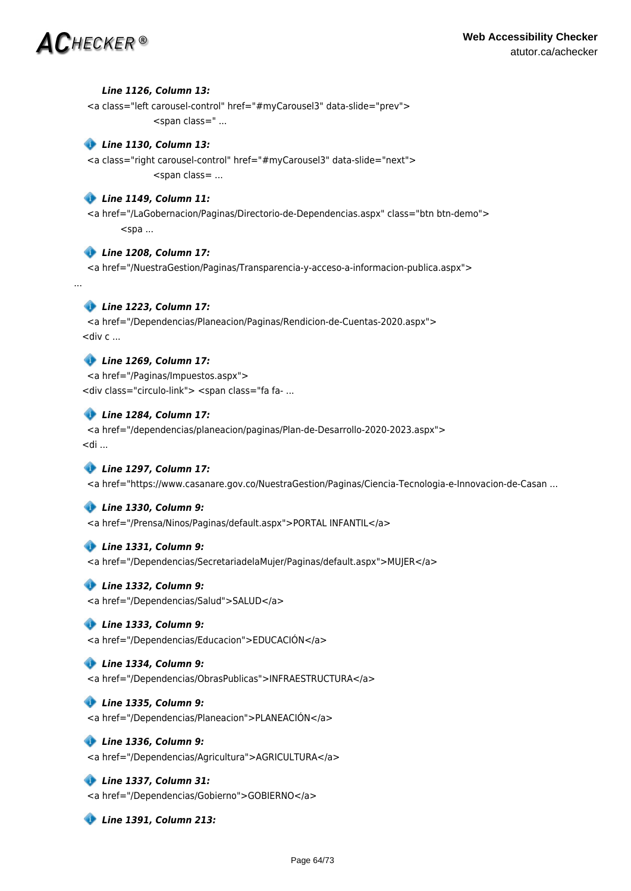...

# *Line 1126, Column 13:*

<a class="left carousel-control" href="#myCarousel3" data-slide="prev"> <span class=" ...

# *Line 1130, Column 13:*

<a class="right carousel-control" href="#myCarousel3" data-slide="next"> <span class= ...

# *Line 1149, Column 11:*

<a href="/LaGobernacion/Paginas/Directorio-de-Dependencias.aspx" class="btn btn-demo">  $<$ spa ...

# *Line 1208, Column 17:*

<a href="/NuestraGestion/Paginas/Transparencia-y-acceso-a-informacion-publica.aspx">

# *Line 1223, Column 17:*

<a href="/Dependencias/Planeacion/Paginas/Rendicion-de-Cuentas-2020.aspx">  $\lt$ div c ...

# *Line 1269, Column 17:*

<a href="/Paginas/Impuestos.aspx"> <div class="circulo-link"> <span class="fa fa- ...

# *Line 1284, Column 17:*

<a href="/dependencias/planeacion/paginas/Plan-de-Desarrollo-2020-2023.aspx">  $<$ di ...

# *Line 1297, Column 17:*

<a href="https://www.casanare.gov.co/NuestraGestion/Paginas/Ciencia-Tecnologia-e-Innovacion-de-Casan ...

# *Line 1330, Column 9:*

<a href="/Prensa/Ninos/Paginas/default.aspx">PORTAL INFANTIL</a>

# *Line 1331, Column 9:*

<a href="/Dependencias/SecretariadelaMujer/Paginas/default.aspx">MUJER</a>

# *Line 1332, Column 9:*

<a href="/Dependencias/Salud">SALUD</a>

# *Line 1333, Column 9:*

<a href="/Dependencias/Educacion">EDUCACIÓN</a>

# *Line 1334, Column 9:*

<a href="/Dependencias/ObrasPublicas">INFRAESTRUCTURA</a>

# *Line 1335, Column 9:*

<a href="/Dependencias/Planeacion">PLANEACIÓN</a>

# *Line 1336, Column 9:*

<a href="/Dependencias/Agricultura">AGRICULTURA</a>

# *Line 1337, Column 31:*

<a href="/Dependencias/Gobierno">GOBIERNO</a>

 *Line 1391, Column 213:*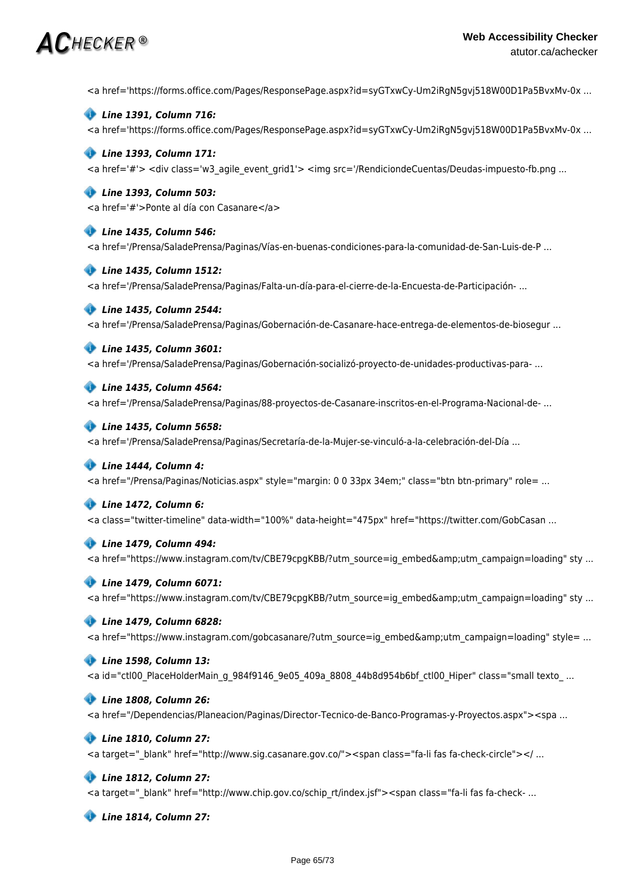<a href='https://forms.office.com/Pages/ResponsePage.aspx?id=syGTxwCy-Um2iRgN5gvj518W00D1Pa5BvxMv-0x ...



<a href='https://forms.office.com/Pages/ResponsePage.aspx?id=syGTxwCy-Um2iRgN5gvj518W00D1Pa5BvxMv-0x ...

### *Line 1393, Column 171:*

<a href='#'> <div class='w3\_agile\_event\_grid1'> <img src='/RendiciondeCuentas/Deudas-impuesto-fb.png ...

## *Line 1393, Column 503:*

<a href='#'>Ponte al día con Casanare</a>

### *Line 1435, Column 546:*

<a href='/Prensa/SaladePrensa/Paginas/Vías-en-buenas-condiciones-para-la-comunidad-de-San-Luis-de-P ...

#### *Line 1435, Column 1512:*

<a href='/Prensa/SaladePrensa/Paginas/Falta-un-día-para-el-cierre-de-la-Encuesta-de-Participación- ...

### *Line 1435, Column 2544:*

<a href='/Prensa/SaladePrensa/Paginas/Gobernación-de-Casanare-hace-entrega-de-elementos-de-biosegur ...

### *Line 1435, Column 3601:*

<a href='/Prensa/SaladePrensa/Paginas/Gobernación-socializó-proyecto-de-unidades-productivas-para- ...

#### *Line 1435, Column 4564:*

<a href='/Prensa/SaladePrensa/Paginas/88-proyectos-de-Casanare-inscritos-en-el-Programa-Nacional-de- ...

#### *Line 1435, Column 5658:*

<a href='/Prensa/SaladePrensa/Paginas/Secretaría-de-la-Mujer-se-vinculó-a-la-celebración-del-Día ...

#### *Line 1444, Column 4:*

<a href="/Prensa/Paginas/Noticias.aspx" style="margin: 0 0 33px 34em;" class="btn btn-primary" role= ...

#### *Line 1472, Column 6:*

<a class="twitter-timeline" data-width="100%" data-height="475px" href="https://twitter.com/GobCasan ...

#### *Line 1479, Column 494:*

<a href="https://www.instagram.com/tv/CBE79cpgKBB/?utm\_source=ig\_embed&amp;utm\_campaign=loading" sty ...

#### *Line 1479, Column 6071:*

<a href="https://www.instagram.com/tv/CBE79cpgKBB/?utm\_source=ig\_embed&amp;utm\_campaign=loading" sty ...

#### *Line 1479, Column 6828:*

<a href="https://www.instagram.com/gobcasanare/?utm\_source=ig\_embed&amp;utm\_campaign=loading" style= ...

#### *Line 1598, Column 13:*

<a id="ctl00\_PlaceHolderMain\_g\_984f9146\_9e05\_409a\_8808\_44b8d954b6bf\_ctl00\_Hiper" class="small texto\_ ...

### *Line 1808, Column 26:*

<a href="/Dependencias/Planeacion/Paginas/Director-Tecnico-de-Banco-Programas-y-Proyectos.aspx"><spa ...

#### *Line 1810, Column 27:*

<a target=" blank" href="http://www.sig.casanare.gov.co/"><span class="fa-li fas fa-check-circle"></ ...

#### *Line 1812, Column 27:*

<a target=" blank" href="http://www.chip.gov.co/schip\_rt/index.jsf"><span class="fa-li fas fa-check- ...

 *Line 1814, Column 27:*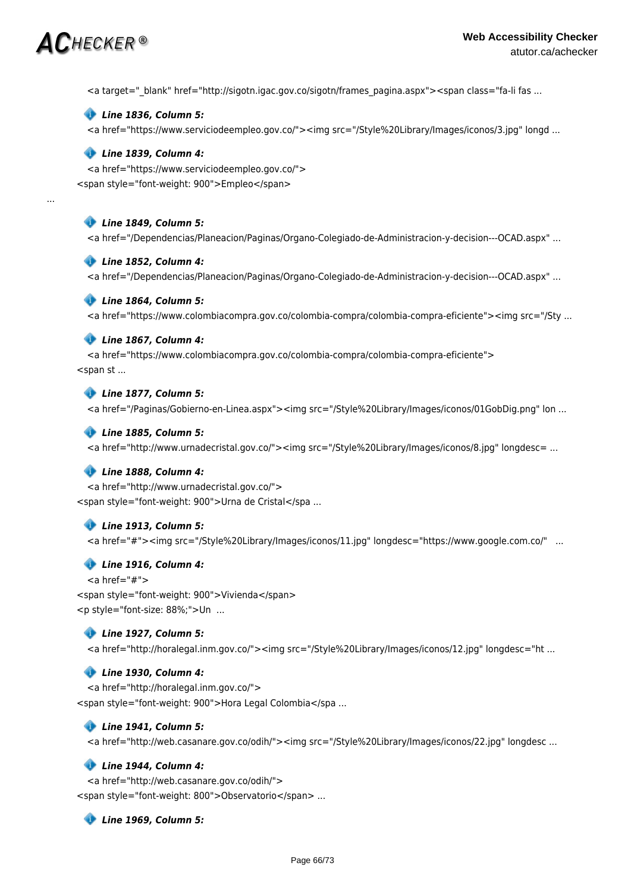...

<a target="\_blank" href="http://sigotn.igac.gov.co/sigotn/frames\_pagina.aspx"><span class="fa-li fas ...

#### *Line 1836, Column 5:*

<a href="https://www.serviciodeempleo.gov.co/"><img src="/Style%20Library/Images/iconos/3.jpg" longd ...

#### *Line 1839, Column 4:*

<a href="https://www.serviciodeempleo.gov.co/"> <span style="font-weight: 900">Empleo</span>

#### *Line 1849, Column 5:*

<a href="/Dependencias/Planeacion/Paginas/Organo-Colegiado-de-Administracion-y-decision---OCAD.aspx" ...

#### *Line 1852, Column 4:*

<a href="/Dependencias/Planeacion/Paginas/Organo-Colegiado-de-Administracion-y-decision---OCAD.aspx" ...

#### *Line 1864, Column 5:*

<a href="https://www.colombiacompra.gov.co/colombia-compra/colombia-compra-eficiente"><img src="/Sty ...

#### *Line 1867, Column 4:*

<a href="https://www.colombiacompra.gov.co/colombia-compra/colombia-compra-eficiente"> <span st ...

### *Line 1877, Column 5:*

<a href="/Paginas/Gobierno-en-Linea.aspx"><img src="/Style%20Library/Images/iconos/01GobDig.png" lon ...

#### *Line 1885, Column 5:*

<a href="http://www.urnadecristal.gov.co/"><img src="/Style%20Library/Images/iconos/8.jpg" longdesc= ...

#### *Line 1888, Column 4:*

<a href="http://www.urnadecristal.gov.co/"> <span style="font-weight: 900">Urna de Cristal</spa ...

#### *Line 1913, Column 5:*

<a href="#"><img src="/Style%20Library/Images/iconos/11.jpg" longdesc="https://www.google.com.co/" ...

#### *Line 1916, Column 4:*

 $<$ a href="#" $>$  <span style="font-weight: 900">Vivienda</span> <p style="font-size: 88%;">Un ...

#### *Line 1927, Column 5:*

<a href="http://horalegal.inm.gov.co/"><img src="/Style%20Library/Images/iconos/12.jpg" longdesc="ht ...

#### *Line 1930, Column 4:*

<a href="http://horalegal.inm.gov.co/"> <span style="font-weight: 900">Hora Legal Colombia</spa ...

#### *Line 1941, Column 5:*

<a href="http://web.casanare.gov.co/odih/"><img src="/Style%20Library/Images/iconos/22.jpg" longdesc ...

### *Line 1944, Column 4:*

<a href="http://web.casanare.gov.co/odih/"> <span style="font-weight: 800">Observatorio</span> ...

 *Line 1969, Column 5:*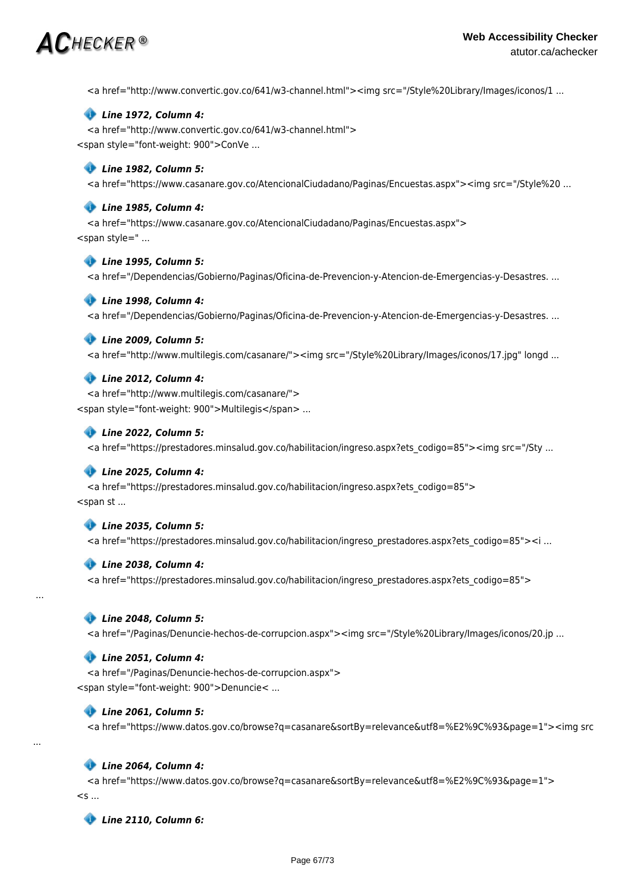<a href="http://www.convertic.gov.co/641/w3-channel.html"><img src="/Style%20Library/Images/iconos/1 ...

### *Line 1972, Column 4:*

<a href="http://www.convertic.gov.co/641/w3-channel.html"> <span style="font-weight: 900">ConVe ...

#### *Line 1982, Column 5:*

<a href="https://www.casanare.gov.co/AtencionalCiudadano/Paginas/Encuestas.aspx"><img src="/Style%20 ...

#### *Line 1985, Column 4:*

<a href="https://www.casanare.gov.co/AtencionalCiudadano/Paginas/Encuestas.aspx"> <span style=" ...

#### *Line 1995, Column 5:*

<a href="/Dependencias/Gobierno/Paginas/Oficina-de-Prevencion-y-Atencion-de-Emergencias-y-Desastres. ...

#### *Line 1998, Column 4:*

<a href="/Dependencias/Gobierno/Paginas/Oficina-de-Prevencion-y-Atencion-de-Emergencias-y-Desastres. ...

#### *Line 2009, Column 5:*

<a href="http://www.multilegis.com/casanare/"><img src="/Style%20Library/Images/iconos/17.jpg" longd ...

#### *Line 2012, Column 4:*

<a href="http://www.multilegis.com/casanare/"> <span style="font-weight: 900">Multilegis</span> ...

#### *Line 2022, Column 5:*

<a href="https://prestadores.minsalud.gov.co/habilitacion/ingreso.aspx?ets\_codigo=85"><img src="/Sty ...

#### *Line 2025, Column 4:*

<a href="https://prestadores.minsalud.gov.co/habilitacion/ingreso.aspx?ets\_codigo=85"> <span st ...

#### *Line 2035, Column 5:*

<a href="https://prestadores.minsalud.gov.co/habilitacion/ingreso\_prestadores.aspx?ets\_codigo=85"><i ...

#### *Line 2038, Column 4:*

<a href="https://prestadores.minsalud.gov.co/habilitacion/ingreso\_prestadores.aspx?ets\_codigo=85">

#### *Line 2048, Column 5:*

...

...

<a href="/Paginas/Denuncie-hechos-de-corrupcion.aspx"><img src="/Style%20Library/Images/iconos/20.jp ...

#### *Line 2051, Column 4:*

<a href="/Paginas/Denuncie-hechos-de-corrupcion.aspx"> <span style="font-weight: 900">Denuncie< ...

### *Line 2061, Column 5:*

<a href="https://www.datos.gov.co/browse?q=casanare&sortBy=relevance&utf8=%E2%9C%93&page=1"><img src

#### *Line 2064, Column 4:*

<a href="https://www.datos.gov.co/browse?q=casanare&sortBy=relevance&utf8=%E2%9C%93&page=1">  $\lt$ s ...

 *Line 2110, Column 6:*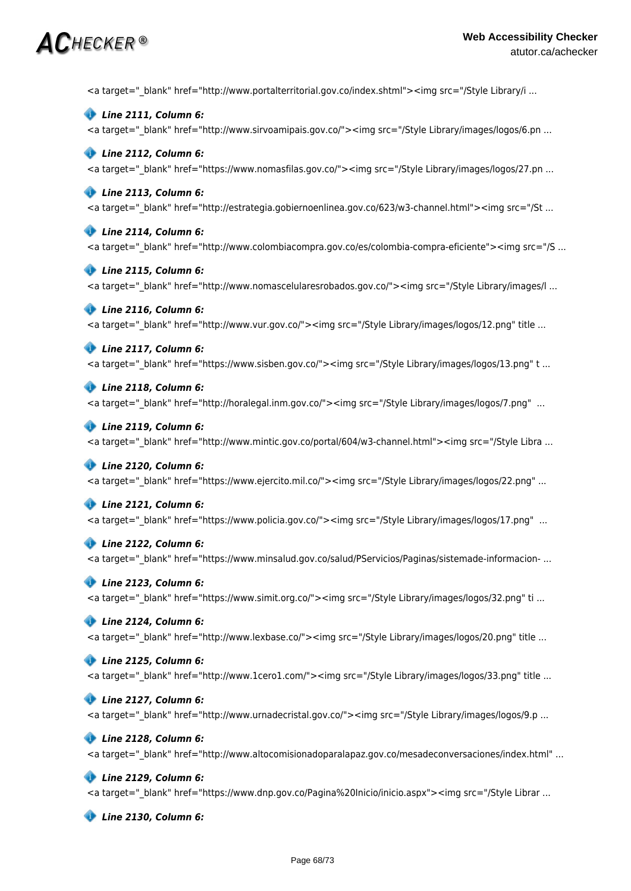<a target=" blank" href="http://www.portalterritorial.gov.co/index.shtml"><img src="/Style Library/i ...

 *Line 2111, Column 6:* <a target=" blank" href="http://www.sirvoamipais.gov.co/"><img src="/Style Library/images/logos/6.pn ...

 *Line 2112, Column 6:* <a target="\_blank" href="https://www.nomasfilas.gov.co/"><img src="/Style Library/images/logos/27.pn ...

### *Line 2113, Column 6:*

<a target="\_blank" href="http://estrategia.gobiernoenlinea.gov.co/623/w3-channel.html"><img src="/St ...

 *Line 2114, Column 6:*

<a target=" blank" href="http://www.colombiacompra.gov.co/es/colombia-compra-eficiente"><img src="/S ...

 *Line 2115, Column 6:* <a target=" blank" href="http://www.nomascelularesrobados.gov.co/"><img src="/Style Library/images/l ...

 *Line 2116, Column 6:* <a target="\_blank" href="http://www.vur.gov.co/"><img src="/Style Library/images/logos/12.png" title ...

 *Line 2117, Column 6:* <a target=" blank" href="https://www.sisben.gov.co/"><img src="/Style Library/images/logos/13.png" t ...

 *Line 2118, Column 6:* <a target=" blank" href="http://horalegal.inm.gov.co/"><img src="/Style Library/images/logos/7.png" ...

 *Line 2119, Column 6:* <a target=" blank" href="http://www.mintic.gov.co/portal/604/w3-channel.html"><img src="/Style Libra ...

#### *Line 2120, Column 6:*

<a target="\_blank" href="https://www.ejercito.mil.co/"><img src="/Style Library/images/logos/22.png" ...

#### *Line 2121, Column 6:*

<a target="\_blank" href="https://www.policia.gov.co/"><img src="/Style Library/images/logos/17.png" ...

#### *Line 2122, Column 6:*

<a target=" blank" href="https://www.minsalud.gov.co/salud/PServicios/Paginas/sistemade-informacion- ...

#### *Line 2123, Column 6:*

<a target="\_blank" href="https://www.simit.org.co/"><img src="/Style Library/images/logos/32.png" ti ...

#### *Line 2124, Column 6:*

<a target=" blank" href="http://www.lexbase.co/"><img src="/Style Library/images/logos/20.png" title ...

#### *Line 2125, Column 6:*

<a target=" blank" href="http://www.1cero1.com/"><img src="/Style Library/images/logos/33.png" title ...

 *Line 2127, Column 6:*

<a target=" blank" href="http://www.urnadecristal.gov.co/"><img src="/Style Library/images/logos/9.p ...

 *Line 2128, Column 6:*

<a target=" blank" href="http://www.altocomisionadoparalapaz.gov.co/mesadeconversaciones/index.html" ...

#### *Line 2129, Column 6:*

<a target=" blank" href="https://www.dnp.gov.co/Pagina%20Inicio/inicio.aspx"><img src="/Style Librar ...

 *Line 2130, Column 6:*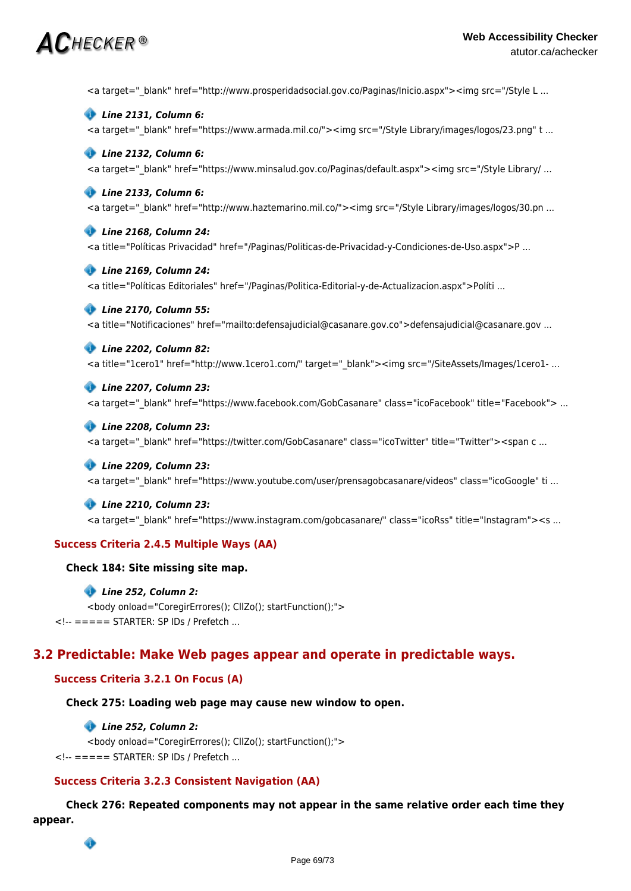*Line 2131, Column 6:* <a target="\_blank" href="https://www.armada.mil.co/"><img src="/Style Library/images/logos/23.png" t ...  *Line 2132, Column 6:* <a target=" blank" href="https://www.minsalud.gov.co/Paginas/default.aspx"><img src="/Style Library/ ...  *Line 2133, Column 6:* <a target="\_blank" href="http://www.haztemarino.mil.co/"><img src="/Style Library/images/logos/30.pn ...  *Line 2168, Column 24:* <a title="Políticas Privacidad" href="/Paginas/Politicas-de-Privacidad-y-Condiciones-de-Uso.aspx">P ...  *Line 2169, Column 24:* <a title="Políticas Editoriales" href="/Paginas/Politica-Editorial-y-de-Actualizacion.aspx">Políti ...  *Line 2170, Column 55:* <a title="Notificaciones" href="mailto:defensajudicial@casanare.gov.co">defensajudicial@casanare.gov ...  *Line 2202, Column 82:* <a title="1cero1" href="http://www.1cero1.com/" target=" blank"><img src="/SiteAssets/Images/1cero1- ...  *Line 2207, Column 23:* <a target=" blank" href="https://www.facebook.com/GobCasanare" class="icoFacebook" title="Facebook"> ...  *Line 2208, Column 23:* <a target=" blank" href="https://twitter.com/GobCasanare" class="icoTwitter" title="Twitter"><span c ...  *Line 2209, Column 23:* <a target="\_blank" href="https://www.youtube.com/user/prensagobcasanare/videos" class="icoGoogle" ti ...  *Line 2210, Column 23:*

<a target=" blank" href="http://www.prosperidadsocial.gov.co/Paginas/Inicio.aspx"><img src="/Style L ...

<a target=" blank" href="https://www.instagram.com/gobcasanare/" class="icoRss" title="Instagram"><s ...

# **Success Criteria 2.4.5 Multiple Ways (AA)**

# **Check 184: Site missing site map.**

# *Line 252, Column 2:*

<body onload="CoregirErrores(); CllZo(); startFunction();"> <!-- ===== STARTER: SP IDs / Prefetch ...

# **3.2 Predictable: Make Web pages appear and operate in predictable ways.**

# **Success Criteria 3.2.1 On Focus (A)**

# **Check 275: Loading web page may cause new window to open.**

# *Line 252, Column 2:*

<body onload="CoregirErrores(); CllZo(); startFunction();"> <!-- ===== STARTER: SP IDs / Prefetch ...

# **Success Criteria 3.2.3 Consistent Navigation (AA)**

**Check 276: Repeated components may not appear in the same relative order each time they appear.**

ô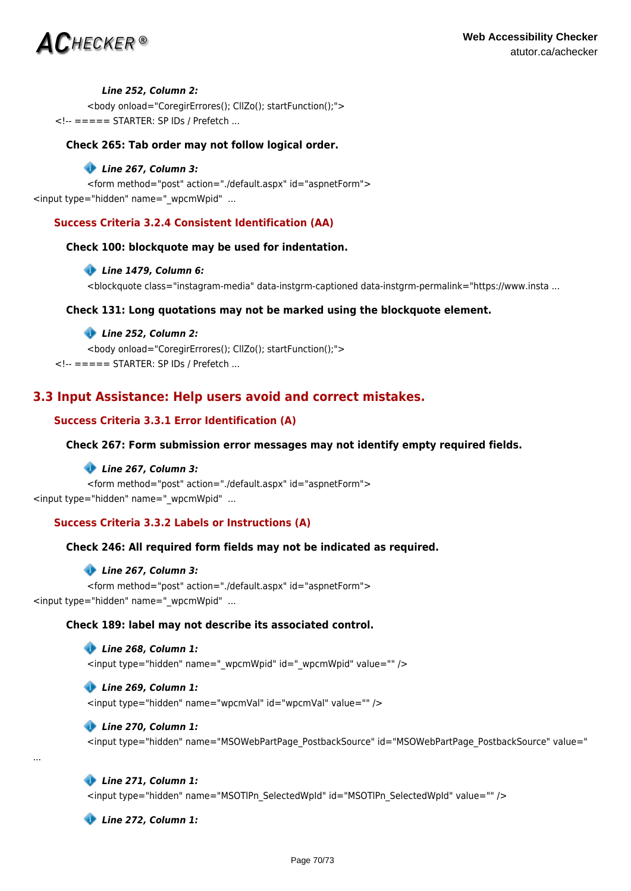

#### *Line 252, Column 2:*

<body onload="CoregirErrores(); CllZo(); startFunction();"> <!-- ===== STARTER: SP IDs / Prefetch ...

## **Check 265: Tab order may not follow logical order.**

#### *Line 267, Column 3:*

<form method="post" action="./default.aspx" id="aspnetForm"> <input type="hidden" name="\_wpcmWpid" ...

# **Success Criteria 3.2.4 Consistent Identification (AA)**

### **Check 100: blockquote may be used for indentation.**

### *Line 1479, Column 6:*

<blockquote class="instagram-media" data-instgrm-captioned data-instgrm-permalink="https://www.insta ...

# **Check 131: Long quotations may not be marked using the blockquote element.**

#### *Line 252, Column 2:*

<body onload="CoregirErrores(); CllZo(); startFunction();"> <!-- ===== STARTER: SP IDs / Prefetch ...

# **3.3 Input Assistance: Help users avoid and correct mistakes.**

# **Success Criteria 3.3.1 Error Identification (A)**

## **Check 267: Form submission error messages may not identify empty required fields.**

#### *Line 267, Column 3:*

<form method="post" action="./default.aspx" id="aspnetForm"> <input type="hidden" name="\_wpcmWpid" ...

# **Success Criteria 3.3.2 Labels or Instructions (A)**

# **Check 246: All required form fields may not be indicated as required.**

#### *Line 267, Column 3:*

<form method="post" action="./default.aspx" id="aspnetForm"> <input type="hidden" name="\_wpcmWpid" ...

# **Check 189: label may not describe its associated control.**

 *Line 268, Column 1:* <input type="hidden" name="\_wpcmWpid" id="\_wpcmWpid" value="" />

# *Line 269, Column 1:*

<input type="hidden" name="wpcmVal" id="wpcmVal" value="" />

#### *Line 270, Column 1:*

<input type="hidden" name="MSOWebPartPage\_PostbackSource" id="MSOWebPartPage\_PostbackSource" value="

#### *Line 271, Column 1:*

...

<input type="hidden" name="MSOTlPn\_SelectedWpId" id="MSOTlPn\_SelectedWpId" value="" />

 *Line 272, Column 1:*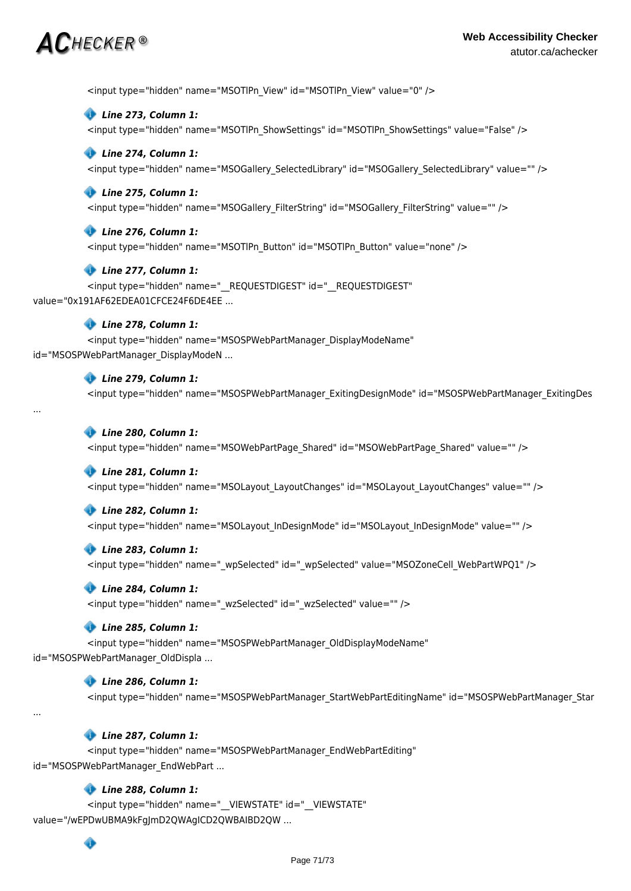<input type="hidden" name="MSOTlPn\_View" id="MSOTlPn\_View" value="0" />

#### *Line 273, Column 1:*

<input type="hidden" name="MSOTIPn\_ShowSettings" id="MSOTIPn\_ShowSettings" value="False" />

#### *Line 274, Column 1:*

<input type="hidden" name="MSOGallery\_SelectedLibrary" id="MSOGallery\_SelectedLibrary" value="" />

#### *Line 275, Column 1:*

<input type="hidden" name="MSOGallery\_FilterString" id="MSOGallery\_FilterString" value="" />

#### *Line 276, Column 1:*

<input type="hidden" name="MSOTlPn\_Button" id="MSOTlPn\_Button" value="none" />

#### *Line 277, Column 1:*

<input type="hidden" name="\_\_REQUESTDIGEST" id="\_\_REQUESTDIGEST" value="0x191AF62EDEA01CFCE24F6DE4EE ...

# *Line 278, Column 1:*

<input type="hidden" name="MSOSPWebPartManager\_DisplayModeName" id="MSOSPWebPartManager\_DisplayModeN ...

# *Line 279, Column 1:*

<input type="hidden" name="MSOSPWebPartManager\_ExitingDesignMode" id="MSOSPWebPartManager\_ExitingDes

#### ...

...

### *Line 280, Column 1:*

<input type="hidden" name="MSOWebPartPage\_Shared" id="MSOWebPartPage\_Shared" value="" />

#### *Line 281, Column 1:*

<input type="hidden" name="MSOLayout\_LayoutChanges" id="MSOLayout\_LayoutChanges" value="" />

#### *Line 282, Column 1:*

<input type="hidden" name="MSOLayout\_InDesignMode" id="MSOLayout\_InDesignMode" value="" />

#### *Line 283, Column 1:*

<input type="hidden" name=" wpSelected" id=" wpSelected" value="MSOZoneCell WebPartWPQ1" />

#### *Line 284, Column 1:*

<input type="hidden" name="\_wzSelected" id="\_wzSelected" value="" />

#### *Line 285, Column 1:*

<input type="hidden" name="MSOSPWebPartManager\_OldDisplayModeName" id="MSOSPWebPartManager\_OldDispla ...

#### *Line 286, Column 1:*

<input type="hidden" name="MSOSPWebPartManager\_StartWebPartEditingName" id="MSOSPWebPartManager\_Star

## *Line 287, Column 1:*

<input type="hidden" name="MSOSPWebPartManager\_EndWebPartEditing" id="MSOSPWebPartManager\_EndWebPart ...

# *Line 288, Column 1:*

<input type="hidden" name="\_\_VIEWSTATE" id="\_\_VIEWSTATE" value="/wEPDwUBMA9kFgJmD2QWAgICD2QWBAIBD2QW ...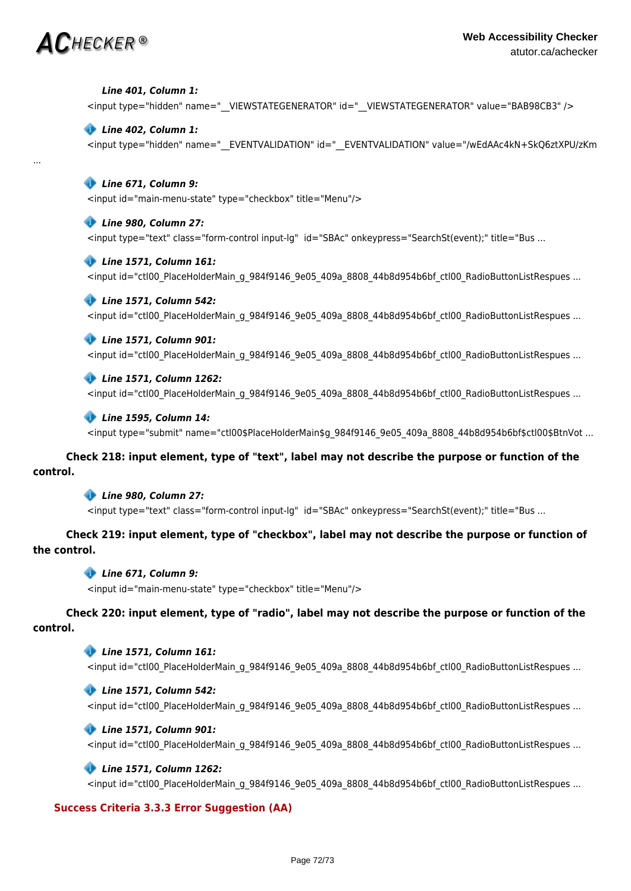...

#### *Line 401, Column 1:*

<input type="hidden" name="\_VIEWSTATEGENERATOR" id="\_VIEWSTATEGENERATOR" value="BAB98CB3" />

#### *Line 402, Column 1:*

<input type="hidden" name="\_\_EVENTVALIDATION" id="\_\_EVENTVALIDATION" value="/wEdAAc4kN+SkQ6ztXPU/zKm

# *Line 671, Column 9:*

<input id="main-menu-state" type="checkbox" title="Menu"/>

#### *Line 980, Column 27:*

<input type="text" class="form-control input-lg" id="SBAc" onkeypress="SearchSt(event);" title="Bus ...

#### *Line 1571, Column 161:*

<input id="ctl00\_PlaceHolderMain\_g\_984f9146\_9e05\_409a\_8808\_44b8d954b6bf\_ctl00\_RadioButtonListRespues ...

### *Line 1571, Column 542:*

<input id="ctl00\_PlaceHolderMain\_g\_984f9146\_9e05\_409a\_8808\_44b8d954b6bf\_ctl00\_RadioButtonListRespues ...

### *Line 1571, Column 901:*

<input id="ctl00\_PlaceHolderMain\_g\_984f9146\_9e05\_409a\_8808\_44b8d954b6bf\_ctl00\_RadioButtonListRespues ...

### *Line 1571, Column 1262:*

<input id="ctl00\_PlaceHolderMain\_g\_984f9146\_9e05\_409a\_8808\_44b8d954b6bf\_ctl00\_RadioButtonListRespues ...

#### *Line 1595, Column 14:*

<input type="submit" name="ctl00\$PlaceHolderMain\$g\_984f9146\_9e05\_409a\_8808\_44b8d954b6bf\$ctl00\$BtnVot ...

# **Check 218: input element, type of "text", label may not describe the purpose or function of the control.**

# *Line 980, Column 27:*

<input type="text" class="form-control input-lg" id="SBAc" onkeypress="SearchSt(event);" title="Bus ...

# **Check 219: input element, type of "checkbox", label may not describe the purpose or function of the control.**

# *Line 671, Column 9:*

<input id="main-menu-state" type="checkbox" title="Menu"/>

# **Check 220: input element, type of "radio", label may not describe the purpose or function of the control.**

### *Line 1571, Column 161:*

<input id="ctl00\_PlaceHolderMain\_g\_984f9146\_9e05\_409a\_8808\_44b8d954b6bf\_ctl00\_RadioButtonListRespues ...

#### *Line 1571, Column 542:*

<input id="ctl00\_PlaceHolderMain\_g\_984f9146\_9e05\_409a\_8808\_44b8d954b6bf\_ctl00\_RadioButtonListRespues ...

#### *Line 1571, Column 901:*

<input id="ctl00\_PlaceHolderMain\_g\_984f9146\_9e05\_409a\_8808\_44b8d954b6bf\_ctl00\_RadioButtonListRespues ...

# *Line 1571, Column 1262:*

<input id="ctl00\_PlaceHolderMain\_g\_984f9146\_9e05\_409a\_8808\_44b8d954b6bf\_ctl00\_RadioButtonListRespues ...

# **Success Criteria 3.3.3 Error Suggestion (AA)**